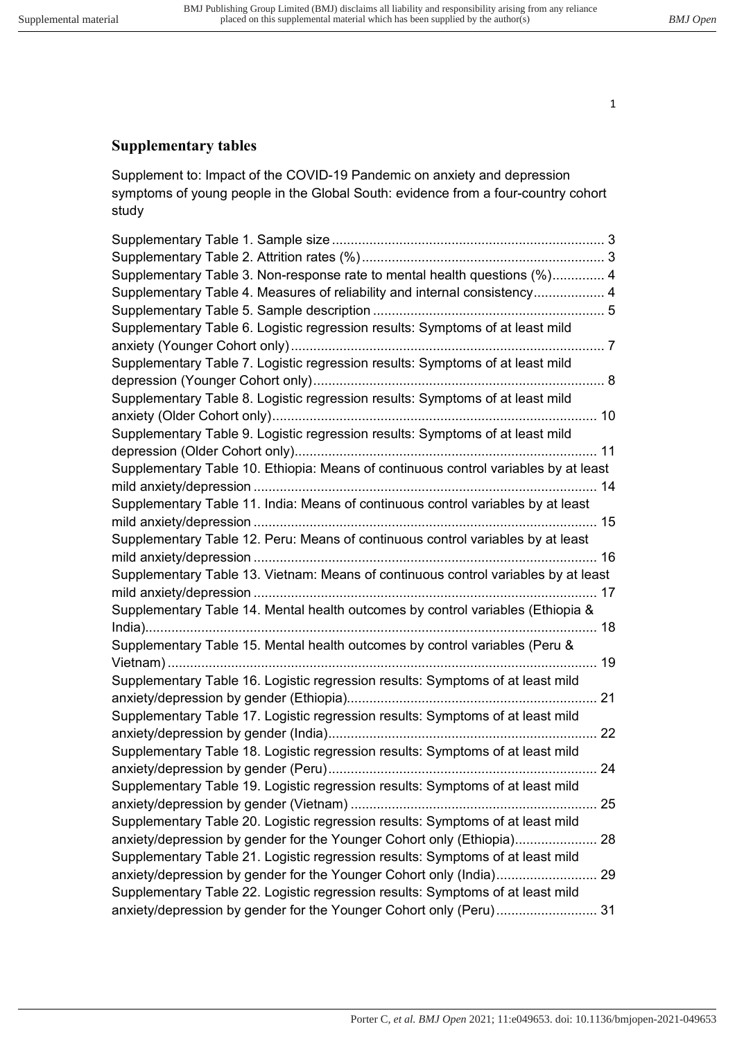# **Supplementary tables**

Supplement to: Impact of the COVID-19 Pandemic on anxiety and depression symptoms of young people in the Global South: evidence from a four-country cohort study

| Supplementary Table 3. Non-response rate to mental health questions (%) 4           |  |
|-------------------------------------------------------------------------------------|--|
| Supplementary Table 4. Measures of reliability and internal consistency 4           |  |
|                                                                                     |  |
| Supplementary Table 6. Logistic regression results: Symptoms of at least mild       |  |
|                                                                                     |  |
| Supplementary Table 7. Logistic regression results: Symptoms of at least mild       |  |
|                                                                                     |  |
| Supplementary Table 8. Logistic regression results: Symptoms of at least mild       |  |
|                                                                                     |  |
| Supplementary Table 9. Logistic regression results: Symptoms of at least mild       |  |
|                                                                                     |  |
| Supplementary Table 10. Ethiopia: Means of continuous control variables by at least |  |
|                                                                                     |  |
| Supplementary Table 11. India: Means of continuous control variables by at least    |  |
|                                                                                     |  |
| Supplementary Table 12. Peru: Means of continuous control variables by at least     |  |
|                                                                                     |  |
| Supplementary Table 13. Vietnam: Means of continuous control variables by at least  |  |
|                                                                                     |  |
| Supplementary Table 14. Mental health outcomes by control variables (Ethiopia &     |  |
|                                                                                     |  |
| Supplementary Table 15. Mental health outcomes by control variables (Peru &         |  |
|                                                                                     |  |
| Supplementary Table 16. Logistic regression results: Symptoms of at least mild      |  |
|                                                                                     |  |
| Supplementary Table 17. Logistic regression results: Symptoms of at least mild      |  |
|                                                                                     |  |
| Supplementary Table 18. Logistic regression results: Symptoms of at least mild      |  |
|                                                                                     |  |
| Supplementary Table 19. Logistic regression results: Symptoms of at least mild      |  |
|                                                                                     |  |
| Supplementary Table 20. Logistic regression results: Symptoms of at least mild      |  |
| anxiety/depression by gender for the Younger Cohort only (Ethiopia) 28              |  |
| Supplementary Table 21. Logistic regression results: Symptoms of at least mild      |  |
| anxiety/depression by gender for the Younger Cohort only (India) 29                 |  |
| Supplementary Table 22. Logistic regression results: Symptoms of at least mild      |  |
| anxiety/depression by gender for the Younger Cohort only (Peru) 31                  |  |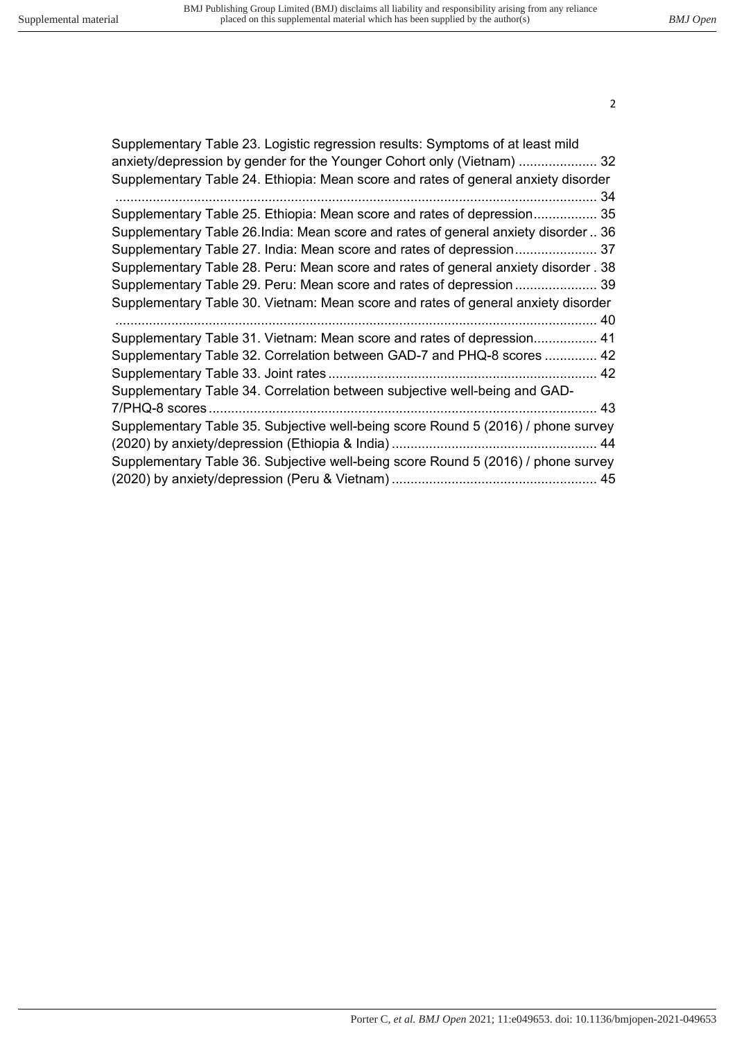| Supplementary Table 23. Logistic regression results: Symptoms of at least mild     |
|------------------------------------------------------------------------------------|
| anxiety/depression by gender for the Younger Cohort only (Vietnam)  32             |
| Supplementary Table 24. Ethiopia: Mean score and rates of general anxiety disorder |
|                                                                                    |
| Supplementary Table 25. Ethiopia: Mean score and rates of depression 35            |
| Supplementary Table 26.India: Mean score and rates of general anxiety disorder  36 |
| Supplementary Table 27. India: Mean score and rates of depression 37               |
| Supplementary Table 28. Peru: Mean score and rates of general anxiety disorder. 38 |
| Supplementary Table 29. Peru: Mean score and rates of depression 39                |
| Supplementary Table 30. Vietnam: Mean score and rates of general anxiety disorder  |
|                                                                                    |
| Supplementary Table 31. Vietnam: Mean score and rates of depression 41             |
| Supplementary Table 32. Correlation between GAD-7 and PHQ-8 scores  42             |
|                                                                                    |
| Supplementary Table 34. Correlation between subjective well-being and GAD-         |
|                                                                                    |
| Supplementary Table 35. Subjective well-being score Round 5 (2016) / phone survey  |
|                                                                                    |
| Supplementary Table 36. Subjective well-being score Round 5 (2016) / phone survey  |
|                                                                                    |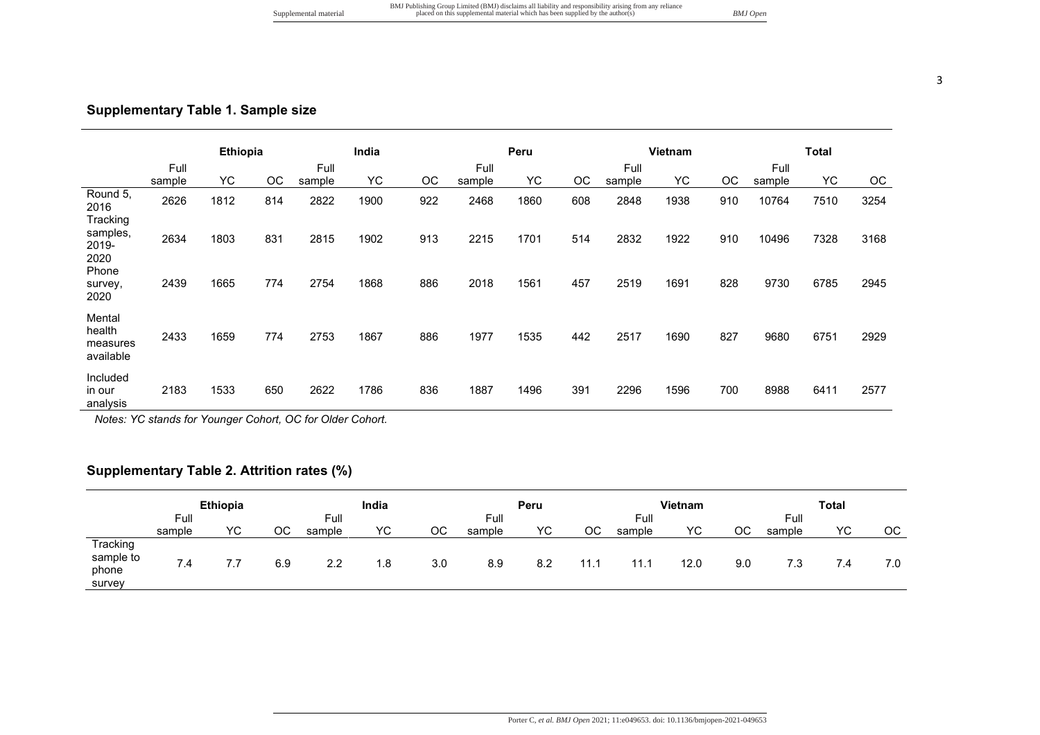# **Supplementary Table 1. Sample size**

|                                           |                | Ethiopia |     |                | India |     |                | Peru      |     |                | <b>Vietnam</b> |     |                | <b>Total</b> |      |
|-------------------------------------------|----------------|----------|-----|----------------|-------|-----|----------------|-----------|-----|----------------|----------------|-----|----------------|--------------|------|
|                                           | Full<br>sample | YC       | OС  | Full<br>sample | YC.   | OC  | Full<br>sample | <b>YC</b> | ОC  | Full<br>sample | YC.            | OC  | Full<br>sample | <b>YC</b>    | ОC   |
| Round 5.<br>2016<br>Tracking              | 2626           | 1812     | 814 | 2822           | 1900  | 922 | 2468           | 1860      | 608 | 2848           | 1938           | 910 | 10764          | 7510         | 3254 |
| samples,<br>2019-<br>2020                 | 2634           | 1803     | 831 | 2815           | 1902  | 913 | 2215           | 1701      | 514 | 2832           | 1922           | 910 | 10496          | 7328         | 3168 |
| Phone<br>survey,<br>2020                  | 2439           | 1665     | 774 | 2754           | 1868  | 886 | 2018           | 1561      | 457 | 2519           | 1691           | 828 | 9730           | 6785         | 2945 |
| Mental<br>health<br>measures<br>available | 2433           | 1659     | 774 | 2753           | 1867  | 886 | 1977           | 1535      | 442 | 2517           | 1690           | 827 | 9680           | 6751         | 2929 |
| Included<br>in our<br>analysis            | 2183           | 1533     | 650 | 2622           | 1786  | 836 | 1887           | 1496      | 391 | 2296           | 1596           | 700 | 8988           | 6411         | 2577 |

*Notes: YC stands for Younger Cohort, OC for Older Cohort.* 

# **Supplementary Table 2. Attrition rates (%)**

|                                          |                | <b>Ethiopia</b> |     |                | India |     |                | Peru |      |                | Vietnam |     |                | <b>Total</b> |     |
|------------------------------------------|----------------|-----------------|-----|----------------|-------|-----|----------------|------|------|----------------|---------|-----|----------------|--------------|-----|
|                                          | Full<br>sample | ΥC              | ос  | Full<br>sample | YC    | ОC  | Full<br>sample | YC   | OС   | Full<br>sample | YC      | ОC  | Full<br>sample | ΥC           | OС  |
| Tracking<br>sample to<br>phone<br>survey | 7.4            | $\mathcal{C}$ . | 6.9 | 2.2            | 1.8   | 3.0 | 8.9            | 8.2  | 11.1 | 11.1           | 12.0    | 9.0 | 7.3            | 7.4          | 7.0 |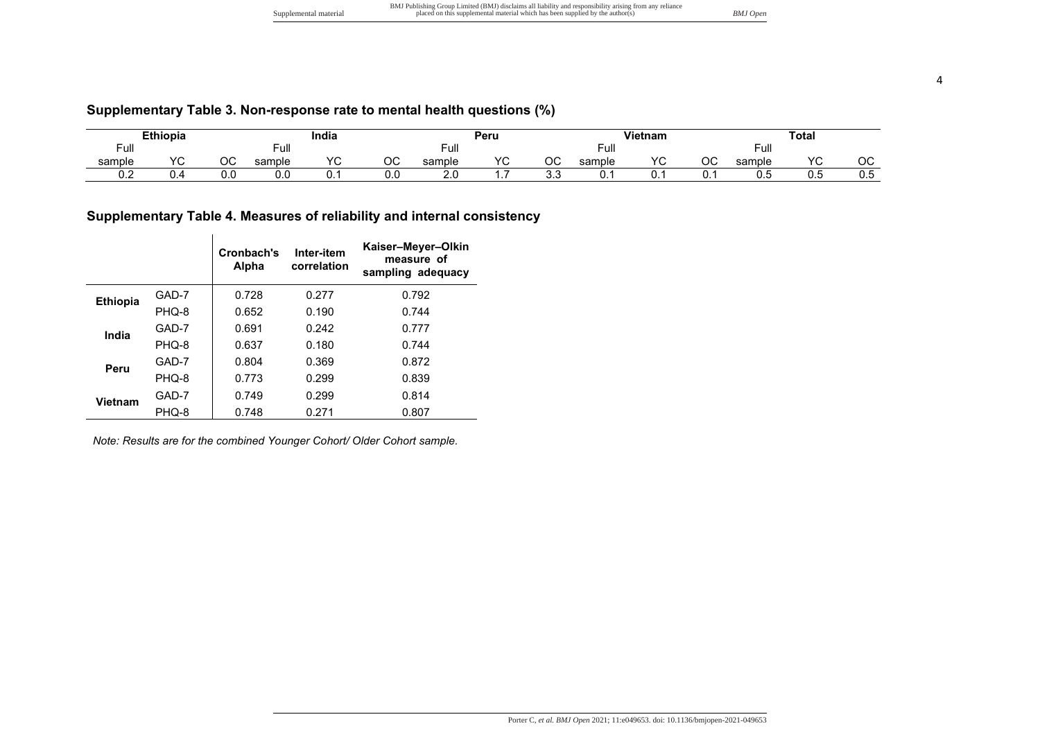|                       | BMJ Publishing Group Limited (BMJ) disclaims all liability and responsibility arising from any reliance |          |
|-----------------------|---------------------------------------------------------------------------------------------------------|----------|
| Supplemental material | placed on this supplemental material which has been supplied by the author(s)                           | BMJ Open |

| <b>Ethiopia</b> |            |          |            | India      |     |        | Peru       |          | <b>Vietnam</b> |                 | Total   |        |            |              |
|-----------------|------------|----------|------------|------------|-----|--------|------------|----------|----------------|-----------------|---------|--------|------------|--------------|
| uı              |            |          | Ξ.π<br>−u⊪ |            |     | Full   |            |          | Full           |                 |         | ⊢ulı   |            |              |
| sample          | $\sqrt{2}$ | ∩r<br>UU | sample     | $\sqrt{ }$ | OС  | sample | $\sqrt{2}$ | ~~<br>◡◡ | sample         | $\sqrt{2}$<br>◡ | ∩∩<br>◡ | sample | $\sqrt{2}$ | $\sim$<br>◡◡ |
| v.z             | ىن         | v.u      | 0.0        | <b>.</b>   | 0.0 | Z.V    |            | ົ<br>ບ.ບ | υ.             |                 | v.      | U.J    | ∪.c        | 0.5          |

# **Supplementary Table 4. Measures of reliability and internal consistency**

|                 |       | Cronbach's<br>Alpha | Inter-item<br>correlation | Kaiser-Meyer-Olkin<br>measure of<br>sampling adequacy |
|-----------------|-------|---------------------|---------------------------|-------------------------------------------------------|
| <b>Ethiopia</b> | GAD-7 | 0.728               | 0.277                     | 0.792                                                 |
|                 | PHQ-8 | 0.652               | 0.190                     | 0.744                                                 |
| India           | GAD-7 | 0.691               | 0.242                     | 0.777                                                 |
|                 | PHQ-8 | 0.637               | 0.180                     | 0.744                                                 |
| Peru            | GAD-7 | 0.804               | 0.369                     | 0.872                                                 |
|                 | PHQ-8 | 0.773               | 0.299                     | 0.839                                                 |
| Vietnam         | GAD-7 | 0.749               | 0.299                     | 0.814                                                 |
|                 | PHQ-8 | 0.748               | 0.271                     | 0.807                                                 |

*Note: Results are for the combined Younger Cohort/ Older Cohort sample.*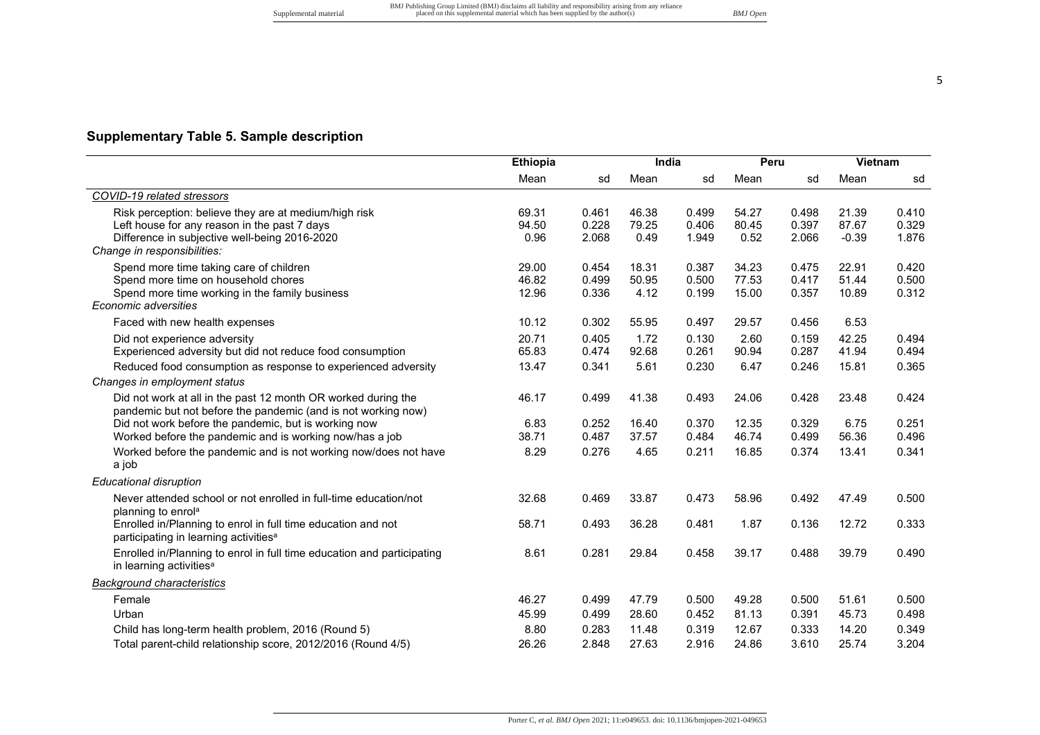**Supplementary Table 5. Sample description** 

|                                                                        | Mean  | sd    | Mean  | sd    | Mean  | sd    | Mean    | sd    |
|------------------------------------------------------------------------|-------|-------|-------|-------|-------|-------|---------|-------|
| COVID-19 related stressors                                             |       |       |       |       |       |       |         |       |
| Risk perception: believe they are at medium/high risk                  | 69.31 | 0.461 | 46.38 | 0.499 | 54.27 | 0.498 | 21.39   | 0.410 |
| Left house for any reason in the past 7 days                           | 94.50 | 0.228 | 79.25 | 0.406 | 80.45 | 0.397 | 87.67   | 0.329 |
| Difference in subjective well-being 2016-2020                          | 0.96  | 2.068 | 0.49  | 1.949 | 0.52  | 2.066 | $-0.39$ | 1.876 |
| Change in responsibilities:                                            |       |       |       |       |       |       |         |       |
| Spend more time taking care of children                                | 29.00 | 0.454 | 18.31 | 0.387 | 34.23 | 0.475 | 22.91   | 0.420 |
| Spend more time on household chores                                    | 46.82 | 0.499 | 50.95 | 0.500 | 77.53 | 0.417 | 51.44   | 0.500 |
| Spend more time working in the family business                         | 12.96 | 0.336 | 4.12  | 0.199 | 15.00 | 0.357 | 10.89   | 0.312 |
| Economic adversities                                                   |       |       |       |       |       |       |         |       |
| Faced with new health expenses                                         | 10.12 | 0.302 | 55.95 | 0.497 | 29.57 | 0.456 | 6.53    |       |
| Did not experience adversity                                           | 20.71 | 0.405 | 1.72  | 0.130 | 2.60  | 0.159 | 42.25   | 0.494 |
| Experienced adversity but did not reduce food consumption              | 65.83 | 0.474 | 92.68 | 0.261 | 90.94 | 0.287 | 41.94   | 0.494 |
| Reduced food consumption as response to experienced adversity          | 13.47 | 0.341 | 5.61  | 0.230 | 6.47  | 0.246 | 15.81   | 0.365 |
| Changes in employment status                                           |       |       |       |       |       |       |         |       |
| Did not work at all in the past 12 month OR worked during the          | 46.17 | 0.499 | 41.38 | 0.493 | 24.06 | 0.428 | 23.48   | 0.424 |
| pandemic but not before the pandemic (and is not working now)          |       |       |       |       |       |       |         |       |
| Did not work before the pandemic, but is working now                   | 6.83  | 0.252 | 16.40 | 0.370 | 12.35 | 0.329 | 6.75    | 0.251 |
| Worked before the pandemic and is working now/has a job                | 38.71 | 0.487 | 37.57 | 0.484 | 46.74 | 0.499 | 56.36   | 0.496 |
| Worked before the pandemic and is not working now/does not have        | 8.29  | 0.276 | 4.65  | 0.211 | 16.85 | 0.374 | 13.41   | 0.341 |
| a job                                                                  |       |       |       |       |       |       |         |       |
| <b>Educational disruption</b>                                          |       |       |       |       |       |       |         |       |
| Never attended school or not enrolled in full-time education/not       | 32.68 | 0.469 | 33.87 | 0.473 | 58.96 | 0.492 | 47.49   | 0.500 |
| planning to enrol <sup>a</sup>                                         |       |       |       |       |       |       |         |       |
| Enrolled in/Planning to enrol in full time education and not           | 58.71 | 0.493 | 36.28 | 0.481 | 1.87  | 0.136 | 12.72   | 0.333 |
| participating in learning activities <sup>a</sup>                      |       |       |       |       |       |       |         |       |
| Enrolled in/Planning to enrol in full time education and participating | 8.61  | 0.281 | 29.84 | 0.458 | 39.17 | 0.488 | 39.79   | 0.490 |
| in learning activities <sup>a</sup>                                    |       |       |       |       |       |       |         |       |
| <b>Background characteristics</b>                                      |       |       |       |       |       |       |         |       |
| Female                                                                 | 46.27 | 0.499 | 47.79 | 0.500 | 49.28 | 0.500 | 51.61   | 0.500 |
| Urban                                                                  | 45.99 | 0.499 | 28.60 | 0.452 | 81.13 | 0.391 | 45.73   | 0.498 |
| Child has long-term health problem, 2016 (Round 5)                     | 8.80  | 0.283 | 11.48 | 0.319 | 12.67 | 0.333 | 14.20   | 0.349 |
| Total parent-child relationship score, 2012/2016 (Round 4/5)           | 26.26 | 2.848 | 27.63 | 2.916 | 24.86 | 3.610 | 25.74   | 3.204 |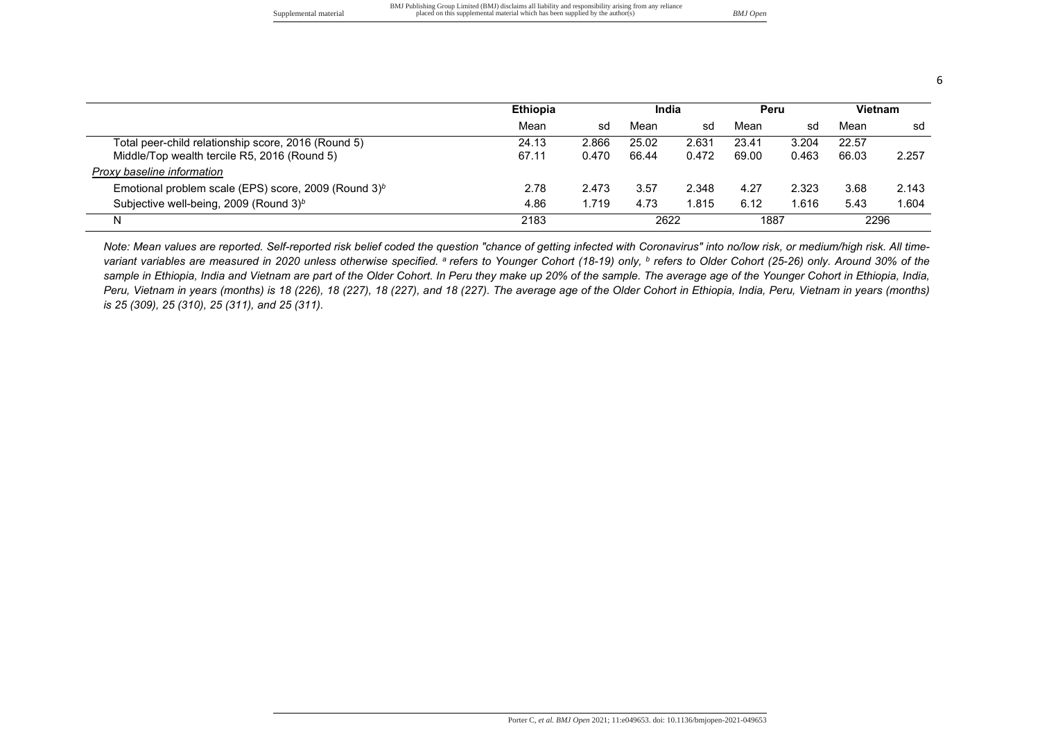|                       | BMJ Publishing Group Limited (BMJ) disclaims all liability and responsibility arising from any reliance |          |
|-----------------------|---------------------------------------------------------------------------------------------------------|----------|
| Supplemental material | placed on this supplemental material which has been supplied by the author(s)                           | BMJ Open |

|                                                         | <b>Ethiopia</b> |       | India |       | Peru  |       | Vietnam |       |
|---------------------------------------------------------|-----------------|-------|-------|-------|-------|-------|---------|-------|
|                                                         | Mean            | sd    | Mean  | sd    | Mean  | sd    | Mean    | sd    |
| Total peer-child relationship score, 2016 (Round 5)     | 24.13           | 2.866 | 25.02 | 2.631 | 23.41 | 3.204 | 22.57   |       |
| Middle/Top wealth tercile R5, 2016 (Round 5)            | 67.11           | 0.470 | 66.44 | 0.472 | 69.00 | 0.463 | 66.03   | 2.257 |
| Proxy baseline information                              |                 |       |       |       |       |       |         |       |
| Emotional problem scale (EPS) score, 2009 (Round $3)^b$ | 2.78            | 2.473 | 3.57  | 2.348 | 4.27  | 2.323 | 3.68    | 2.143 |
| Subjective well-being, 2009 (Round 3) <sup>b</sup>      | 4.86            | 1.719 | 4.73  | 1.815 | 6.12  | 1.616 | 5.43    | 1.604 |
| N.                                                      | 2183            |       | 2622  |       | 1887  |       | 2296    |       |

*Note: Mean values are reported. Self-reported risk belief coded the question "chance of getting infected with Coronavirus" into no/low risk, or medium/high risk. All timevariant variables are measured in 2020 unless otherwise specified. <sup>a</sup>refers to Younger Cohort (18-19) only, <sup>b</sup> refers to Older Cohort (25-26) only. Around 30% of the*  sample in Ethiopia, India and Vietnam are part of the Older Cohort. In Peru they make up 20% of the sample. The average age of the Younger Cohort in Ethiopia, India, *Peru, Vietnam in years (months) is 18 (226), 18 (227), 18 (227), and 18 (227). The average age of the Older Cohort in Ethiopia, India, Peru, Vietnam in years (months) is 25 (309), 25 (310), 25 (311), and 25 (311).*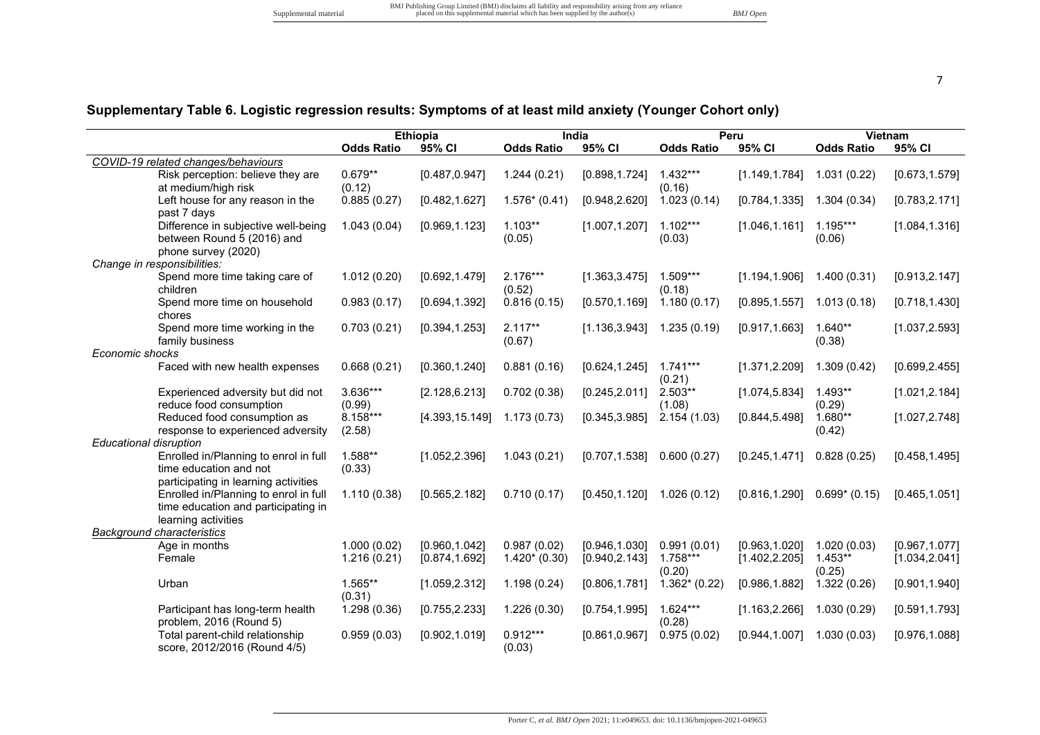# **Supplementary Table 6. Logistic regression results: Symptoms of at least mild anxiety (Younger Cohort only)**

|                                                                                                                         |                     | <b>Ethiopia</b> |                      | India          |                      | Peru           |                     | Vietnam        |
|-------------------------------------------------------------------------------------------------------------------------|---------------------|-----------------|----------------------|----------------|----------------------|----------------|---------------------|----------------|
|                                                                                                                         | <b>Odds Ratio</b>   | 95% CI          | <b>Odds Ratio</b>    | 95% CI         | <b>Odds Ratio</b>    | 95% CI         | <b>Odds Ratio</b>   | 95% CI         |
| COVID-19 related changes/behaviours                                                                                     |                     |                 |                      |                |                      |                |                     |                |
| Risk perception: believe they are<br>at medium/high risk                                                                | $0.679**$<br>(0.12) | [0.487, 0.947]  | 1.244(0.21)          | [0.898, 1.724] | $1.432***$<br>(0.16) | [1.149, 1.784] | 1.031(0.22)         | [0.673, 1.579] |
| Left house for any reason in the<br>past 7 days                                                                         | 0.885(0.27)         | [0.482, 1.627]  | $1.576*(0.41)$       | [0.948, 2.620] | 1.023(0.14)          | [0.784, 1.335] | 1.304(0.34)         | [0.783, 2.171] |
| Difference in subjective well-being<br>between Round 5 (2016) and<br>phone survey (2020)<br>Change in responsibilities: | 1.043(0.04)         | [0.969, 1.123]  | $1.103**$<br>(0.05)  | [1.007, 1.207] | $1.102***$<br>(0.03) | [1.046, 1.161] | 1.195***<br>(0.06)  | [1.084, 1.316] |
| Spend more time taking care of<br>children                                                                              | 1.012(0.20)         | [0.692, 1.479]  | $2.176***$<br>(0.52) | [1.363, 3.475] | $1.509***$<br>(0.18) | [1.194, 1.906] | 1.400(0.31)         | [0.913, 2.147] |
| Spend more time on household<br>chores                                                                                  | 0.983(0.17)         | [0.694, 1.392]  | 0.816(0.15)          | [0.570, 1.169] | 1.180(0.17)          | [0.895, 1.557] | 1.013(0.18)         | [0.718, 1.430] |
| Spend more time working in the<br>family business                                                                       | 0.703(0.21)         | [0.394, 1.253]  | $2.117**$<br>(0.67)  | [1.136, 3.943] | 1.235(0.19)          | [0.917, 1.663] | 1.640**<br>(0.38)   | [1.037, 2.593] |
| Economic shocks                                                                                                         |                     |                 |                      |                |                      |                |                     |                |
| Faced with new health expenses                                                                                          | 0.668(0.21)         | [0.360, 1.240]  | 0.881(0.16)          | [0.624, 1.245] | $1.741***$<br>(0.21) | [1.371, 2.209] | 1.309(0.42)         | [0.699, 2.455] |
| Experienced adversity but did not<br>reduce food consumption                                                            | 3.636***<br>(0.99)  | [2.128, 6.213]  | 0.702(0.38)          | [0.245, 2.011] | 2.503**<br>(1.08)    | [1.074, 5.834] | $1.493**$<br>(0.29) | [1.021, 2.184] |
| Reduced food consumption as<br>response to experienced adversity                                                        | 8.158***<br>(2.58)  | [4.393, 15.149] | 1.173(0.73)          | [0.345, 3.985] | 2.154(1.03)          | [0.844, 5.498] | $1.680**$<br>(0.42) | [1.027, 2.748] |
| <b>Educational disruption</b>                                                                                           |                     |                 |                      |                |                      |                |                     |                |
| Enrolled in/Planning to enrol in full<br>time education and not<br>participating in learning activities                 | 1.588**<br>(0.33)   | [1.052, 2.396]  | 1.043(0.21)          | [0.707, 1.538] | 0.600(0.27)          | [0.245, 1.471] | 0.828(0.25)         | [0.458, 1.495] |
| Enrolled in/Planning to enrol in full<br>time education and participating in<br>learning activities                     | 1.110(0.38)         | [0.565, 2.182]  | 0.710(0.17)          | [0.450, 1.120] | 1.026(0.12)          | [0.816, 1.290] | $0.699*$ (0.15)     | [0.465, 1.051] |
| <b>Background characteristics</b>                                                                                       |                     |                 |                      |                |                      |                |                     |                |
| Age in months                                                                                                           | 1.000(0.02)         | [0.960, 1.042]  | 0.987(0.02)          | [0.946, 1.030] | 0.991(0.01)          | [0.963, 1.020] | 1.020(0.03)         | [0.967, 1.077] |
| Female                                                                                                                  | 1.216(0.21)         | [0.874, 1.692]  | $1.420*(0.30)$       | [0.940, 2.143] | 1.758***<br>(0.20)   | [1.402, 2.205] | $1.453**$<br>(0.25) | [1.034, 2.041] |
| Urban                                                                                                                   | 1.565**<br>(0.31)   | [1.059, 2.312]  | 1.198(0.24)          | [0.806, 1.781] | $1.362*(0.22)$       | [0.986, 1.882] | 1.322(0.26)         | [0.901, 1.940] |
| Participant has long-term health<br>problem, 2016 (Round 5)                                                             | 1.298(0.36)         | [0.755, 2.233]  | 1.226(0.30)          | [0.754, 1.995] | $1.624***$<br>(0.28) | [1.163, 2.266] | 1.030(0.29)         | [0.591, 1.793] |
| Total parent-child relationship<br>score, 2012/2016 (Round 4/5)                                                         | 0.959(0.03)         | [0.902, 1.019]  | $0.912***$<br>(0.03) | [0.861, 0.967] | 0.975(0.02)          | [0.944, 1.007] | 1.030(0.03)         | [0.976, 1.088] |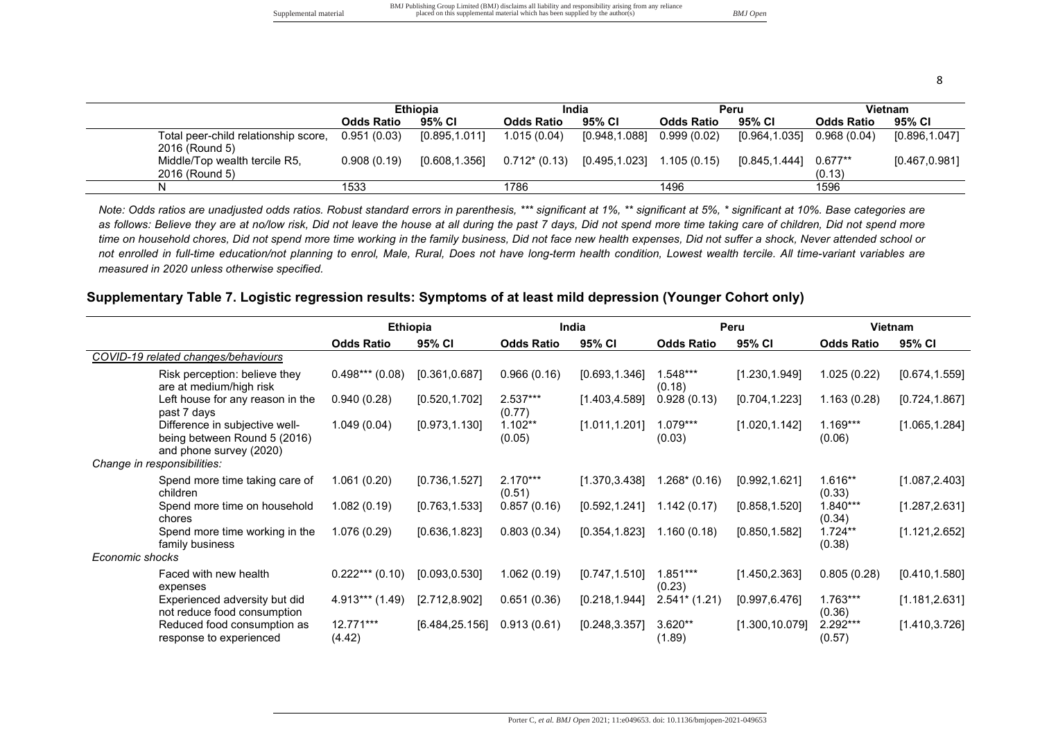|                                                        |                   | <b>Ethiopia</b> |                   | India         |                   | Peru           | Vietnam                |                |  |
|--------------------------------------------------------|-------------------|-----------------|-------------------|---------------|-------------------|----------------|------------------------|----------------|--|
|                                                        | <b>Odds Ratio</b> | 95% CI          | <b>Odds Ratio</b> | 95% CI        | <b>Odds Ratio</b> | 95% CI         | <b>Odds Ratio</b>      | 95% CI         |  |
| Total peer-child relationship score,<br>2016 (Round 5) | 0.951(0.03)       | [0.895, 1.011]  | 1.015 (0.04)      | [0.948,1.088] | 0.999(0.02)       | [0.964, 1.035] | 0.968(0.04)            | [0.896, 1.047] |  |
| Middle/Top wealth tercile R5,<br>2016 (Round 5)        | 0.908(0.19)       | [0.608, 1.356]  | $0.712*(0.13)$    | [0.495,1.023] | 1.105(0.15)       | [0.845, 1.444] | $0.677^{**}$<br>(0.13) | [0.467, 0.981] |  |
|                                                        | 1533              |                 | 1786              |               | 1496              |                | 1596                   |                |  |

*Note: Odds ratios are unadjusted odds ratios. Robust standard errors in parenthesis, \*\*\* significant at 1%, \*\* significant at 5%, \* significant at 10%. Base categories are*  as follows: Believe they are at no/low risk, Did not leave the house at all during the past 7 days, Did not spend more time taking care of children, Did not spend more *time on household chores, Did not spend more time working in the family business, Did not face new health expenses, Did not suffer a shock, Never attended school or*  not enrolled in full-time education/not planning to enrol, Male, Rural, Does not have long-term health condition, Lowest wealth tercile. All time-variant variables are *measured in 2020 unless otherwise specified.* 

#### **Supplementary Table 7. Logistic regression results: Symptoms of at least mild depression (Younger Cohort only)**

|                                                                                           |                     | <b>Ethiopia</b> |                      | India          |                      | Peru            |                      | Vietnam        |
|-------------------------------------------------------------------------------------------|---------------------|-----------------|----------------------|----------------|----------------------|-----------------|----------------------|----------------|
|                                                                                           | <b>Odds Ratio</b>   | 95% CI          | <b>Odds Ratio</b>    | 95% CI         | <b>Odds Ratio</b>    | 95% CI          | <b>Odds Ratio</b>    | 95% CI         |
| COVID-19 related changes/behaviours                                                       |                     |                 |                      |                |                      |                 |                      |                |
| Risk perception: believe they<br>are at medium/high risk                                  | $0.498***$ (0.08)   | [0.361, 0.687]  | 0.966(0.16)          | [0.693, 1.346] | $1.548***$<br>(0.18) | [1.230, 1.949]  | 1.025(0.22)          | [0.674, 1.559] |
| Left house for any reason in the<br>past 7 days                                           | 0.940(0.28)         | [0.520, 1.702]  | 2.537***<br>(0.77)   | [1.403, 4.589] | 0.928(0.13)          | [0.704, 1.223]  | 1.163(0.28)          | [0.724, 1.867] |
| Difference in subjective well-<br>being between Round 5 (2016)<br>and phone survey (2020) | 1.049(0.04)         | [0.973, 1.130]  | $1.102**$<br>(0.05)  | [1.011, 1.201] | $1.079***$<br>(0.03) | [1.020, 1.142]  | $1.169***$<br>(0.06) | [1.065, 1.284] |
| Change in responsibilities:                                                               |                     |                 |                      |                |                      |                 |                      |                |
| Spend more time taking care of<br>children                                                | 1.061(0.20)         | [0.736, 1.527]  | $2.170***$<br>(0.51) | [1.370, 3.438] | $1.268*(0.16)$       | [0.992, 1.621]  | 1.616**<br>(0.33)    | [1.087, 2.403] |
| Spend more time on household<br>chores                                                    | 1.082(0.19)         | [0.763, 1.533]  | 0.857(0.16)          | [0.592, 1.241] | 1.142(0.17)          | [0.858, 1.520]  | $1.840***$<br>(0.34) | [1.287, 2.631] |
| Spend more time working in the<br>family business                                         | 1.076(0.29)         | [0.636, 1.823]  | 0.803(0.34)          | [0.354, 1.823] | 1.160(0.18)          | [0.850, 1.582]  | $1.724**$<br>(0.38)  | [1.121, 2.652] |
| Economic shocks                                                                           |                     |                 |                      |                |                      |                 |                      |                |
| Faced with new health<br>expenses                                                         | $0.222***(0.10)$    | [0.093, 0.530]  | 1.062 (0.19)         | [0.747, 1.510] | $1.851***$<br>(0.23) | [1.450, 2.363]  | 0.805(0.28)          | [0.410, 1.580] |
| Experienced adversity but did<br>not reduce food consumption                              | $4.913***$ (1.49)   | [2.712, 8.902]  | 0.651(0.36)          | [0.218, 1.944] | $2.541*$ (1.21)      | [0.997, 6.476]  | $1.763***$<br>(0.36) | [1.181, 2.631] |
| Reduced food consumption as<br>response to experienced                                    | 12.771***<br>(4.42) | [6.484, 25.156] | 0.913(0.61)          | [0.248, 3.357] | 3.620**<br>(1.89)    | [1.300, 10.079] | 2.292***<br>(0.57)   | [1.410, 3.726] |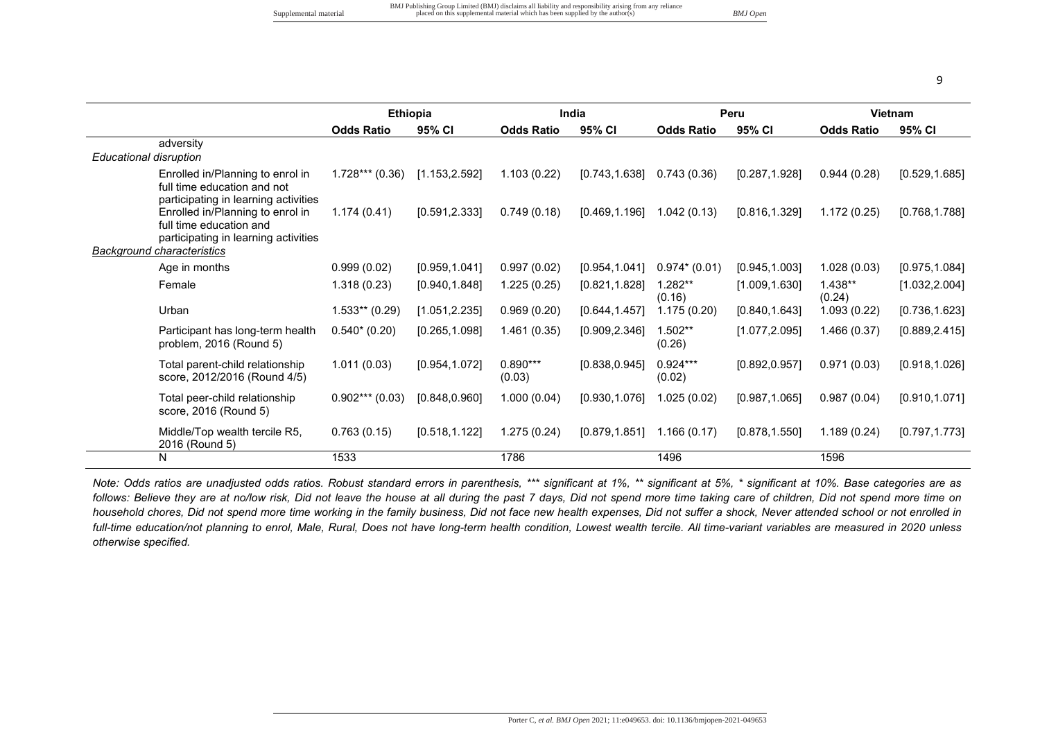|                                                                                                         |                   | <b>Ethiopia</b> |                      | India          |                      | Peru           |                     | Vietnam        |
|---------------------------------------------------------------------------------------------------------|-------------------|-----------------|----------------------|----------------|----------------------|----------------|---------------------|----------------|
|                                                                                                         | <b>Odds Ratio</b> | 95% CI          | <b>Odds Ratio</b>    | 95% CI         | <b>Odds Ratio</b>    | 95% CI         | <b>Odds Ratio</b>   | 95% CI         |
| adversity                                                                                               |                   |                 |                      |                |                      |                |                     |                |
| Educational disruption                                                                                  |                   |                 |                      |                |                      |                |                     |                |
| Enrolled in/Planning to enrol in<br>full time education and not<br>participating in learning activities | $1.728***$ (0.36) | [1.153, 2.592]  | 1.103(0.22)          | [0.743, 1.638] | 0.743(0.36)          | [0.287, 1.928] | 0.944(0.28)         | [0.529, 1.685] |
| Enrolled in/Planning to enrol in<br>full time education and<br>participating in learning activities     | 1.174(0.41)       | [0.591, 2.333]  | 0.749(0.18)          | [0.469, 1.196] | 1.042(0.13)          | [0.816, 1.329] | 1.172(0.25)         | [0.768, 1.788] |
| <b>Background characteristics</b>                                                                       |                   |                 |                      |                |                      |                |                     |                |
| Age in months                                                                                           | 0.999(0.02)       | [0.959, 1.041]  | 0.997(0.02)          | [0.954, 1.041] | $0.974*(0.01)$       | [0.945, 1.003] | 1.028(0.03)         | [0.975, 1.084] |
| Female                                                                                                  | 1.318(0.23)       | [0.940, 1.848]  | 1.225(0.25)          | [0.821, 1.828] | $1.282**$<br>(0.16)  | [1.009, 1.630] | $1.438**$<br>(0.24) | [1.032, 2.004] |
| Urban                                                                                                   | $1.533**$ (0.29)  | [1.051, 2.235]  | 0.969(0.20)          | [0.644, 1.457] | 1.175(0.20)          | [0.840, 1.643] | 1.093(0.22)         | [0.736, 1.623] |
| Participant has long-term health<br>problem, 2016 (Round 5)                                             | $0.540*(0.20)$    | [0.265, 1.098]  | 1.461(0.35)          | [0.909, 2.346] | $1.502**$<br>(0.26)  | [1.077, 2.095] | 1.466(0.37)         | [0.889, 2.415] |
| Total parent-child relationship<br>score, 2012/2016 (Round 4/5)                                         | 1.011(0.03)       | [0.954, 1.072]  | $0.890***$<br>(0.03) | [0.838, 0.945] | $0.924***$<br>(0.02) | [0.892, 0.957] | 0.971(0.03)         | [0.918, 1.026] |
| Total peer-child relationship<br>score, 2016 (Round 5)                                                  | $0.902***$ (0.03) | [0.848, 0.960]  | 1.000(0.04)          | [0.930, 1.076] | 1.025(0.02)          | [0.987, 1.065] | 0.987(0.04)         | [0.910, 1.071] |
| Middle/Top wealth tercile R5,<br>2016 (Round 5)                                                         | 0.763(0.15)       | [0.518, 1.122]  | 1.275(0.24)          | [0.879, 1.851] | 1.166(0.17)          | [0.878, 1.550] | 1.189(0.24)         | [0.797, 1.773] |
| N                                                                                                       | 1533              |                 | 1786                 |                | 1496                 |                | 1596                |                |

*Note: Odds ratios are unadjusted odds ratios. Robust standard errors in parenthesis, \*\*\* significant at 1%, \*\* significant at 5%, \* significant at 10%. Base categories are as*  follows: Believe they are at no/low risk, Did not leave the house at all during the past 7 days, Did not spend more time taking care of children, Did not spend more time on *household chores, Did not spend more time working in the family business, Did not face new health expenses, Did not suffer a shock, Never attended school or not enrolled in*  full-time education/not planning to enrol, Male, Rural, Does not have long-term health condition, Lowest wealth tercile. All time-variant variables are measured in 2020 unless *otherwise specified.*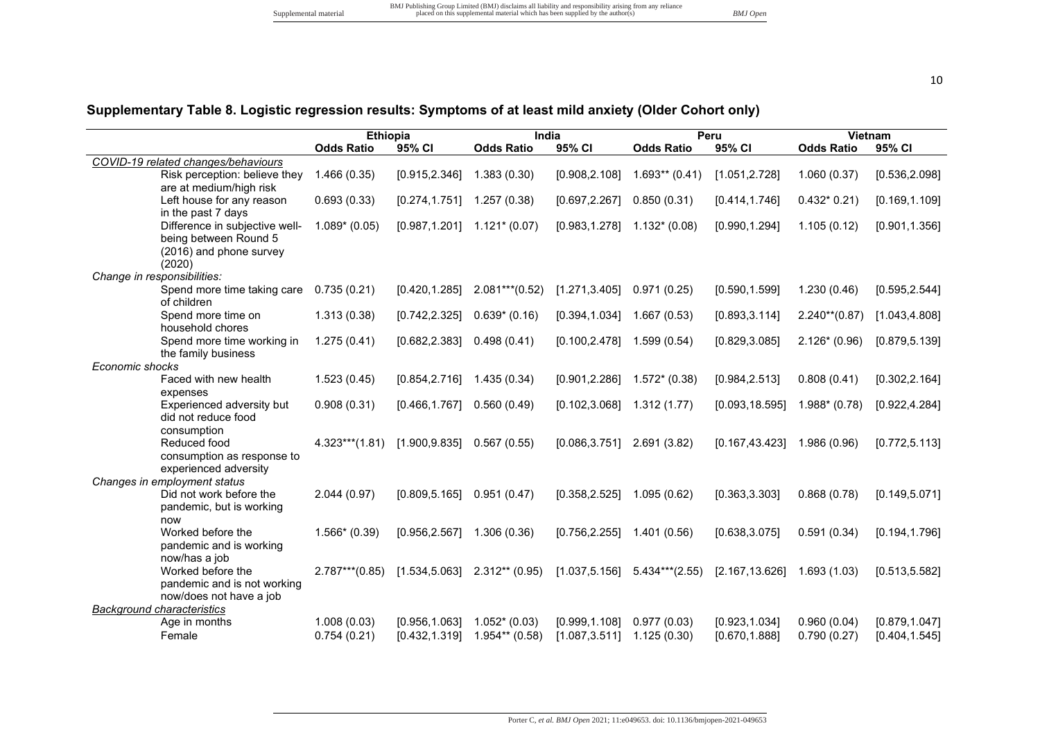# **Supplementary Table 8. Logistic regression results: Symptoms of at least mild anxiety (Older Cohort only)**

|                                                                                              | <b>Ethiopia</b>            |                                  | India                              |                                  |                            | Peru                             | <b>Vietnam</b>             |                                  |
|----------------------------------------------------------------------------------------------|----------------------------|----------------------------------|------------------------------------|----------------------------------|----------------------------|----------------------------------|----------------------------|----------------------------------|
|                                                                                              | <b>Odds Ratio</b>          | 95% CI                           | <b>Odds Ratio</b>                  | 95% CI                           | <b>Odds Ratio</b>          | 95% CI                           | <b>Odds Ratio</b>          | 95% CI                           |
| COVID-19 related changes/behaviours                                                          |                            |                                  |                                    |                                  |                            |                                  |                            |                                  |
| Risk perception: believe they<br>are at medium/high risk                                     | 1.466(0.35)                | [0.915, 2.346]                   | 1.383(0.30)                        | [0.908, 2.108]                   | $1.693**$ (0.41)           | [1.051, 2.728]                   | 1.060(0.37)                | [0.536, 2.098]                   |
| Left house for any reason<br>in the past 7 days                                              | 0.693(0.33)                | [0.274, 1.751]                   | 1.257(0.38)                        | [0.697, 2.267]                   | 0.850(0.31)                | [0.414, 1.746]                   | $0.432*0.21$               | [0.169, 1.109]                   |
| Difference in subjective well-<br>being between Round 5<br>(2016) and phone survey<br>(2020) | $1.089* (0.05)$            | [0.987, 1.201]                   | $1.121*(0.07)$                     | [0.983, 1.278]                   | $1.132*(0.08)$             | [0.990, 1.294]                   | 1.105(0.12)                | [0.901, 1.356]                   |
| Change in responsibilities:                                                                  |                            |                                  |                                    |                                  |                            |                                  |                            |                                  |
| Spend more time taking care<br>of children                                                   | 0.735(0.21)                | [0.420, 1.285]                   | $2.081***$ (0.52)                  | [1.271, 3.405]                   | 0.971(0.25)                | [0.590, 1.599]                   | 1.230(0.46)                | [0.595, 2.544]                   |
| Spend more time on<br>household chores                                                       | 1.313(0.38)                | [0.742, 2.325]                   | $0.639*(0.16)$                     | [0.394, 1.034]                   | 1.667(0.53)                | [0.893, 3.114]                   | $2.240**$ (0.87)           | [1.043, 4.808]                   |
| Spend more time working in<br>the family business                                            | 1.275(0.41)                | [0.682, 2.383]                   | 0.498(0.41)                        | [0.100, 2.478]                   | 1.599 (0.54)               | [0.829, 3.085]                   | $2.126*(0.96)$             | [0.879, 5.139]                   |
| Economic shocks                                                                              |                            |                                  |                                    |                                  |                            |                                  |                            |                                  |
| Faced with new health<br>expenses                                                            | 1.523(0.45)                | [0.854, 2.716]                   | 1.435(0.34)                        | [0.901, 2.286]                   | $1.572*(0.38)$             | [0.984, 2.513]                   | 0.808(0.41)                | [0.302, 2.164]                   |
| Experienced adversity but<br>did not reduce food<br>consumption                              | 0.908(0.31)                | [0.466, 1.767]                   | 0.560(0.49)                        | [0.102, 3.068]                   | 1.312(1.77)                | [0.093, 18.595]                  | $1.988* (0.78)$            | [0.922, 4.284]                   |
| Reduced food<br>consumption as response to<br>experienced adversity                          | $4.323***$ (1.81)          | [1.900, 9.835]                   | 0.567(0.55)                        | [0.086, 3.751]                   | 2.691 (3.82)               | [0.167, 43.423]                  | 1.986 (0.96)               | [0.772, 5.113]                   |
| Changes in employment status                                                                 |                            |                                  |                                    |                                  |                            |                                  |                            |                                  |
| Did not work before the<br>pandemic, but is working<br>now                                   | 2.044(0.97)                | [0.809, 5.165]                   | 0.951(0.47)                        | [0.358, 2.525]                   | 1.095(0.62)                | [0.363, 3.303]                   | 0.868(0.78)                | [0.149, 5.071]                   |
| Worked before the<br>pandemic and is working                                                 | $1.566*(0.39)$             | [0.956, 2.567]                   | 1.306 (0.36)                       | [0.756, 2.255]                   | 1.401 (0.56)               | [0.638, 3.075]                   | 0.591(0.34)                | [0.194, 1.796]                   |
| now/has a job<br>Worked before the<br>pandemic and is not working<br>now/does not have a job | $2.787***$ (0.85)          | [1.534, 5.063]                   | $2.312**$ (0.95)                   | [1.037, 5.156]                   | $5.434***$ (2.55)          | [2.167, 13.626]                  | 1.693(1.03)                | [0.513, 5.582]                   |
| <b>Background characteristics</b>                                                            |                            |                                  |                                    |                                  |                            |                                  |                            |                                  |
| Age in months<br>Female                                                                      | 1.008(0.03)<br>0.754(0.21) | [0.956, 1.063]<br>[0.432, 1.319] | $1.052*(0.03)$<br>$1.954**$ (0.58) | [0.999, 1.108]<br>[1.087, 3.511] | 0.977(0.03)<br>1.125(0.30) | [0.923, 1.034]<br>[0.670, 1.888] | 0.960(0.04)<br>0.790(0.27) | [0.879, 1.047]<br>[0.404, 1.545] |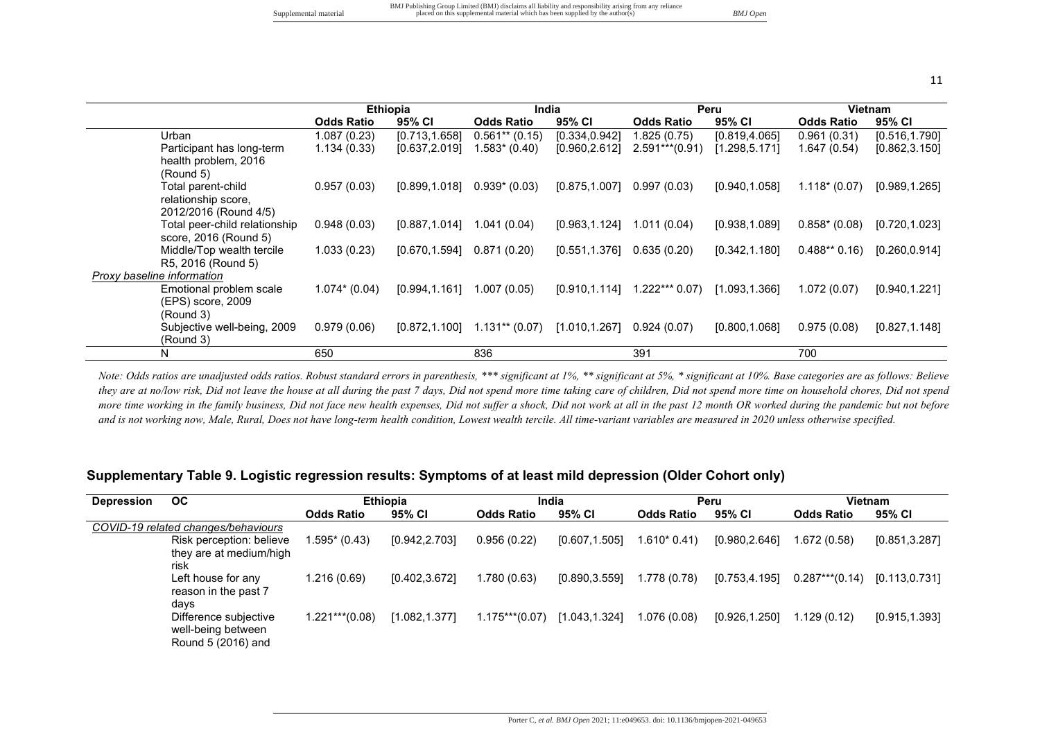|                                                                    | <b>Ethiopia</b>   |                | India             |                |                   | Peru           |                   | Vietnam        |
|--------------------------------------------------------------------|-------------------|----------------|-------------------|----------------|-------------------|----------------|-------------------|----------------|
|                                                                    | <b>Odds Ratio</b> | 95% CI         | <b>Odds Ratio</b> | 95% CI         | <b>Odds Ratio</b> | 95% CI         | <b>Odds Ratio</b> | 95% CI         |
| Urban                                                              | 1.087(0.23)       | [0.713, 1.658] | $0.561**$ (0.15)  | [0.334, 0.942] | 1.825 (0.75)      | [0.819, 4.065] | 0.961(0.31)       | [0.516, 1.790] |
| Participant has long-term<br>health problem, 2016<br>(Round 5)     | 1.134(0.33)       | [0.637, 2.019] | 1.583* (0.40)     | [0.960, 2.612] | $2.591***$ (0.91) | [1.298, 5.171] | 1.647(0.54)       | [0.862, 3.150] |
| Total parent-child<br>relationship score,<br>2012/2016 (Round 4/5) | 0.957(0.03)       | [0.899, 1.018] | $0.939*(0.03)$    | [0.875, 1.007] | 0.997(0.03)       | [0.940.1.058]  | $1.118*(0.07)$    | [0.989, 1.265] |
| Total peer-child relationship<br>score, 2016 (Round 5)             | 0.948(0.03)       | [0.887, 1.014] | 1.041(0.04)       | [0.963, 1.124] | 1.011(0.04)       | [0.938, 1.089] | $0.858*(0.08)$    | [0.720, 1.023] |
| Middle/Top wealth tercile<br>R5, 2016 (Round 5)                    | 1.033(0.23)       | [0.670, 1.594] | 0.871(0.20)       | [0.551, 1.376] | 0.635(0.20)       | [0.342, 1.180] | $0.488**0.16$     | [0.260, 0.914] |
| <b>Proxy baseline information</b>                                  |                   |                |                   |                |                   |                |                   |                |
| Emotional problem scale<br>(EPS) score, 2009<br>(Round 3)          | $1.074*(0.04)$    | [0.994, 1.161] | 1.007(0.05)       | [0.910, 1.114] | $1.222***0.07)$   | [1.093, 1.366] | 1.072(0.07)       | [0.940, 1.221] |
| Subjective well-being, 2009<br>(Round 3)                           | 0.979(0.06)       | [0.872, 1.100] | $1.131**$ (0.07)  | [1.010, 1.267] | 0.924(0.07)       | [0.800.1.068]  | 0.975(0.08)       | [0.827, 1.148] |
| N                                                                  | 650               |                | 836               |                | 391               |                | 700               |                |

*Note: Odds ratios are unadjusted odds ratios. Robust standard errors in parenthesis, \*\*\* significant at 1%, \*\* significant at 5%, \* significant at 10%. Base categories are as follows: Believe*  they are at no/low risk, Did not leave the house at all during the past 7 days, Did not spend more time of children, Did not spend more time on household chores, Did not spend *more time working in the family business, Did not face new health expenses, Did not suffer a shock, Did not work at all in the past 12 month OR worked during the pandemic but not before and is not working now, Male, Rural, Does not have long-term health condition, Lowest wealth tercile. All time-variant variables are measured in 2020 unless otherwise specified.*

#### **Supplementary Table 9. Logistic regression results: Symptoms of at least mild depression (Older Cohort only)**

| <b>Depression</b> | <b>OC</b>                                                         |                   | <b>Ethiopia</b> | India             |                |                   | Peru           |                   | Vietnam        |
|-------------------|-------------------------------------------------------------------|-------------------|-----------------|-------------------|----------------|-------------------|----------------|-------------------|----------------|
|                   |                                                                   | <b>Odds Ratio</b> | 95% CI          | <b>Odds Ratio</b> | 95% CI         | <b>Odds Ratio</b> | 95% CI         | <b>Odds Ratio</b> | 95% CI         |
|                   | COVID-19 related changes/behaviours                               |                   |                 |                   |                |                   |                |                   |                |
|                   | Risk perception: believe                                          | 1.595* (0.43)     | [0.942, 2.703]  | 0.956(0.22)       | [0.607, 1.505] | $1.610*0.41$      | [0.980, 2.646] | 1.672 (0.58)      | [0.851, 3.287] |
|                   | they are at medium/high<br>risk                                   |                   |                 |                   |                |                   |                |                   |                |
|                   | Left house for any<br>reason in the past 7                        | 1.216(0.69)       | [0.402, 3.672]  | 1.780 (0.63)      | [0.890.3.559]  | 1.778 (0.78)      | [0.753, 4.195] | $0.287***$ (0.14) | [0.113, 0.731] |
|                   | days                                                              |                   |                 |                   |                |                   |                |                   |                |
|                   | Difference subjective<br>well-being between<br>Round 5 (2016) and | $1.221***$ (0.08) | [1.082,1.377]   | $1.175***$ (0.07) | [1.043, 1.324] | 1.076 (0.08)      | [0.926, 1.250] | 1.129 (0.12)      | [0.915, 1.393] |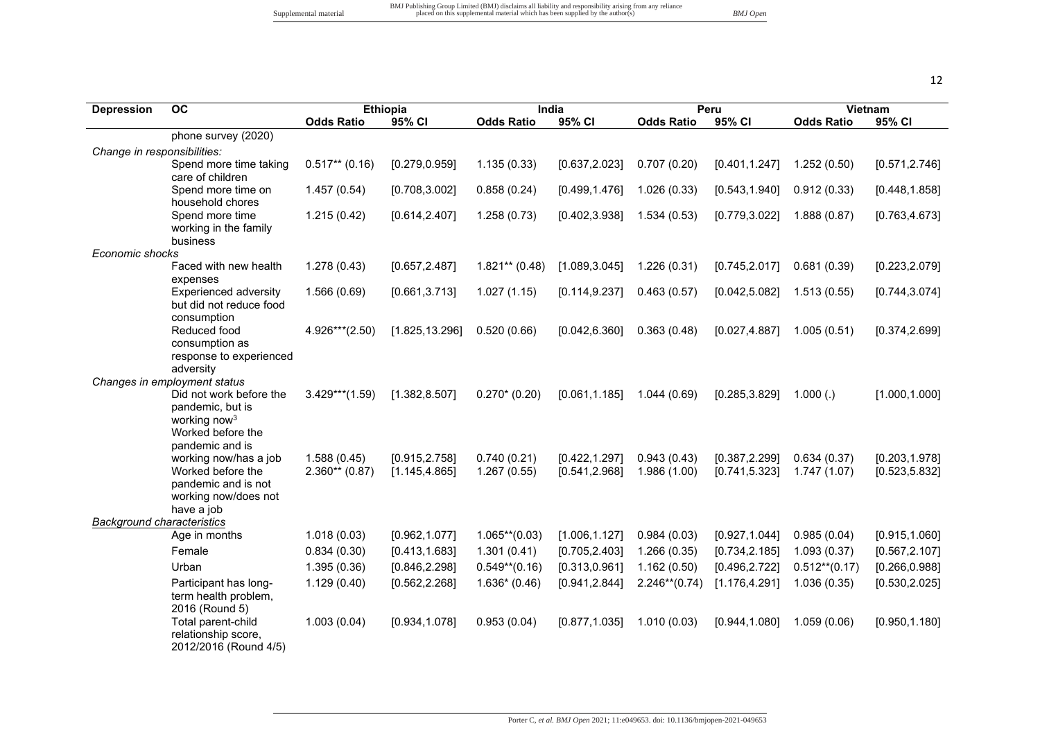| <b>Depression</b>                 | <b>OC</b>                                     |                   | <b>Ethiopia</b> |                   | India          |                   | Peru           |                   | Vietnam        |
|-----------------------------------|-----------------------------------------------|-------------------|-----------------|-------------------|----------------|-------------------|----------------|-------------------|----------------|
|                                   |                                               | <b>Odds Ratio</b> | 95% CI          | <b>Odds Ratio</b> | 95% CI         | <b>Odds Ratio</b> | 95% CI         | <b>Odds Ratio</b> | 95% CI         |
|                                   | phone survey (2020)                           |                   |                 |                   |                |                   |                |                   |                |
| Change in responsibilities:       |                                               |                   |                 |                   |                |                   |                |                   |                |
|                                   | Spend more time taking                        | $0.517**$ (0.16)  | [0.279, 0.959]  | 1.135(0.33)       | [0.637, 2.023] | 0.707(0.20)       | [0.401, 1.247] | 1.252(0.50)       | [0.571, 2.746] |
|                                   | care of children<br>Spend more time on        | 1.457(0.54)       | [0.708, 3.002]  | 0.858(0.24)       | [0.499, 1.476] | 1.026(0.33)       | [0.543, 1.940] | 0.912(0.33)       | [0.448, 1.858] |
|                                   | household chores                              |                   |                 |                   |                |                   |                |                   |                |
|                                   | Spend more time                               | 1.215(0.42)       | [0.614, 2.407]  | 1.258(0.73)       | [0.402, 3.938] | 1.534(0.53)       | [0.779, 3.022] | 1.888(0.87)       | [0.763, 4.673] |
|                                   | working in the family                         |                   |                 |                   |                |                   |                |                   |                |
|                                   | business                                      |                   |                 |                   |                |                   |                |                   |                |
| Economic shocks                   | Faced with new health                         |                   |                 |                   |                |                   |                |                   |                |
|                                   | expenses                                      | 1.278(0.43)       | [0.657, 2.487]  | $1.821**$ (0.48)  | [1.089, 3.045] | 1.226(0.31)       | [0.745, 2.017] | 0.681(0.39)       | [0.223, 2.079] |
|                                   | Experienced adversity                         | 1.566(0.69)       | [0.661, 3.713]  | 1.027(1.15)       | [0.114, 9.237] | 0.463(0.57)       | [0.042, 5.082] | 1.513(0.55)       | [0.744, 3.074] |
|                                   | but did not reduce food                       |                   |                 |                   |                |                   |                |                   |                |
|                                   | consumption                                   |                   |                 |                   |                |                   |                |                   |                |
|                                   | Reduced food                                  | 4.926***(2.50)    | [1.825, 13.296] | 0.520(0.66)       | [0.042, 6.360] | 0.363(0.48)       | [0.027, 4.887] | 1.005(0.51)       | [0.374, 2.699] |
|                                   | consumption as<br>response to experienced     |                   |                 |                   |                |                   |                |                   |                |
|                                   | adversity                                     |                   |                 |                   |                |                   |                |                   |                |
|                                   | Changes in employment status                  |                   |                 |                   |                |                   |                |                   |                |
|                                   | Did not work before the                       | $3.429***$ (1.59) | [1.382, 8.507]  | $0.270*(0.20)$    | [0.061, 1.185] | 1.044(0.69)       | [0.285, 3.829] | 1.000(.)          | [1.000, 1.000] |
|                                   | pandemic, but is                              |                   |                 |                   |                |                   |                |                   |                |
|                                   | working now <sup>3</sup><br>Worked before the |                   |                 |                   |                |                   |                |                   |                |
|                                   | pandemic and is                               |                   |                 |                   |                |                   |                |                   |                |
|                                   | working now/has a job                         | 1.588(0.45)       | [0.915, 2.758]  | 0.740(0.21)       | [0.422, 1.297] | 0.943(0.43)       | [0.387, 2.299] | 0.634(0.37)       | [0.203, 1.978] |
|                                   | Worked before the                             | $2.360**$ (0.87)  | [1.145, 4.865]  | 1.267(0.55)       | [0.541, 2.968] | 1.986 (1.00)      | [0.741, 5.323] | 1.747 (1.07)      | [0.523, 5.832] |
|                                   | pandemic and is not                           |                   |                 |                   |                |                   |                |                   |                |
|                                   | working now/does not<br>have a job            |                   |                 |                   |                |                   |                |                   |                |
| <b>Background characteristics</b> |                                               |                   |                 |                   |                |                   |                |                   |                |
|                                   | Age in months                                 | 1.018(0.03)       | [0.962, 1.077]  | $1.065**$ (0.03)  | [1.006, 1.127] | 0.984(0.03)       | [0.927, 1.044] | 0.985(0.04)       | [0.915, 1.060] |
|                                   | Female                                        | 0.834(0.30)       | [0.413, 1.683]  | 1.301(0.41)       | [0.705, 2.403] | 1.266(0.35)       | [0.734, 2.185] | 1.093(0.37)       | [0.567, 2.107] |
|                                   | Urban                                         | 1.395(0.36)       | [0.846, 2.298]  | $0.549**$ (0.16)  | [0.313, 0.961] | 1.162(0.50)       | [0.496, 2.722] | $0.512**$ (0.17)  | [0.266, 0.988] |
|                                   | Participant has long-                         | 1.129(0.40)       | [0.562, 2.268]  | $1.636*(0.46)$    | [0.941, 2.844] | $2.246**$ (0.74)  | [1.176, 4.291] | 1.036(0.35)       | [0.530, 2.025] |
|                                   | term health problem,                          |                   |                 |                   |                |                   |                |                   |                |
|                                   | 2016 (Round 5)                                |                   |                 |                   |                |                   |                |                   |                |
|                                   | Total parent-child<br>relationship score,     | 1.003(0.04)       | [0.934, 1.078]  | 0.953(0.04)       | [0.877, 1.035] | 1.010(0.03)       | [0.944, 1.080] | 1.059(0.06)       | [0.950, 1.180] |
|                                   | 2012/2016 (Round 4/5)                         |                   |                 |                   |                |                   |                |                   |                |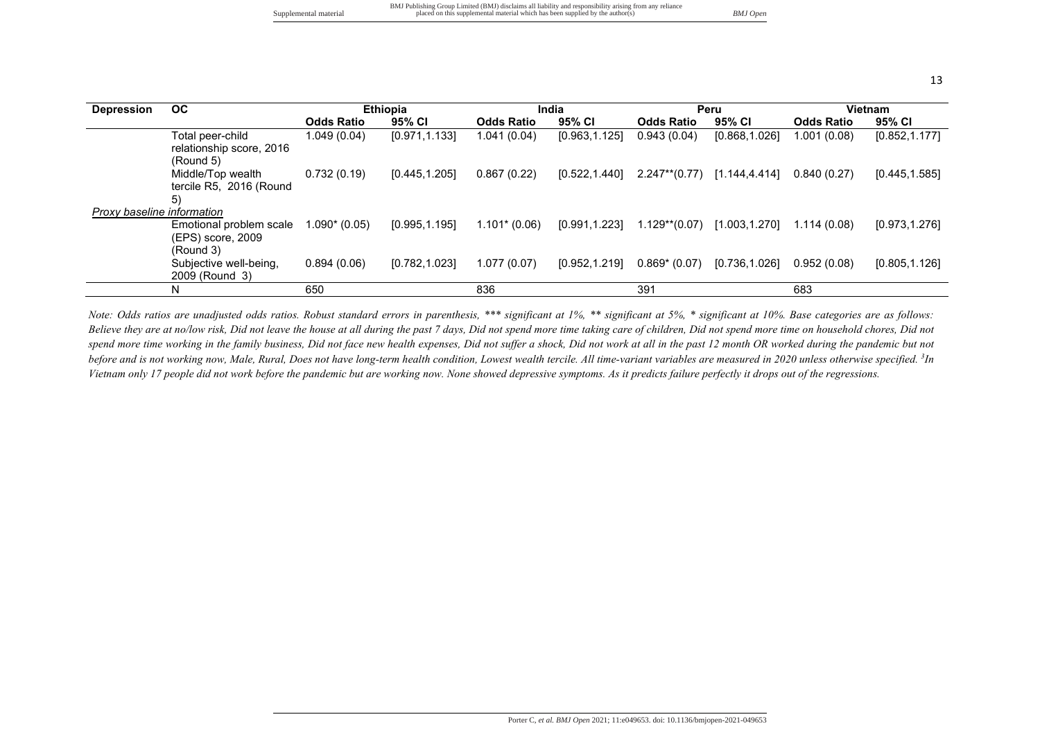|                       | BMJ Publishing Group Limited (BMJ) disclaims all liability and responsibility arising from any reliance |          |
|-----------------------|---------------------------------------------------------------------------------------------------------|----------|
| Supplemental material | placed on this supplemental material which has been supplied by the author(s)                           | BMJ Open |

| <b>Depression</b>          | <b>OC</b>                                                 |                   | <b>Ethiopia</b> |                   | India          |                                | Peru           |                   | <b>Vietnam</b> |
|----------------------------|-----------------------------------------------------------|-------------------|-----------------|-------------------|----------------|--------------------------------|----------------|-------------------|----------------|
|                            |                                                           | <b>Odds Ratio</b> | 95% CI          | <b>Odds Ratio</b> | 95% CI         | <b>Odds Ratio</b>              | 95% CI         | <b>Odds Ratio</b> | 95% CI         |
|                            | Total peer-child<br>relationship score, 2016<br>(Round 5) | 1.049(0.04)       | [0.971, 1.133]  | 1.041(0.04)       | [0.963, 1.125] | 0.943(0.04)                    | [0.868, 1.026] | 1.001 (0.08)      | [0.852, 1.177] |
|                            | Middle/Top wealth<br>tercile R5, 2016 (Round<br>5)        | 0.732(0.19)       | [0.445, 1.205]  | 0.867(0.22)       | [0.522,1.440]  | $2.247**$ (0.77) [1.144,4.414] |                | 0.840(0.27)       | [0.445, 1.585] |
| Proxy baseline information |                                                           |                   |                 |                   |                |                                |                |                   |                |
|                            | Emotional problem scale<br>(EPS) score, 2009<br>(Round 3) | $1.090*(0.05)$    | [0.995, 1.195]  | $1.101*(0.06)$    | [0.991, 1.223] | $1.129**$ (0.07)               | [1.003, 1.270] | 1.114(0.08)       | [0.973, 1.276] |
|                            | Subjective well-being,<br>2009 (Round 3)                  | 0.894(0.06)       | [0.782, 1.023]  | 1.077(0.07)       | [0.952, 1.219] | $0.869* (0.07)$                | [0.736, 1.026] | 0.952(0.08)       | [0.805, 1.126] |
|                            | N                                                         | 650               |                 | 836               |                | 391                            |                | 683               |                |

*Note: Odds ratios are unadjusted odds ratios. Robust standard errors in parenthesis, \*\*\* significant at 1%, \*\* significant at 5%, \* significant at 10%. Base categories are as follows: Believe they are at no/low risk, Did not leave the house at all during the past 7 days, Did not spend more time taking care of children, Did not spend more time on household chores, Did not*  spend more time working in the family business, Did not face new health expenses, Did not suffer a shock, Did not work at all in the past 12 month OR worked during the pandemic but not before and is not working now, Male, Rural, Does not have long-term health condition, Lowest wealth tercile. All time-variant variables are measured in 2020 unless otherwise specified. <sup>3</sup>In *Vietnam only 17 people did not work before the pandemic but are working now. None showed depressive symptoms. As it predicts failure perfectly it drops out of the regressions.*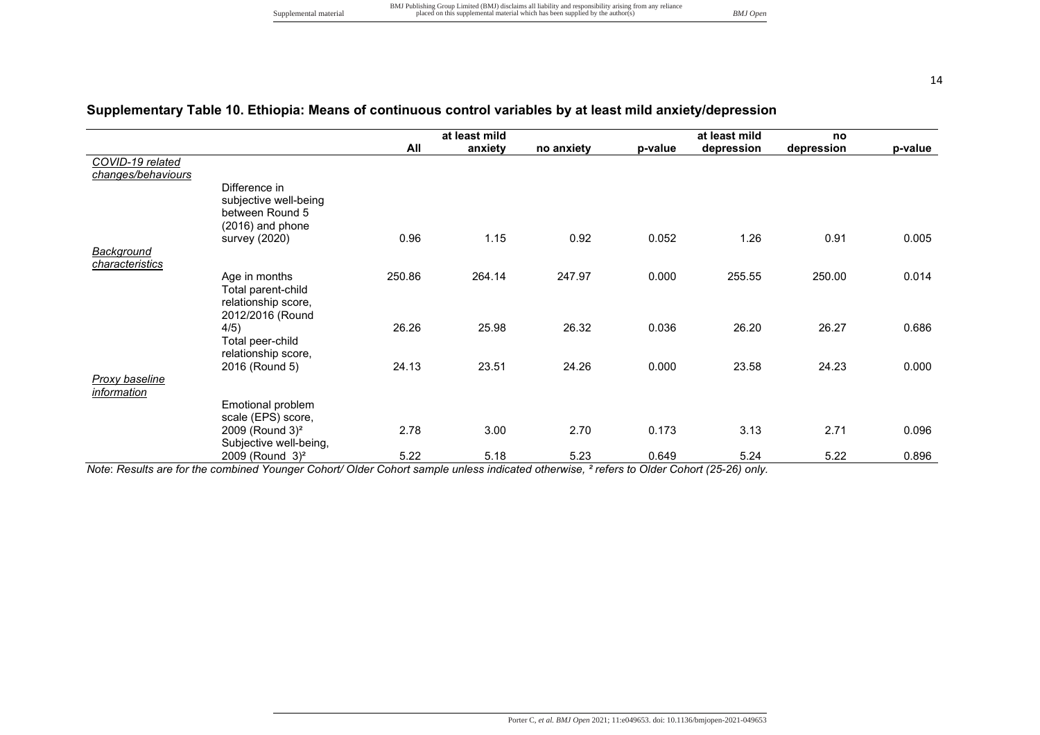# **Supplementary Table 10. Ethiopia: Means of continuous control variables by at least mild anxiety/depression**

|                                                                                                                                                                                                                                                                                                                                                                                          | at least mild                  |                                         |                                |                                           | no                                              |                                         |
|------------------------------------------------------------------------------------------------------------------------------------------------------------------------------------------------------------------------------------------------------------------------------------------------------------------------------------------------------------------------------------------|--------------------------------|-----------------------------------------|--------------------------------|-------------------------------------------|-------------------------------------------------|-----------------------------------------|
| All                                                                                                                                                                                                                                                                                                                                                                                      | anxiety                        | no anxiety                              | p-value                        | depression                                | depression                                      | p-value                                 |
|                                                                                                                                                                                                                                                                                                                                                                                          |                                |                                         |                                |                                           |                                                 |                                         |
|                                                                                                                                                                                                                                                                                                                                                                                          |                                |                                         |                                |                                           |                                                 |                                         |
|                                                                                                                                                                                                                                                                                                                                                                                          |                                |                                         |                                |                                           |                                                 |                                         |
|                                                                                                                                                                                                                                                                                                                                                                                          |                                |                                         |                                |                                           |                                                 |                                         |
|                                                                                                                                                                                                                                                                                                                                                                                          |                                |                                         |                                |                                           |                                                 |                                         |
|                                                                                                                                                                                                                                                                                                                                                                                          |                                |                                         |                                |                                           |                                                 |                                         |
|                                                                                                                                                                                                                                                                                                                                                                                          |                                |                                         |                                |                                           |                                                 | 0.005                                   |
|                                                                                                                                                                                                                                                                                                                                                                                          |                                |                                         |                                |                                           |                                                 |                                         |
|                                                                                                                                                                                                                                                                                                                                                                                          |                                |                                         |                                |                                           |                                                 | 0.014                                   |
|                                                                                                                                                                                                                                                                                                                                                                                          |                                |                                         |                                |                                           |                                                 |                                         |
|                                                                                                                                                                                                                                                                                                                                                                                          |                                |                                         |                                |                                           |                                                 |                                         |
|                                                                                                                                                                                                                                                                                                                                                                                          |                                |                                         |                                |                                           |                                                 |                                         |
| 26.26                                                                                                                                                                                                                                                                                                                                                                                    | 25.98                          | 26.32                                   | 0.036                          | 26.20                                     | 26.27                                           | 0.686                                   |
|                                                                                                                                                                                                                                                                                                                                                                                          |                                |                                         |                                |                                           |                                                 |                                         |
|                                                                                                                                                                                                                                                                                                                                                                                          |                                |                                         |                                |                                           |                                                 |                                         |
| 24.13                                                                                                                                                                                                                                                                                                                                                                                    |                                | 24.26                                   |                                | 23.58                                     |                                                 | 0.000                                   |
|                                                                                                                                                                                                                                                                                                                                                                                          |                                |                                         |                                |                                           |                                                 |                                         |
|                                                                                                                                                                                                                                                                                                                                                                                          |                                |                                         |                                |                                           |                                                 |                                         |
|                                                                                                                                                                                                                                                                                                                                                                                          |                                |                                         |                                |                                           |                                                 |                                         |
|                                                                                                                                                                                                                                                                                                                                                                                          |                                |                                         |                                |                                           |                                                 |                                         |
|                                                                                                                                                                                                                                                                                                                                                                                          |                                |                                         |                                |                                           |                                                 | 0.096                                   |
|                                                                                                                                                                                                                                                                                                                                                                                          |                                |                                         |                                |                                           |                                                 | 0.896                                   |
| Difference in<br>subjective well-being<br>between Round 5<br>(2016) and phone<br>survey (2020)<br>Age in months<br>Total parent-child<br>relationship score,<br>2012/2016 (Round<br>4/5)<br>Total peer-child<br>relationship score,<br>2016 (Round 5)<br>Emotional problem<br>scale (EPS) score,<br>2009 (Round 3) <sup>2</sup><br>Subjective well-being,<br>2009 (Round 3) <sup>2</sup> | 0.96<br>250.86<br>2.78<br>5.22 | 1.15<br>264.14<br>23.51<br>3.00<br>5.18 | 0.92<br>247.97<br>2.70<br>5.23 | 0.052<br>0.000<br>0.000<br>0.173<br>0.649 | at least mild<br>1.26<br>255.55<br>3.13<br>5.24 | 0.91<br>250.00<br>24.23<br>2.71<br>5.22 |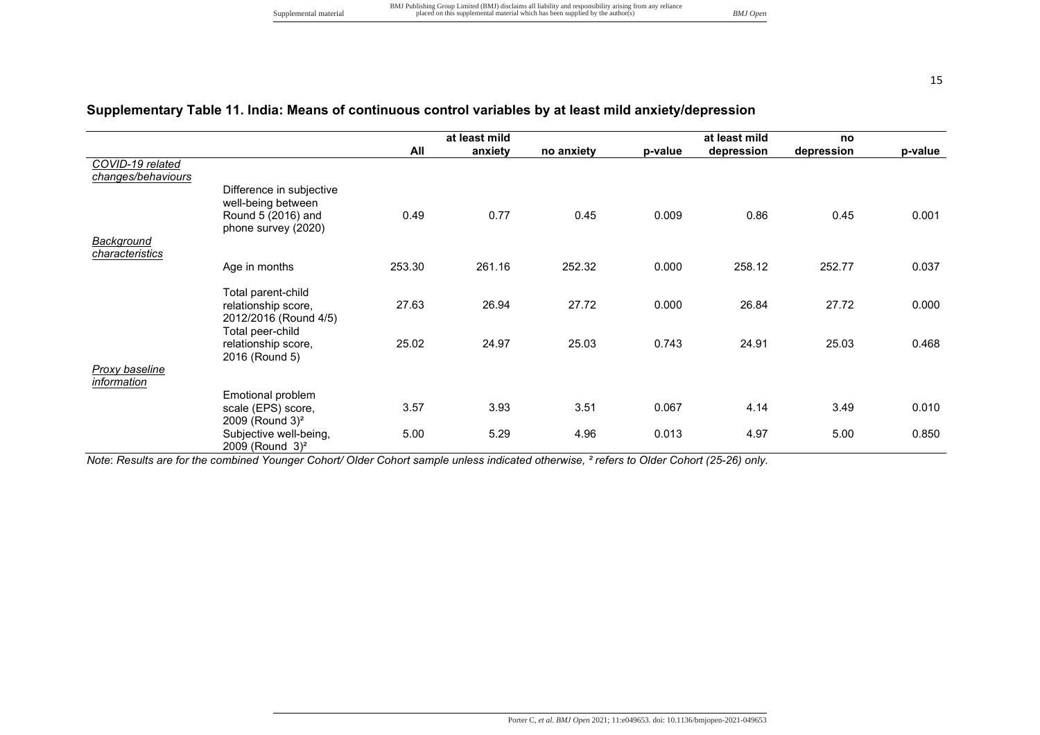# **Supplementary Table 11. India: Means of continuous control variables by at least mild anxiety/depression**

|                    |                             |        | at least mild |            |         | at least mild | no         |         |
|--------------------|-----------------------------|--------|---------------|------------|---------|---------------|------------|---------|
|                    |                             | All    | anxiety       | no anxiety | p-value | depression    | depression | p-value |
| COVID-19 related   |                             |        |               |            |         |               |            |         |
| changes/behaviours |                             |        |               |            |         |               |            |         |
|                    | Difference in subjective    |        |               |            |         |               |            |         |
|                    | well-being between          |        |               |            |         |               |            |         |
|                    | Round 5 (2016) and          | 0.49   | 0.77          | 0.45       | 0.009   | 0.86          | 0.45       | 0.001   |
|                    | phone survey (2020)         |        |               |            |         |               |            |         |
| Background         |                             |        |               |            |         |               |            |         |
| characteristics    |                             |        |               |            |         |               |            |         |
|                    | Age in months               | 253.30 | 261.16        | 252.32     | 0.000   | 258.12        | 252.77     | 0.037   |
|                    | Total parent-child          |        |               |            |         |               |            |         |
|                    | relationship score,         | 27.63  | 26.94         | 27.72      | 0.000   | 26.84         | 27.72      | 0.000   |
|                    | 2012/2016 (Round 4/5)       |        |               |            |         |               |            |         |
|                    | Total peer-child            |        |               |            |         |               |            |         |
|                    | relationship score,         | 25.02  | 24.97         | 25.03      | 0.743   | 24.91         | 25.03      | 0.468   |
|                    | 2016 (Round 5)              |        |               |            |         |               |            |         |
| Proxy baseline     |                             |        |               |            |         |               |            |         |
| <i>information</i> |                             |        |               |            |         |               |            |         |
|                    | Emotional problem           |        |               |            |         |               |            |         |
|                    | scale (EPS) score,          | 3.57   | 3.93          | 3.51       | 0.067   | 4.14          | 3.49       | 0.010   |
|                    | 2009 (Round 3) <sup>2</sup> |        |               |            |         |               |            |         |
|                    | Subjective well-being,      | 5.00   | 5.29          | 4.96       | 0.013   | 4.97          | 5.00       | 0.850   |
|                    | 2009 (Round 3) <sup>2</sup> |        |               |            |         |               |            |         |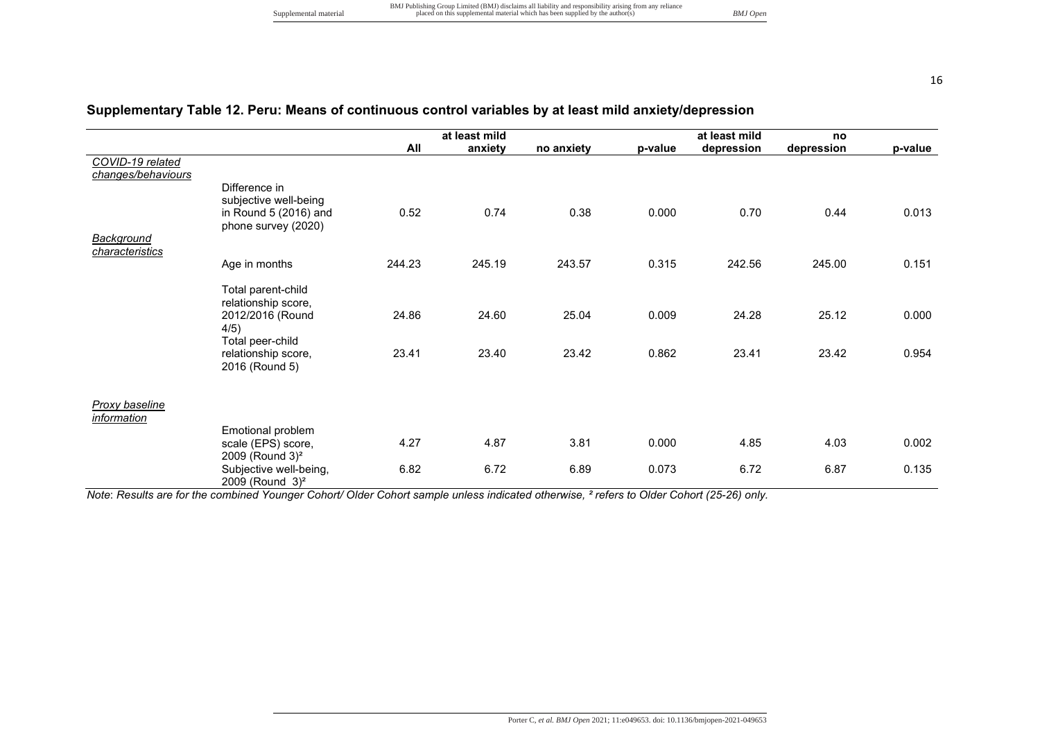# **Supplementary Table 12. Peru: Means of continuous control variables by at least mild anxiety/depression**

|                       |                             |        | at least mild |            |         | at least mild | no         |         |
|-----------------------|-----------------------------|--------|---------------|------------|---------|---------------|------------|---------|
|                       |                             | All    | anxiety       | no anxiety | p-value | depression    | depression | p-value |
| COVID-19 related      |                             |        |               |            |         |               |            |         |
| changes/behaviours    |                             |        |               |            |         |               |            |         |
|                       | Difference in               |        |               |            |         |               |            |         |
|                       | subjective well-being       |        |               |            |         |               |            |         |
|                       | in Round 5 (2016) and       | 0.52   | 0.74          | 0.38       | 0.000   | 0.70          | 0.44       | 0.013   |
| <b>Background</b>     | phone survey (2020)         |        |               |            |         |               |            |         |
| characteristics       |                             |        |               |            |         |               |            |         |
|                       | Age in months               | 244.23 | 245.19        | 243.57     | 0.315   | 242.56        | 245.00     | 0.151   |
|                       |                             |        |               |            |         |               |            |         |
|                       | Total parent-child          |        |               |            |         |               |            |         |
|                       | relationship score,         |        |               |            |         |               |            |         |
|                       | 2012/2016 (Round            | 24.86  | 24.60         | 25.04      | 0.009   | 24.28         | 25.12      | 0.000   |
|                       | 4/5)                        |        |               |            |         |               |            |         |
|                       | Total peer-child            |        |               |            |         |               |            |         |
|                       | relationship score,         | 23.41  | 23.40         | 23.42      | 0.862   | 23.41         | 23.42      | 0.954   |
|                       | 2016 (Round 5)              |        |               |            |         |               |            |         |
|                       |                             |        |               |            |         |               |            |         |
| <b>Proxy baseline</b> |                             |        |               |            |         |               |            |         |
| information           |                             |        |               |            |         |               |            |         |
|                       | Emotional problem           |        |               |            |         |               |            |         |
|                       | scale (EPS) score,          | 4.27   | 4.87          | 3.81       | 0.000   | 4.85          | 4.03       | 0.002   |
|                       | 2009 (Round 3) <sup>2</sup> |        |               |            |         |               |            |         |
|                       | Subjective well-being,      | 6.82   | 6.72          | 6.89       | 0.073   | 6.72          | 6.87       | 0.135   |
|                       | 2009 (Round 3) <sup>2</sup> |        |               |            |         |               |            |         |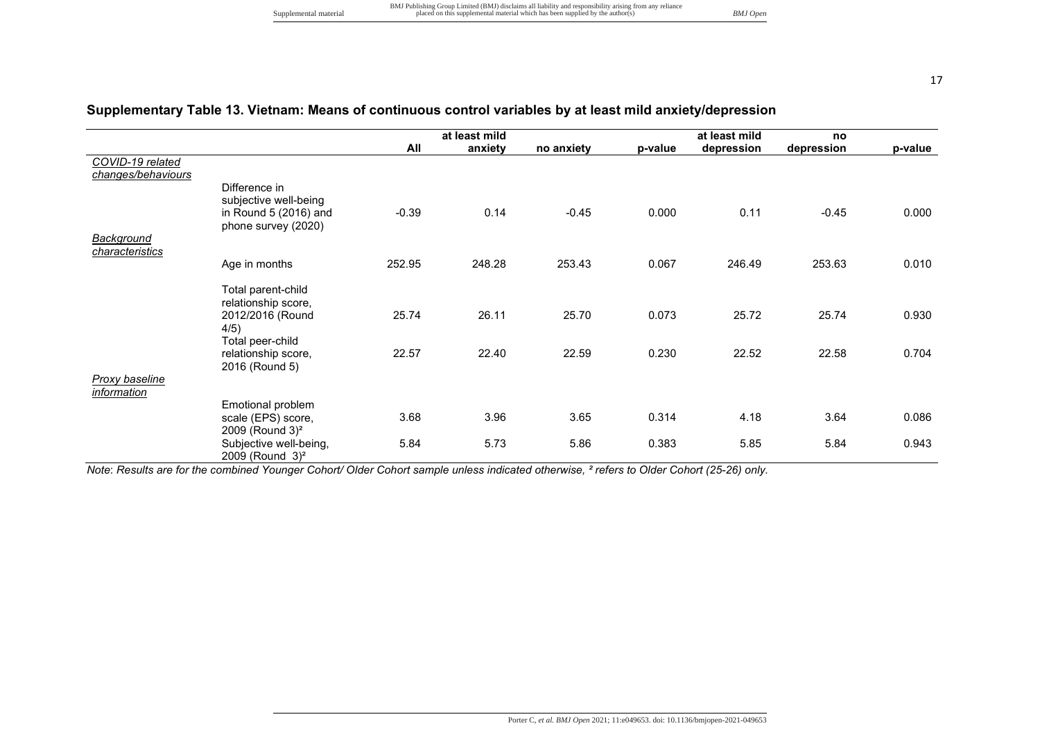# **Supplementary Table 13. Vietnam: Means of continuous control variables by at least mild anxiety/depression**

|                                      |                             |         | at least mild |            |         | at least mild | no         |         |
|--------------------------------------|-----------------------------|---------|---------------|------------|---------|---------------|------------|---------|
|                                      |                             | All     | anxiety       | no anxiety | p-value | depression    | depression | p-value |
| COVID-19 related                     |                             |         |               |            |         |               |            |         |
| changes/behaviours                   |                             |         |               |            |         |               |            |         |
|                                      | Difference in               |         |               |            |         |               |            |         |
|                                      | subjective well-being       |         |               |            |         |               |            |         |
|                                      | in Round 5 (2016) and       | $-0.39$ | 0.14          | $-0.45$    | 0.000   | 0.11          | $-0.45$    | 0.000   |
|                                      | phone survey (2020)         |         |               |            |         |               |            |         |
| <b>Background</b><br>characteristics |                             |         |               |            |         |               |            |         |
|                                      | Age in months               | 252.95  | 248.28        | 253.43     | 0.067   | 246.49        | 253.63     | 0.010   |
|                                      |                             |         |               |            |         |               |            |         |
|                                      | Total parent-child          |         |               |            |         |               |            |         |
|                                      | relationship score,         |         |               |            |         |               |            |         |
|                                      | 2012/2016 (Round            | 25.74   | 26.11         | 25.70      | 0.073   | 25.72         | 25.74      | 0.930   |
|                                      | 4/5)                        |         |               |            |         |               |            |         |
|                                      | Total peer-child            |         |               |            |         |               |            |         |
|                                      | relationship score,         | 22.57   | 22.40         | 22.59      | 0.230   | 22.52         | 22.58      | 0.704   |
|                                      | 2016 (Round 5)              |         |               |            |         |               |            |         |
| <b>Proxy baseline</b>                |                             |         |               |            |         |               |            |         |
| <i>information</i>                   | Emotional problem           |         |               |            |         |               |            |         |
|                                      | scale (EPS) score,          | 3.68    | 3.96          | 3.65       | 0.314   | 4.18          | 3.64       | 0.086   |
|                                      | 2009 (Round 3) <sup>2</sup> |         |               |            |         |               |            |         |
|                                      | Subjective well-being,      | 5.84    | 5.73          | 5.86       | 0.383   | 5.85          | 5.84       | 0.943   |
|                                      | $2009$ (Round $3)^2$        |         |               |            |         |               |            |         |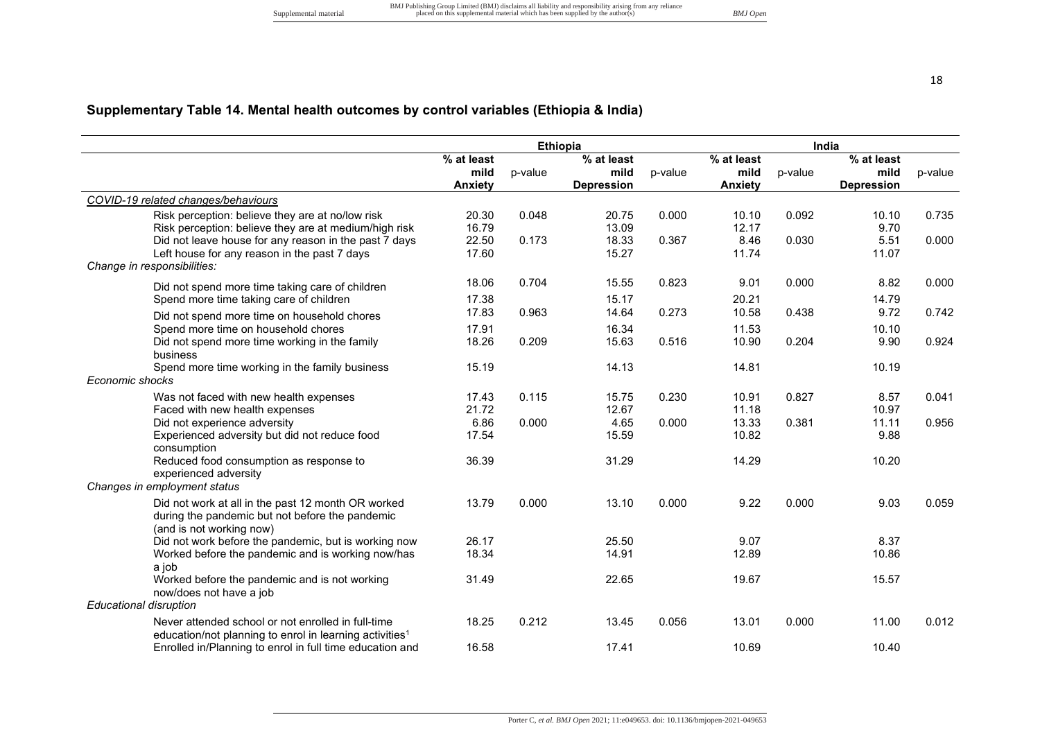# **Supplementary Table 14. Mental health outcomes by control variables (Ethiopia & India)**

|                                                                     |                |         | <b>Ethiopia</b>   |         |                | India   |                          |         |
|---------------------------------------------------------------------|----------------|---------|-------------------|---------|----------------|---------|--------------------------|---------|
|                                                                     | % at least     |         | % at least        |         | % at least     |         | $\overline{\%}$ at least |         |
|                                                                     | mild           | p-value | mild              | p-value | mild           | p-value | mild                     | p-value |
|                                                                     | <b>Anxiety</b> |         | <b>Depression</b> |         | <b>Anxiety</b> |         | <b>Depression</b>        |         |
| COVID-19 related changes/behaviours                                 |                |         |                   |         |                |         |                          |         |
| Risk perception: believe they are at no/low risk                    | 20.30          | 0.048   | 20.75             | 0.000   | 10.10          | 0.092   | 10.10                    | 0.735   |
| Risk perception: believe they are at medium/high risk               | 16.79          |         | 13.09             |         | 12.17          |         | 9.70                     |         |
| Did not leave house for any reason in the past 7 days               | 22.50          | 0.173   | 18.33             | 0.367   | 8.46           | 0.030   | 5.51                     | 0.000   |
| Left house for any reason in the past 7 days                        | 17.60          |         | 15.27             |         | 11.74          |         | 11.07                    |         |
| Change in responsibilities:                                         |                |         |                   |         |                |         |                          |         |
| Did not spend more time taking care of children                     | 18.06          | 0.704   | 15.55             | 0.823   | 9.01           | 0.000   | 8.82                     | 0.000   |
| Spend more time taking care of children                             | 17.38          |         | 15.17             |         | 20.21          |         | 14.79                    |         |
| Did not spend more time on household chores                         | 17.83          | 0.963   | 14.64             | 0.273   | 10.58          | 0.438   | 9.72                     | 0.742   |
| Spend more time on household chores                                 | 17.91          |         | 16.34             |         | 11.53          |         | 10.10                    |         |
| Did not spend more time working in the family                       | 18.26          | 0.209   | 15.63             | 0.516   | 10.90          | 0.204   | 9.90                     | 0.924   |
| business                                                            |                |         |                   |         |                |         |                          |         |
| Spend more time working in the family business                      | 15.19          |         | 14.13             |         | 14.81          |         | 10.19                    |         |
| Economic shocks                                                     |                |         |                   |         |                |         |                          |         |
| Was not faced with new health expenses                              | 17.43          | 0.115   | 15.75             | 0.230   | 10.91          | 0.827   | 8.57                     | 0.041   |
| Faced with new health expenses                                      | 21.72          |         | 12.67             |         | 11.18          |         | 10.97                    |         |
| Did not experience adversity                                        | 6.86           | 0.000   | 4.65              | 0.000   | 13.33          | 0.381   | 11.11                    | 0.956   |
| Experienced adversity but did not reduce food                       | 17.54          |         | 15.59             |         | 10.82          |         | 9.88                     |         |
| consumption                                                         |                |         |                   |         |                |         |                          |         |
| Reduced food consumption as response to                             | 36.39          |         | 31.29             |         | 14.29          |         | 10.20                    |         |
| experienced adversity                                               |                |         |                   |         |                |         |                          |         |
| Changes in employment status                                        |                |         |                   |         |                |         |                          |         |
| Did not work at all in the past 12 month OR worked                  | 13.79          | 0.000   | 13.10             | 0.000   | 9.22           | 0.000   | 9.03                     | 0.059   |
| during the pandemic but not before the pandemic                     |                |         |                   |         |                |         |                          |         |
| (and is not working now)                                            |                |         |                   |         |                |         |                          |         |
| Did not work before the pandemic, but is working now                | 26.17          |         | 25.50             |         | 9.07           |         | 8.37                     |         |
| Worked before the pandemic and is working now/has                   | 18.34          |         | 14.91             |         | 12.89          |         | 10.86                    |         |
| a job                                                               |                |         |                   |         |                |         |                          |         |
| Worked before the pandemic and is not working                       | 31.49          |         | 22.65             |         | 19.67          |         | 15.57                    |         |
| now/does not have a job                                             |                |         |                   |         |                |         |                          |         |
| <b>Educational disruption</b>                                       |                |         |                   |         |                |         |                          |         |
| Never attended school or not enrolled in full-time                  | 18.25          | 0.212   | 13.45             | 0.056   | 13.01          | 0.000   | 11.00                    | 0.012   |
| education/not planning to enrol in learning activities <sup>1</sup> |                |         |                   |         |                |         |                          |         |
| Enrolled in/Planning to enrol in full time education and            | 16.58          |         | 17.41             |         | 10.69          |         | 10.40                    |         |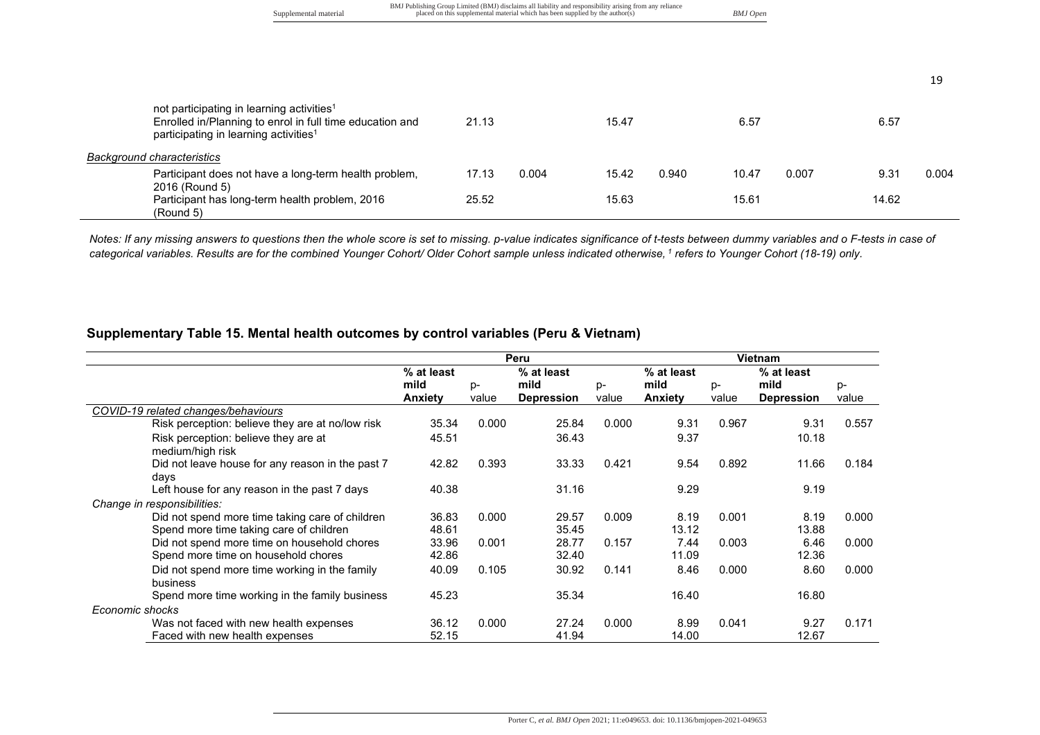|                                                                                                                                                                        | Supplemental material |       |       | BMJ Publishing Group Limited (BMJ) disclaims all liability and responsibility arising from any reliance<br>placed on this supplemental material which has been supplied by the author(s) |       | <b>BMJ</b> Open |       |       |       |
|------------------------------------------------------------------------------------------------------------------------------------------------------------------------|-----------------------|-------|-------|------------------------------------------------------------------------------------------------------------------------------------------------------------------------------------------|-------|-----------------|-------|-------|-------|
|                                                                                                                                                                        |                       |       |       |                                                                                                                                                                                          |       |                 |       |       |       |
|                                                                                                                                                                        |                       |       |       |                                                                                                                                                                                          |       |                 |       |       | 19    |
| not participating in learning activities <sup>1</sup><br>Enrolled in/Planning to enrol in full time education and<br>participating in learning activities <sup>1</sup> |                       | 21.13 |       | 15.47                                                                                                                                                                                    |       | 6.57            |       | 6.57  |       |
| <b>Background characteristics</b>                                                                                                                                      |                       |       |       |                                                                                                                                                                                          |       |                 |       |       |       |
| Participant does not have a long-term health problem,<br>2016 (Round 5)                                                                                                |                       | 17.13 | 0.004 | 15.42                                                                                                                                                                                    | 0.940 | 10.47           | 0.007 | 9.31  | 0.004 |
| Participant has long-term health problem, 2016<br>(Round 5)                                                                                                            |                       | 25.52 |       | 15.63                                                                                                                                                                                    |       | 15.61           |       | 14.62 |       |

*Notes: If any missing answers to questions then the whole score is set to missing. p-value indicates significance of t-tests between dummy variables and o F-tests in case of categorical variables. Results are for the combined Younger Cohort/ Older Cohort sample unless indicated otherwise,<sup>1</sup> refers to Younger Cohort (18-19) only.* 

#### **Supplementary Table 15. Mental health outcomes by control variables (Peru & Vietnam)**

|                                                           |                |       | Peru              |       |                |       | <b>Vietnam</b>    |       |
|-----------------------------------------------------------|----------------|-------|-------------------|-------|----------------|-------|-------------------|-------|
|                                                           | % at least     |       | % at least        |       | % at least     |       | % at least        |       |
|                                                           | mild           | $p-$  | mild              | p-    | mild           | p-    | mild              | p-    |
|                                                           | <b>Anxiety</b> | value | <b>Depression</b> | value | <b>Anxiety</b> | value | <b>Depression</b> | value |
| COVID-19 related changes/behaviours                       |                |       |                   |       |                |       |                   |       |
| Risk perception: believe they are at no/low risk          | 35.34          | 0.000 | 25.84             | 0.000 | 9.31           | 0.967 | 9.31              | 0.557 |
| Risk perception: believe they are at<br>medium/high risk  | 45.51          |       | 36.43             |       | 9.37           |       | 10.18             |       |
| Did not leave house for any reason in the past 7<br>days  | 42.82          | 0.393 | 33.33             | 0.421 | 9.54           | 0.892 | 11.66             | 0.184 |
| Left house for any reason in the past 7 days              | 40.38          |       | 31.16             |       | 9.29           |       | 9.19              |       |
| Change in responsibilities:                               |                |       |                   |       |                |       |                   |       |
| Did not spend more time taking care of children           | 36.83          | 0.000 | 29.57             | 0.009 | 8.19           | 0.001 | 8.19              | 0.000 |
| Spend more time taking care of children                   | 48.61          |       | 35.45             |       | 13.12          |       | 13.88             |       |
| Did not spend more time on household chores               | 33.96          | 0.001 | 28.77             | 0.157 | 7.44           | 0.003 | 6.46              | 0.000 |
| Spend more time on household chores                       | 42.86          |       | 32.40             |       | 11.09          |       | 12.36             |       |
| Did not spend more time working in the family<br>business | 40.09          | 0.105 | 30.92             | 0.141 | 8.46           | 0.000 | 8.60              | 0.000 |
| Spend more time working in the family business            | 45.23          |       | 35.34             |       | 16.40          |       | 16.80             |       |
| Economic shocks                                           |                |       |                   |       |                |       |                   |       |
| Was not faced with new health expenses                    | 36.12          | 0.000 | 27.24             | 0.000 | 8.99           | 0.041 | 9.27              | 0.171 |
| Faced with new health expenses                            | 52.15          |       | 41.94             |       | 14.00          |       | 12.67             |       |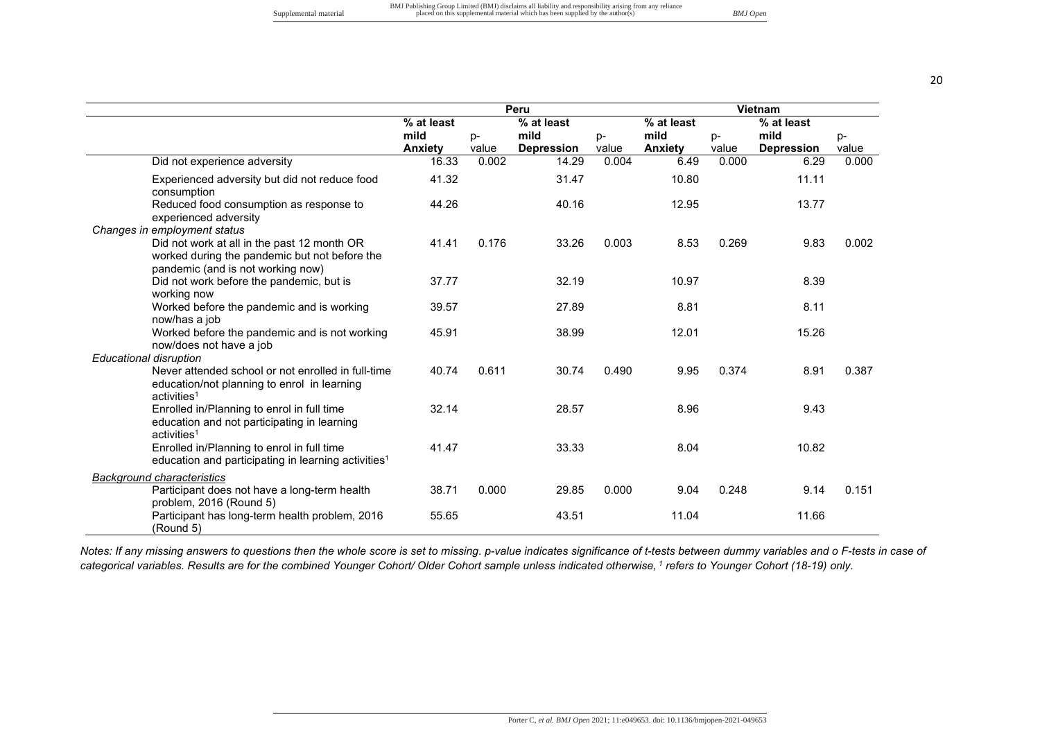|                                                                                                                                   |                        |             | Peru                      |             |                        | Vietnam     |                           |             |
|-----------------------------------------------------------------------------------------------------------------------------------|------------------------|-------------|---------------------------|-------------|------------------------|-------------|---------------------------|-------------|
|                                                                                                                                   | % at least             |             | % at least                |             | % at least             |             | % at least                |             |
|                                                                                                                                   | mild<br><b>Anxiety</b> | p-<br>value | mild<br><b>Depression</b> | p-<br>value | mild<br><b>Anxiety</b> | p-<br>value | mild<br><b>Depression</b> | p-<br>value |
| Did not experience adversity                                                                                                      | 16.33                  | 0.002       | 14.29                     | 0.004       | 6.49                   | 0.000       | 6.29                      | 0.000       |
| Experienced adversity but did not reduce food<br>consumption                                                                      | 41.32                  |             | 31.47                     |             | 10.80                  |             | 11.11                     |             |
| Reduced food consumption as response to<br>experienced adversity                                                                  | 44.26                  |             | 40.16                     |             | 12.95                  |             | 13.77                     |             |
| Changes in employment status                                                                                                      |                        |             |                           |             |                        |             |                           |             |
| Did not work at all in the past 12 month OR<br>worked during the pandemic but not before the<br>pandemic (and is not working now) | 41.41                  | 0.176       | 33.26                     | 0.003       | 8.53                   | 0.269       | 9.83                      | 0.002       |
| Did not work before the pandemic, but is<br>working now                                                                           | 37.77                  |             | 32.19                     |             | 10.97                  |             | 8.39                      |             |
| Worked before the pandemic and is working<br>now/has a job                                                                        | 39.57                  |             | 27.89                     |             | 8.81                   |             | 8.11                      |             |
| Worked before the pandemic and is not working<br>now/does not have a job                                                          | 45.91                  |             | 38.99                     |             | 12.01                  |             | 15.26                     |             |
| <b>Educational disruption</b>                                                                                                     |                        | 0.611       |                           |             |                        |             |                           |             |
| Never attended school or not enrolled in full-time<br>education/not planning to enrol in learning<br>activities <sup>1</sup>      | 40.74                  |             | 30.74                     | 0.490       | 9.95                   | 0.374       | 8.91                      | 0.387       |
| Enrolled in/Planning to enrol in full time<br>education and not participating in learning<br>activities <sup>1</sup>              | 32.14                  |             | 28.57                     |             | 8.96                   |             | 9.43                      |             |
| Enrolled in/Planning to enrol in full time<br>education and participating in learning activities <sup>1</sup>                     | 41.47                  |             | 33.33                     |             | 8.04                   |             | 10.82                     |             |
| <b>Background characteristics</b>                                                                                                 |                        |             |                           |             |                        |             |                           |             |
| Participant does not have a long-term health<br>problem, 2016 (Round 5)                                                           | 38.71                  | 0.000       | 29.85                     | 0.000       | 9.04                   | 0.248       | 9.14                      | 0.151       |
| Participant has long-term health problem, 2016<br>(Round 5)                                                                       | 55.65                  |             | 43.51                     |             | 11.04                  |             | 11.66                     |             |

*Notes: If any missing answers to questions then the whole score is set to missing. p-value indicates significance of t-tests between dummy variables and o F-tests in case of categorical variables. Results are for the combined Younger Cohort/ Older Cohort sample unless indicated otherwise,<sup>1</sup> refers to Younger Cohort (18-19) only.*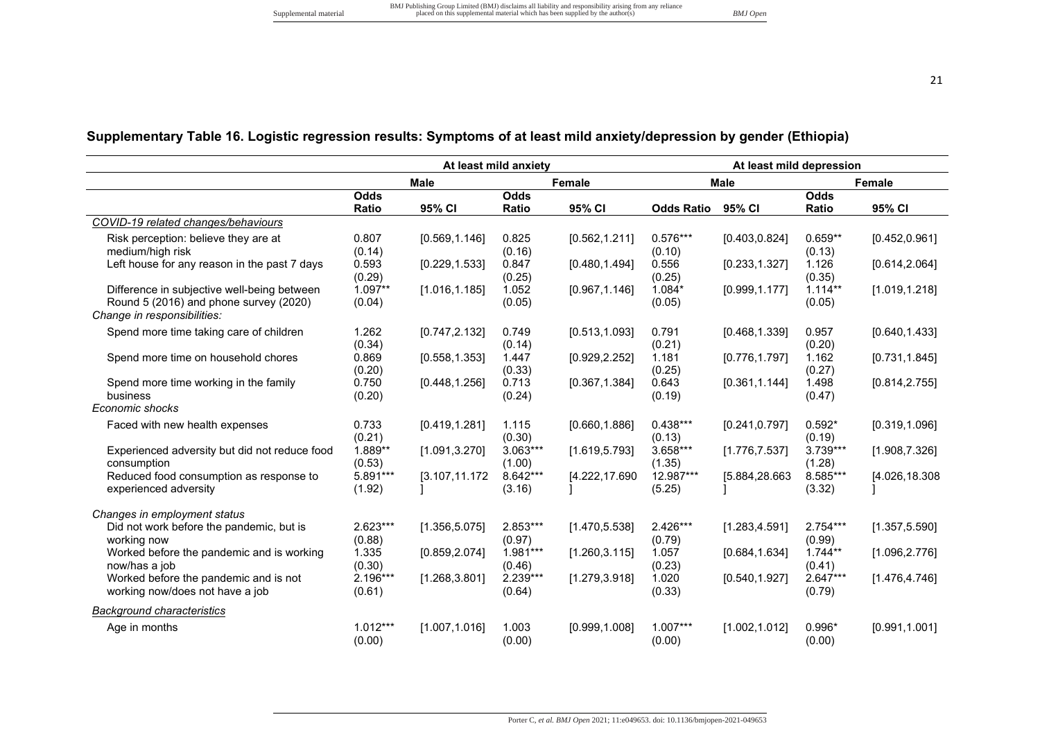# **Supplementary Table 16. Logistic regression results: Symptoms of at least mild anxiety/depression by gender (Ethiopia)**

|                                                                       |              |                | At least mild anxiety |                |                   | At least mild depression |            |                |
|-----------------------------------------------------------------------|--------------|----------------|-----------------------|----------------|-------------------|--------------------------|------------|----------------|
|                                                                       |              | <b>Male</b>    |                       | Female         |                   | <b>Male</b>              |            | Female         |
|                                                                       | <b>Odds</b>  |                | <b>Odds</b>           |                |                   |                          | Odds       |                |
|                                                                       | <b>Ratio</b> | 95% CI         | Ratio                 | 95% CI         | <b>Odds Ratio</b> | 95% CI                   | Ratio      | 95% CI         |
| COVID-19 related changes/behaviours                                   |              |                |                       |                |                   |                          |            |                |
| Risk perception: believe they are at                                  | 0.807        | [0.569, 1.146] | 0.825                 | [0.562, 1.211] | $0.576***$        | [0.403, 0.824]           | $0.659**$  | [0.452, 0.961] |
| medium/high risk                                                      | (0.14)       |                | (0.16)                |                | (0.10)            |                          | (0.13)     |                |
| Left house for any reason in the past 7 days                          | 0.593        | [0.229, 1.533] | 0.847                 | [0.480, 1.494] | 0.556             | [0.233, 1.327]           | 1.126      | [0.614, 2.064] |
|                                                                       | (0.29)       |                | (0.25)                |                | (0.25)            |                          | (0.35)     |                |
| Difference in subjective well-being between                           | $1.097**$    | [1.016, 1.185] | 1.052                 | [0.967, 1.146] | $1.084*$          | [0.999, 1.177]           | $1.114**$  | [1.019, 1.218] |
| Round 5 (2016) and phone survey (2020)<br>Change in responsibilities: | (0.04)       |                | (0.05)                |                | (0.05)            |                          | (0.05)     |                |
|                                                                       |              |                |                       |                |                   |                          |            |                |
| Spend more time taking care of children                               | 1.262        | [0.747, 2.132] | 0.749                 | [0.513, 1.093] | 0.791             | [0.468, 1.339]           | 0.957      | [0.640, 1.433] |
|                                                                       | (0.34)       |                | (0.14)                |                | (0.21)            |                          | (0.20)     |                |
| Spend more time on household chores                                   | 0.869        | [0.558, 1.353] | 1.447                 | [0.929, 2.252] | 1.181             | [0.776, 1.797]           | 1.162      | [0.731, 1.845] |
|                                                                       | (0.20)       |                | (0.33)                |                | (0.25)            |                          | (0.27)     |                |
| Spend more time working in the family<br>business                     | 0.750        | [0.448, 1.256] | 0.713                 | [0.367, 1.384] | 0.643             | [0.361, 1.144]           | 1.498      | [0.814, 2.755] |
| Economic shocks                                                       | (0.20)       |                | (0.24)                |                | (0.19)            |                          | (0.47)     |                |
|                                                                       |              |                |                       |                |                   |                          |            |                |
| Faced with new health expenses                                        | 0.733        | [0.419, 1.281] | 1.115                 | [0.660, 1.886] | $0.438***$        | [0.241, 0.797]           | $0.592*$   | [0.319, 1.096] |
|                                                                       | (0.21)       |                | (0.30)                |                | (0.13)            |                          | (0.19)     |                |
| Experienced adversity but did not reduce food                         | 1.889**      | [1.091, 3.270] | 3.063***              | [1.619, 5.793] | 3.658***          | [1.776, 7.537]           | 3.739***   | [1.908, 7.326] |
| consumption                                                           | (0.53)       |                | (1.00)                |                | (1.35)            |                          | (1.28)     |                |
| Reduced food consumption as response to                               | 5.891***     | [3.107,11.172  | 8.642***              | [4.222,17.690  | 12.987***         | [5.884,28.663            | 8.585***   | [4.026,18.308  |
| experienced adversity                                                 | (1.92)       |                | (3.16)                |                | (5.25)            |                          | (3.32)     |                |
| Changes in employment status                                          |              |                |                       |                |                   |                          |            |                |
| Did not work before the pandemic, but is                              | 2.623***     | [1.356, 5.075] | 2.853***              | [1.470, 5.538] | 2.426***          | [1.283, 4.591]           | $2.754***$ | [1.357, 5.590] |
| working now                                                           | (0.88)       |                | (0.97)                |                | (0.79)            |                          | (0.99)     |                |
| Worked before the pandemic and is working                             | 1.335        | [0.859, 2.074] | 1.981***              | [1.260, 3.115] | 1.057             | [0.684, 1.634]           | $1.744**$  | [1.096, 2.776] |
| now/has a job                                                         | (0.30)       |                | (0.46)                |                | (0.23)            |                          | (0.41)     |                |
| Worked before the pandemic and is not                                 | 2.196***     | [1.268, 3.801] | 2.239***              | [1.279, 3.918] | 1.020             | [0.540, 1.927]           | $2.647***$ | [1.476, 4.746] |
| working now/does not have a job                                       | (0.61)       |                | (0.64)                |                | (0.33)            |                          | (0.79)     |                |
| <b>Background characteristics</b>                                     |              |                |                       |                |                   |                          |            |                |
| Age in months                                                         | $1.012***$   | [1.007, 1.016] | 1.003                 | [0.999, 1.008] | $1.007***$        | [1.002, 1.012]           | $0.996*$   | [0.991, 1.001] |
|                                                                       | (0.00)       |                | (0.00)                |                | (0.00)            |                          | (0.00)     |                |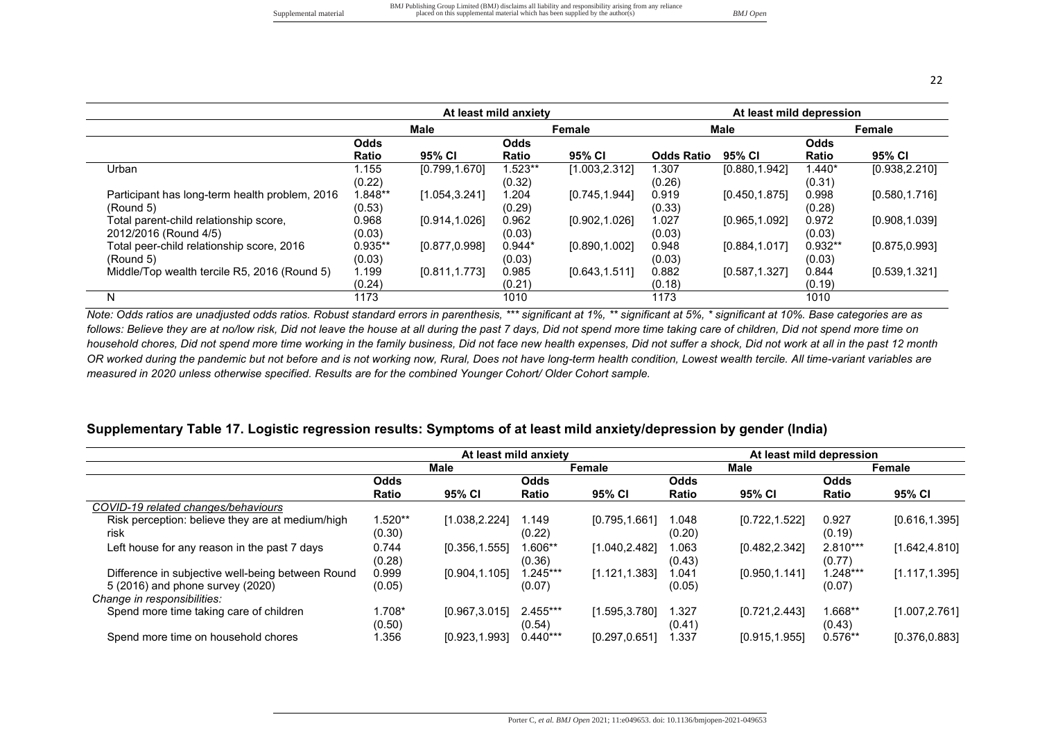|                                                                 |                             |                | At least mild anxiety |                |                   | At least mild depression |                     |                |
|-----------------------------------------------------------------|-----------------------------|----------------|-----------------------|----------------|-------------------|--------------------------|---------------------|----------------|
|                                                                 |                             | <b>Male</b>    |                       | Female         |                   | <b>Male</b>              |                     | Female         |
|                                                                 | <b>Odds</b><br><b>Ratio</b> | 95% CI         | <b>Odds</b><br>Ratio  | 95% CI         | <b>Odds Ratio</b> | 95% CI                   | Odds<br>Ratio       | 95% CI         |
| Urban                                                           | 1.155<br>(0.22)             | [0.799, 1.670] | 1.523**<br>(0.32)     | [1.003, 2.312] | 1.307<br>(0.26)   | [0.880, 1.942]           | 1.440*<br>(0.31)    | [0.938, 2.210] |
| Participant has long-term health problem, 2016<br>(Round 5)     | 1.848**<br>(0.53)           | [1.054, 3.241] | 1.204<br>(0.29)       | [0.745, 1.944] | 0.919<br>(0.33)   | [0.450, 1.875]           | 0.998<br>(0.28)     | [0.580, 1.716] |
| Total parent-child relationship score,<br>2012/2016 (Round 4/5) | 0.968<br>(0.03)             | [0.914,1.026]  | 0.962<br>(0.03)       | [0.902, 1.026] | 1.027<br>(0.03)   | [0.965, 1.092]           | 0.972<br>(0.03)     | [0.908, 1.039] |
| Total peer-child relationship score, 2016<br>(Round 5)          | $0.935**$<br>(0.03)         | [0.877, 0.998] | $0.944*$<br>(0.03)    | [0.890, 1.002] | 0.948<br>(0.03)   | [0.884, 1.017]           | $0.932**$<br>(0.03) | [0.875, 0.993] |
| Middle/Top wealth tercile R5, 2016 (Round 5)                    | 1.199<br>(0.24)             | [0.811, 1.773] | 0.985<br>(0.21)       | [0.643, 1.511] | 0.882<br>(0.18)   | [0.587, 1.327]           | 0.844<br>(0.19)     | [0.539, 1.321] |
| N.                                                              | 1173                        |                | 1010                  |                | 1173              |                          | 1010                |                |

*Note: Odds ratios are unadjusted odds ratios. Robust standard errors in parenthesis, \*\*\* significant at 1%, \*\* significant at 5%, \* significant at 10%. Base categories are as*  follows: Believe they are at no/low risk, Did not leave the house at all during the past 7 days, Did not spend more time taking care of children, Did not spend more time on *household chores, Did not spend more time working in the family business, Did not face new health expenses, Did not suffer a shock, Did not work at all in the past 12 month*  OR worked during the pandemic but not before and is not working now, Rural, Does not have long-term health condition, Lowest wealth tercile. All time-variant variables are *measured in 2020 unless otherwise specified. Results are for the combined Younger Cohort/ Older Cohort sample.* 

#### **Supplementary Table 17. Logistic regression results: Symptoms of at least mild anxiety/depression by gender (India)**

|                                                   |              | At least mild anxiety |              |                |        | At least mild depression |              |                |
|---------------------------------------------------|--------------|-----------------------|--------------|----------------|--------|--------------------------|--------------|----------------|
|                                                   |              | <b>Male</b>           |              | <b>Female</b>  |        | Male                     |              | Female         |
|                                                   | <b>Odds</b>  |                       | <b>Odds</b>  |                | Odds   |                          | <b>Odds</b>  |                |
|                                                   | <b>Ratio</b> | 95% CI                | <b>Ratio</b> | 95% CI         | Ratio  | 95% CI                   | <b>Ratio</b> | 95% CI         |
| COVID-19 related changes/behaviours               |              |                       |              |                |        |                          |              |                |
| Risk perception: believe they are at medium/high  | 1.520**      | [1.038, 2.224]        | 1.149        | [0.795, 1.661] | 1.048  | [0.722, 1.522]           | 0.927        | [0.616, 1.395] |
| risk                                              | (0.30)       |                       | (0.22)       |                | (0.20) |                          | (0.19)       |                |
| Left house for any reason in the past 7 days      | 0.744        | [0.356, 1.555]        | 1.606**      | [1.040, 2.482] | 1.063  | [0.482, 2.342]           | 2.810***     | [1.642, 4.810] |
|                                                   | (0.28)       |                       | (0.36)       |                | (0.43) |                          | (0.77)       |                |
| Difference in subjective well-being between Round | 0.999        | [0.904, 1.105]        | $1.245***$   | [1.121, 1.383] | 1.041  | [0.950, 1.141]           | $1.248***$   | [1.117, 1.395] |
| 5 (2016) and phone survey (2020)                  | (0.05)       |                       | (0.07)       |                | (0.05) |                          | (0.07)       |                |
| Change in responsibilities:                       |              |                       |              |                |        |                          |              |                |
| Spend more time taking care of children           | l.708*       | [0.967, 3.015]        | 2.455***     | [1.595, 3.780] | 1.327  | [0.721, 2.443]           | 1.668**      | [1.007, 2.761] |
|                                                   | (0.50)       |                       | (0.54)       |                | (0.41) |                          | (0.43)       |                |
| Spend more time on household chores               | .356         | [0.923, 1.993]        | $0.440***$   | [0.297, 0.651] | 337. ا | [0.915, 1.955]           | $0.576**$    | [0.376, 0.883] |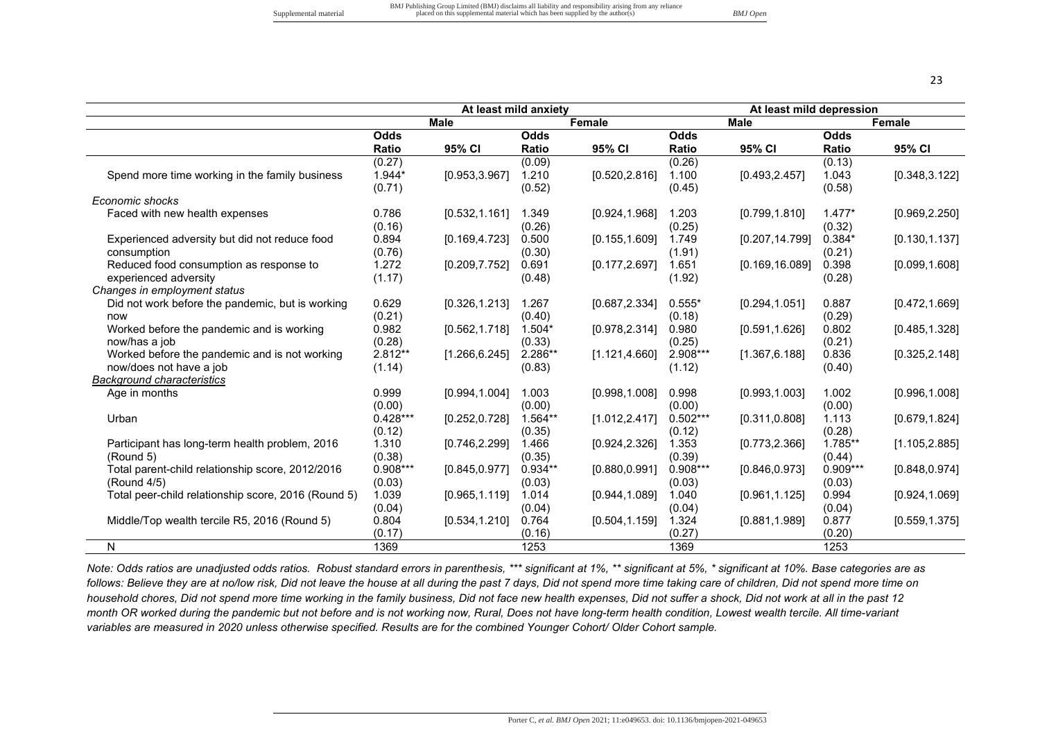|                                                     |              | At least mild anxiety |           |                |              | At least mild depression |              |                |
|-----------------------------------------------------|--------------|-----------------------|-----------|----------------|--------------|--------------------------|--------------|----------------|
|                                                     |              | <b>Male</b>           |           | Female         |              | <b>Male</b>              |              | Female         |
|                                                     | <b>Odds</b>  |                       | Odds      |                | <b>Odds</b>  |                          | Odds         |                |
|                                                     | <b>Ratio</b> | 95% CI                | Ratio     | 95% CI         | <b>Ratio</b> | 95% CI                   | <b>Ratio</b> | 95% CI         |
|                                                     | (0.27)       |                       | (0.09)    |                | (0.26)       |                          | (0.13)       |                |
| Spend more time working in the family business      | $1.944*$     | [0.953, 3.967]        | 1.210     | [0.520, 2.816] | 1.100        | [0.493, 2.457]           | 1.043        | [0.348, 3.122] |
|                                                     | (0.71)       |                       | (0.52)    |                | (0.45)       |                          | (0.58)       |                |
| Economic shocks                                     |              |                       |           |                |              |                          |              |                |
| Faced with new health expenses                      | 0.786        | [0.532, 1.161]        | 1.349     | [0.924, 1.968] | 1.203        | [0.799, 1.810]           | $1.477*$     | [0.969, 2.250] |
|                                                     | (0.16)       |                       | (0.26)    |                | (0.25)       |                          | (0.32)       |                |
| Experienced adversity but did not reduce food       | 0.894        | [0.169, 4.723]        | 0.500     | [0.155, 1.609] | 1.749        | [0.207, 14.799]          | $0.384*$     | [0.130, 1.137] |
| consumption                                         | (0.76)       |                       | (0.30)    |                | (1.91)       |                          | (0.21)       |                |
| Reduced food consumption as response to             | 1.272        | [0.209, 7.752]        | 0.691     | [0.177, 2.697] | 1.651        | [0.169, 16.089]          | 0.398        | [0.099, 1.608] |
| experienced adversity                               | (1.17)       |                       | (0.48)    |                | (1.92)       |                          | (0.28)       |                |
| Changes in employment status                        |              |                       |           |                |              |                          |              |                |
| Did not work before the pandemic, but is working    | 0.629        | [0.326, 1.213]        | 1.267     | [0.687, 2.334] | $0.555*$     | [0.294, 1.051]           | 0.887        | [0.472, 1.669] |
| now                                                 | (0.21)       |                       | (0.40)    |                | (0.18)       |                          | (0.29)       |                |
| Worked before the pandemic and is working           | 0.982        | [0.562, 1.718]        | $1.504*$  | [0.978, 2.314] | 0.980        | [0.591, 1.626]           | 0.802        | [0.485, 1.328] |
| now/has a job                                       | (0.28)       |                       | (0.33)    |                | (0.25)       |                          | (0.21)       |                |
| Worked before the pandemic and is not working       | 2.812**      | [1.266, 6.245]        | 2.286**   | [1.121, 4.660] | 2.908***     | [1.367, 6.188]           | 0.836        | [0.325, 2.148] |
| now/does not have a job                             | (1.14)       |                       | (0.83)    |                | (1.12)       |                          | (0.40)       |                |
| <b>Background characteristics</b>                   |              |                       |           |                |              |                          |              |                |
| Age in months                                       | 0.999        | [0.994, 1.004]        | 1.003     | [0.998, 1.008] | 0.998        | [0.993, 1.003]           | 1.002        | [0.996, 1.008] |
|                                                     | (0.00)       |                       | (0.00)    |                | (0.00)       |                          | (0.00)       |                |
| Urban                                               | $0.428***$   | [0.252, 0.728]        | $1.564**$ | [1.012, 2.417] | $0.502***$   | [0.311, 0.808]           | 1.113        | [0.679, 1.824] |
|                                                     | (0.12)       |                       | (0.35)    |                | (0.12)       |                          | (0.28)       |                |
| Participant has long-term health problem, 2016      | 1.310        | [0.746, 2.299]        | 1.466     | [0.924, 2.326] | 1.353        | [0.773, 2.366]           | 1.785**      | [1.105, 2.885] |
| (Round 5)                                           | (0.38)       |                       | (0.35)    |                | (0.39)       |                          | (0.44)       |                |
| Total parent-child relationship score, 2012/2016    | $0.908***$   | [0.845, 0.977]        | $0.934**$ | [0.880, 0.991] | $0.908***$   | [0.846, 0.973]           | $0.909***$   | [0.848, 0.974] |
| (Round 4/5)                                         | (0.03)       |                       | (0.03)    |                | (0.03)       |                          | (0.03)       |                |
| Total peer-child relationship score, 2016 (Round 5) | 1.039        | [0.965, 1.119]        | 1.014     | [0.944, 1.089] | 1.040        | [0.961, 1.125]           | 0.994        | [0.924, 1.069] |
|                                                     | (0.04)       |                       | (0.04)    |                | (0.04)       |                          | (0.04)       |                |
| Middle/Top wealth tercile R5, 2016 (Round 5)        | 0.804        | [0.534, 1.210]        | 0.764     | [0.504, 1.159] | 1.324        | [0.881, 1.989]           | 0.877        | [0.559, 1.375] |
|                                                     | (0.17)       |                       | (0.16)    |                | (0.27)       |                          | (0.20)       |                |
| N                                                   | 1369         |                       | 1253      |                | 1369         |                          | 1253         |                |

*Note: Odds ratios are unadjusted odds ratios. Robust standard errors in parenthesis, \*\*\* significant at 1%, \*\* significant at 5%, \* significant at 10%. Base categories are as follows: Believe they are at no/low risk, Did not leave the house at all during the past 7 days, Did not spend more time taking care of children, Did not spend more time on household chores, Did not spend more time working in the family business, Did not face new health expenses, Did not suffer a shock, Did not work at all in the past 12 month OR worked during the pandemic but not before and is not working now, Rural, Does not have long-term health condition, Lowest wealth tercile. All time-variant variables are measured in 2020 unless otherwise specified. Results are for the combined Younger Cohort/ Older Cohort sample.*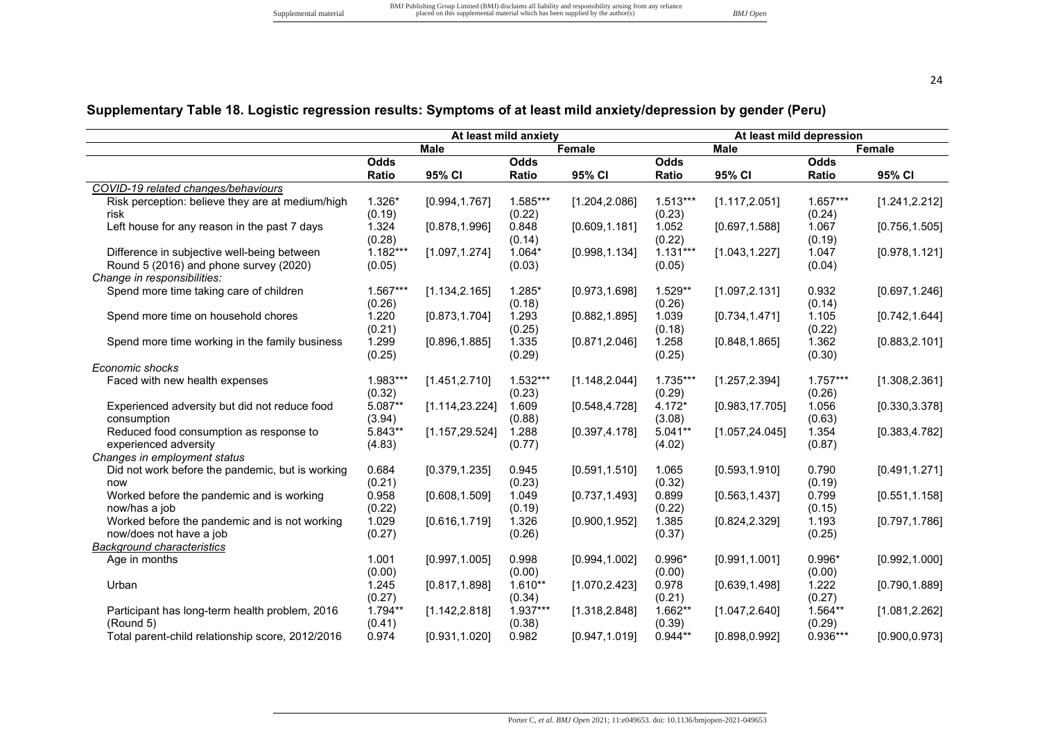# **Supplementary Table 18. Logistic regression results: Symptoms of at least mild anxiety/depression by gender (Peru)**

|                                                  |            |                 | At least mild anxiety |                |             |                 | At least mild depression |                |
|--------------------------------------------------|------------|-----------------|-----------------------|----------------|-------------|-----------------|--------------------------|----------------|
|                                                  |            | <b>Male</b>     |                       | Female         |             | <b>Male</b>     |                          | Female         |
|                                                  | Odds       |                 | <b>Odds</b>           |                | <b>Odds</b> |                 | <b>Odds</b>              |                |
|                                                  | Ratio      | 95% CI          | Ratio                 | 95% CI         | Ratio       | 95% CI          | Ratio                    | 95% CI         |
| COVID-19 related changes/behaviours              |            |                 |                       |                |             |                 |                          |                |
| Risk perception: believe they are at medium/high | $1.326*$   | [0.994, 1.767]  | 1.585***              | [1.204, 2.086] | $1.513***$  | [1.117, 2.051]  | $1.657***$               | [1.241, 2.212] |
| risk                                             | (0.19)     |                 | (0.22)                |                | (0.23)      |                 | (0.24)                   |                |
| Left house for any reason in the past 7 days     | 1.324      | [0.878, 1.996]  | 0.848                 | [0.609, 1.181] | 1.052       | [0.697, 1.588]  | 1.067                    | [0.756, 1.505] |
|                                                  | (0.28)     |                 | (0.14)                |                | (0.22)      |                 | (0.19)                   |                |
| Difference in subjective well-being between      | $1.182***$ | [1.097, 1.274]  | $1.064*$              | [0.998, 1.134] | $1.131***$  | [1.043, 1.227]  | 1.047                    | [0.978, 1.121] |
| Round 5 (2016) and phone survey (2020)           | (0.05)     |                 | (0.03)                |                | (0.05)      |                 | (0.04)                   |                |
| Change in responsibilities:                      |            |                 |                       |                |             |                 |                          |                |
| Spend more time taking care of children          | 1.567***   | [1.134, 2.165]  | $1.285*$              | [0.973, 1.698] | 1.529**     | [1.097, 2.131]  | 0.932                    | [0.697, 1.246] |
|                                                  | (0.26)     |                 | (0.18)                |                | (0.26)      |                 | (0.14)                   |                |
| Spend more time on household chores              | 1.220      | [0.873, 1.704]  | 1.293                 | [0.882, 1.895] | 1.039       | [0.734, 1.471]  | 1.105                    | [0.742, 1.644] |
|                                                  | (0.21)     |                 | (0.25)                |                | (0.18)      |                 | (0.22)                   |                |
| Spend more time working in the family business   | 1.299      | [0.896, 1.885]  | 1.335                 | [0.871, 2.046] | 1.258       | [0.848, 1.865]  | 1.362                    | [0.883, 2.101] |
|                                                  | (0.25)     |                 | (0.29)                |                | (0.25)      |                 | (0.30)                   |                |
| Economic shocks                                  |            |                 |                       |                |             |                 |                          |                |
| Faced with new health expenses                   | 1.983***   | [1.451, 2.710]  | $1.532***$            | [1.148, 2.044] | 1.735***    | [1.257, 2.394]  | $1.757***$               | [1.308, 2.361] |
|                                                  | (0.32)     |                 | (0.23)                |                | (0.29)      |                 | (0.26)                   |                |
| Experienced adversity but did not reduce food    | $5.087**$  | [1.114, 23.224] | 1.609                 | [0.548, 4.728] | $4.172*$    | [0.983, 17.705] | 1.056                    | [0.330, 3.378] |
| consumption                                      | (3.94)     |                 | (0.88)                |                | (3.08)      |                 |                          |                |
| Reduced food consumption as response to          | $5.843**$  | [1.157, 29.524] | 1.288                 | [0.397, 4.178] | $5.041**$   | [1.057, 24.045] | (0.63)<br>1.354          | [0.383, 4.782] |
|                                                  |            |                 |                       |                |             |                 |                          |                |
| experienced adversity                            | (4.83)     |                 | (0.77)                |                | (4.02)      |                 | (0.87)                   |                |
| Changes in employment status                     |            |                 |                       |                |             |                 |                          |                |
| Did not work before the pandemic, but is working | 0.684      | [0.379, 1.235]  | 0.945                 | [0.591, 1.510] | 1.065       | [0.593, 1.910]  | 0.790                    | [0.491, 1.271] |
| now                                              | (0.21)     |                 | (0.23)                |                | (0.32)      |                 | (0.19)                   |                |
| Worked before the pandemic and is working        | 0.958      | [0.608, 1.509]  | 1.049                 | [0.737, 1.493] | 0.899       | [0.563, 1.437]  | 0.799                    | [0.551, 1.158] |
| now/has a job                                    | (0.22)     |                 | (0.19)                |                | (0.22)      |                 | (0.15)                   |                |
| Worked before the pandemic and is not working    | 1.029      | [0.616, 1.719]  | 1.326                 | [0.900, 1.952] | 1.385       | [0.824, 2.329]  | 1.193                    | [0.797, 1.786] |
| now/does not have a job                          | (0.27)     |                 | (0.26)                |                | (0.37)      |                 | (0.25)                   |                |
| <b>Background characteristics</b>                |            |                 |                       |                |             |                 |                          |                |
| Age in months                                    | 1.001      | [0.997, 1.005]  | 0.998                 | [0.994, 1.002] | $0.996*$    | [0.991, 1.001]  | $0.996*$                 | [0.992, 1.000] |
|                                                  | (0.00)     |                 | (0.00)                |                | (0.00)      |                 | (0.00)                   |                |
| Urban                                            | 1.245      | [0.817, 1.898]  | $1.610**$             | [1.070, 2.423] | 0.978       | [0.639, 1.498]  | 1.222                    | [0.790, 1.889] |
|                                                  | (0.27)     |                 | (0.34)                |                | (0.21)      |                 | (0.27)                   |                |
| Participant has long-term health problem, 2016   | $1.794**$  | [1.142, 2.818]  | $1.937***$            | [1.318, 2.848] | 1.662**     | [1.047, 2.640]  | $1.564**$                | [1.081, 2.262] |
| (Round 5)                                        | (0.41)     |                 | (0.38)                |                | (0.39)      |                 | (0.29)                   |                |
| Total parent-child relationship score, 2012/2016 | 0.974      | [0.931, 1.020]  | 0.982                 | [0.947, 1.019] | $0.944**$   | [0.898, 0.992]  | 0.936***                 | [0.900, 0.973] |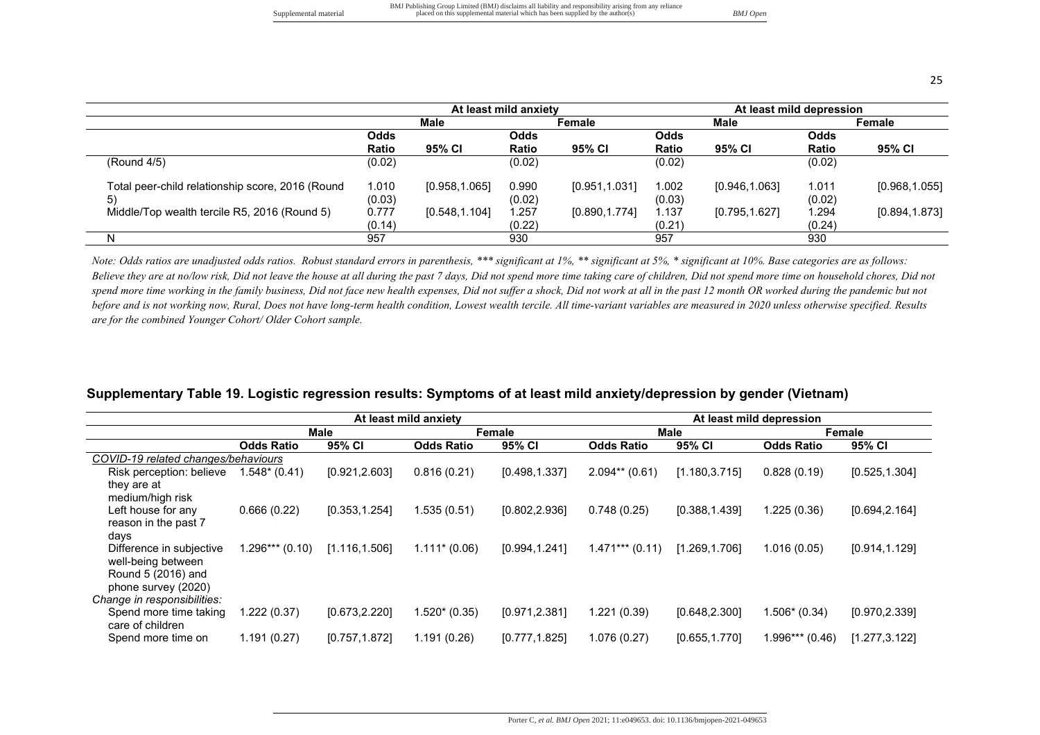|  | I<br>٧ |  |
|--|--------|--|

|                                                  |              |                | At least mild anxiety |                | At least mild depression |                |              |                |
|--------------------------------------------------|--------------|----------------|-----------------------|----------------|--------------------------|----------------|--------------|----------------|
|                                                  |              | Male           | Female                |                | Male                     |                | Female       |                |
|                                                  | Odds         |                | Odds                  |                | Odds                     |                | <b>Odds</b>  |                |
|                                                  | <b>Ratio</b> | 95% CI         | Ratio                 | 95% CI         | <b>Ratio</b>             | 95% CI         | <b>Ratio</b> | 95% CI         |
| (Round 4/5)                                      | (0.02)       |                | (0.02)                |                | (0.02)                   |                | (0.02)       |                |
| Total peer-child relationship score, 2016 (Round | 1.010        | [0.958, 1.065] | 0.990                 | [0.951, 1.031] | 1.002                    | [0.946,1.063]  | 1.011        | [0.968, 1.055] |
| 5)                                               | (0.03)       |                | (0.02)                |                | (0.03)                   |                | (0.02)       |                |
| Middle/Top wealth tercile R5, 2016 (Round 5)     | 0.777        | [0.548, 1.104] | 1.257                 | [0.890, 1.774] | 1.137                    | [0.795, 1.627] | 1.294        | [0.894, 1.873] |
|                                                  | (0.14)       |                | (0.22)                |                | (0.21)                   |                | (0.24)       |                |
| N                                                | 957          |                | 930                   |                | 957                      |                | 930          |                |

*Note: Odds ratios are unadjusted odds ratios. Robust standard errors in parenthesis, \*\*\* significant at 1%, \*\* significant at 5%, \* significant at 10%. Base categories are as follows:*  Believe they are at no/low risk, Did not leave the house at all during the past 7 days, Did not spend more time, append more time on household chores, Did not of the on household chores, Did not spend more time working in the family business, Did not face new health expenses, Did not suffer a shock, Did not work at all in the past 12 month OR worked during the pandemic but not *before and is not working now, Rural, Does not have long-term health condition, Lowest wealth tercile. All time-variant variables are measured in 2020 unless otherwise specified. Results are for the combined Younger Cohort/ Older Cohort sample.* 

|                                                                                             |                   |                | At least mild anxiety |                |                   |                | At least mild depression |                |  |
|---------------------------------------------------------------------------------------------|-------------------|----------------|-----------------------|----------------|-------------------|----------------|--------------------------|----------------|--|
|                                                                                             |                   | Male           |                       | Female         |                   | Male           |                          | Female         |  |
|                                                                                             | <b>Odds Ratio</b> | 95% CI         | <b>Odds Ratio</b>     | 95% CI         | <b>Odds Ratio</b> | 95% CI         | <b>Odds Ratio</b>        | 95% CI         |  |
| COVID-19 related changes/behaviours                                                         |                   |                |                       |                |                   |                |                          |                |  |
| Risk perception: believe<br>they are at<br>medium/high risk                                 | $1.548*(0.41)$    | [0.921, 2.603] | 0.816(0.21)           | [0.498, 1.337] | $2.094**$ (0.61)  | [1.180, 3.715] | 0.828(0.19)              | [0.525, 1.304] |  |
| Left house for any<br>reason in the past 7<br>days                                          | 0.666(0.22)       | [0.353, 1.254] | 1.535 (0.51)          | [0.802, 2.936] | 0.748(0.25)       | [0.388, 1.439] | 1.225 (0.36)             | [0.694, 2.164] |  |
| Difference in subjective<br>well-being between<br>Round 5 (2016) and<br>phone survey (2020) | $1.296***(0.10)$  | [1.116, 1.506] | $1.111*(0.06)$        | [0.994, 1.241] | $1.471***$ (0.11) | [1.269, 1.706] | 1.016(0.05)              | [0.914, 1.129] |  |
| Change in responsibilities:                                                                 |                   |                |                       |                |                   |                |                          |                |  |
| Spend more time taking<br>care of children                                                  | 1.222 (0.37)      | [0.673, 2.220] | 1.520* (0.35)         | [0.971, 2.381] | 1.221 (0.39)      | [0.648, 2.300] | $1.506*(0.34)$           | [0.970, 2.339] |  |
| Spend more time on                                                                          | 1.191 (0.27)      | [0.757, 1.872] | 1.191 (0.26)          | [0.777, 1.825] | 1.076 (0.27)      | [0.655, 1.770] | 1.996*** (0.46)          | [1.277, 3.122] |  |

#### **Supplementary Table 19. Logistic regression results: Symptoms of at least mild anxiety/depression by gender (Vietnam)**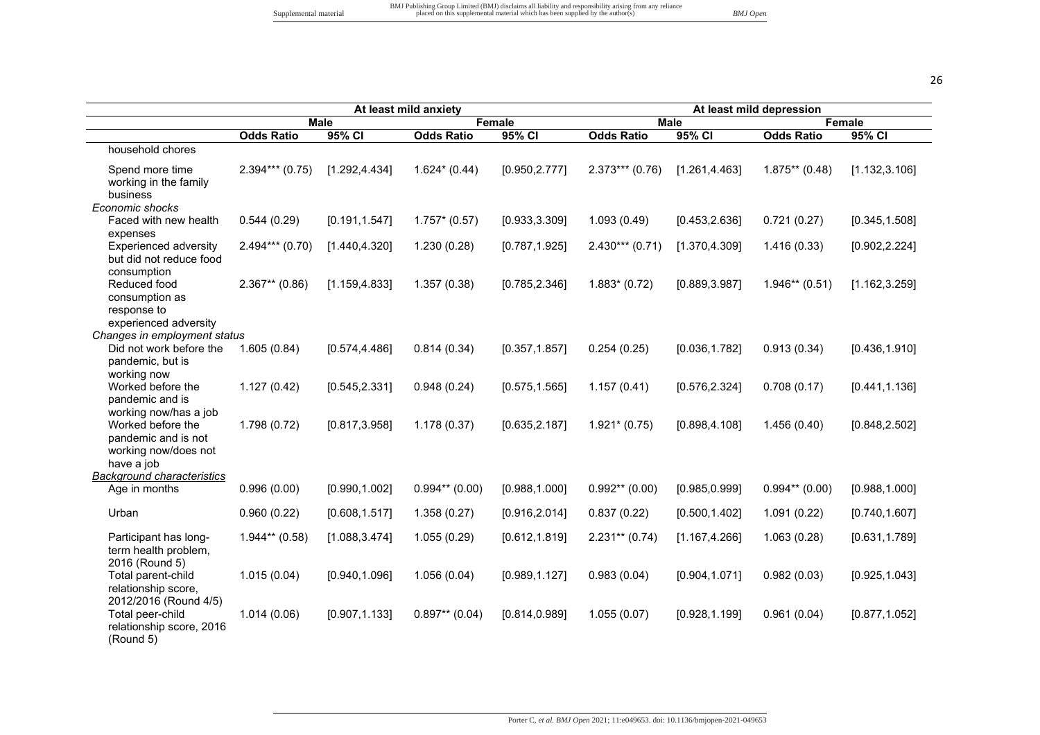| ۰, |   |
|----|---|
|    | I |

|                                                                                                         |                   |                | At least mild anxiety |                | At least mild depression |                |                   |                |  |  |
|---------------------------------------------------------------------------------------------------------|-------------------|----------------|-----------------------|----------------|--------------------------|----------------|-------------------|----------------|--|--|
|                                                                                                         |                   | <b>Male</b>    |                       | Female         |                          | <b>Male</b>    |                   | <b>Female</b>  |  |  |
|                                                                                                         | <b>Odds Ratio</b> | 95% CI         | <b>Odds Ratio</b>     | 95% CI         | <b>Odds Ratio</b>        | 95% CI         | <b>Odds Ratio</b> | 95% CI         |  |  |
| household chores                                                                                        |                   |                |                       |                |                          |                |                   |                |  |  |
| Spend more time<br>working in the family<br>business                                                    | $2.394***$ (0.75) | [1.292, 4.434] | $1.624*(0.44)$        | [0.950, 2.777] | $2.373***$ (0.76)        | [1.261, 4.463] | $1.875**$ (0.48)  | [1.132, 3.106] |  |  |
| Economic shocks                                                                                         |                   |                |                       |                |                          |                |                   |                |  |  |
| Faced with new health<br>expenses                                                                       | 0.544(0.29)       | [0.191, 1.547] | $1.757*$ (0.57)       | [0.933, 3.309] | 1.093(0.49)              | [0.453, 2.636] | 0.721(0.27)       | [0.345, 1.508] |  |  |
| <b>Experienced adversity</b><br>but did not reduce food<br>consumption                                  | $2.494***$ (0.70) | [1.440, 4.320] | 1.230(0.28)           | [0.787, 1.925] | $2.430***$ (0.71)        | [1.370, 4.309] | 1.416(0.33)       | [0.902, 2.224] |  |  |
| Reduced food<br>consumption as<br>response to                                                           | $2.367**$ (0.86)  | [1.159, 4.833] | 1.357(0.38)           | [0.785, 2.346] | $1.883*(0.72)$           | [0.889, 3.987] | $1.946**$ (0.51)  | [1.162, 3.259] |  |  |
| experienced adversity                                                                                   |                   |                |                       |                |                          |                |                   |                |  |  |
| Changes in employment status                                                                            |                   |                |                       |                |                          |                |                   |                |  |  |
| Did not work before the<br>pandemic, but is<br>working now                                              | 1.605(0.84)       | [0.574, 4.486] | 0.814(0.34)           | [0.357, 1.857] | 0.254(0.25)              | [0.036, 1.782] | 0.913(0.34)       | [0.436, 1.910] |  |  |
| Worked before the<br>pandemic and is                                                                    | 1.127(0.42)       | [0.545, 2.331] | 0.948(0.24)           | [0.575, 1.565] | 1.157(0.41)              | [0.576, 2.324] | 0.708(0.17)       | [0.441, 1.136] |  |  |
| working now/has a job<br>Worked before the<br>pandemic and is not<br>working now/does not<br>have a job | 1.798(0.72)       | [0.817, 3.958] | 1.178(0.37)           | [0.635, 2.187] | $1.921*(0.75)$           | [0.898, 4.108] | 1.456(0.40)       | [0.848, 2.502] |  |  |
| <b>Background characteristics</b><br>Age in months                                                      | 0.996(0.00)       | [0.990, 1.002] | $0.994**$ (0.00)      | [0.988, 1.000] | $0.992**$ (0.00)         | [0.985, 0.999] | $0.994**$ (0.00)  | [0.988, 1.000] |  |  |
| Urban                                                                                                   | 0.960(0.22)       | [0.608, 1.517] | 1.358(0.27)           | [0.916, 2.014] | 0.837(0.22)              | [0.500, 1.402] | 1.091(0.22)       | [0.740, 1.607] |  |  |
| Participant has long-<br>term health problem,<br>2016 (Round 5)                                         | $1.944**$ (0.58)  | [1.088, 3.474] | 1.055(0.29)           | [0.612, 1.819] | $2.231**$ (0.74)         | [1.167, 4.266] | 1.063(0.28)       | [0.631, 1.789] |  |  |
| Total parent-child<br>relationship score,                                                               | 1.015(0.04)       | [0.940, 1.096] | 1.056(0.04)           | [0.989, 1.127] | 0.983(0.04)              | [0.904, 1.071] | 0.982(0.03)       | [0.925, 1.043] |  |  |
| 2012/2016 (Round 4/5)<br>Total peer-child<br>relationship score, 2016<br>(Round 5)                      | 1.014(0.06)       | [0.907, 1.133] | $0.897**$ (0.04)      | [0.814, 0.989] | 1.055(0.07)              | [0.928, 1.199] | 0.961(0.04)       | [0.877, 1.052] |  |  |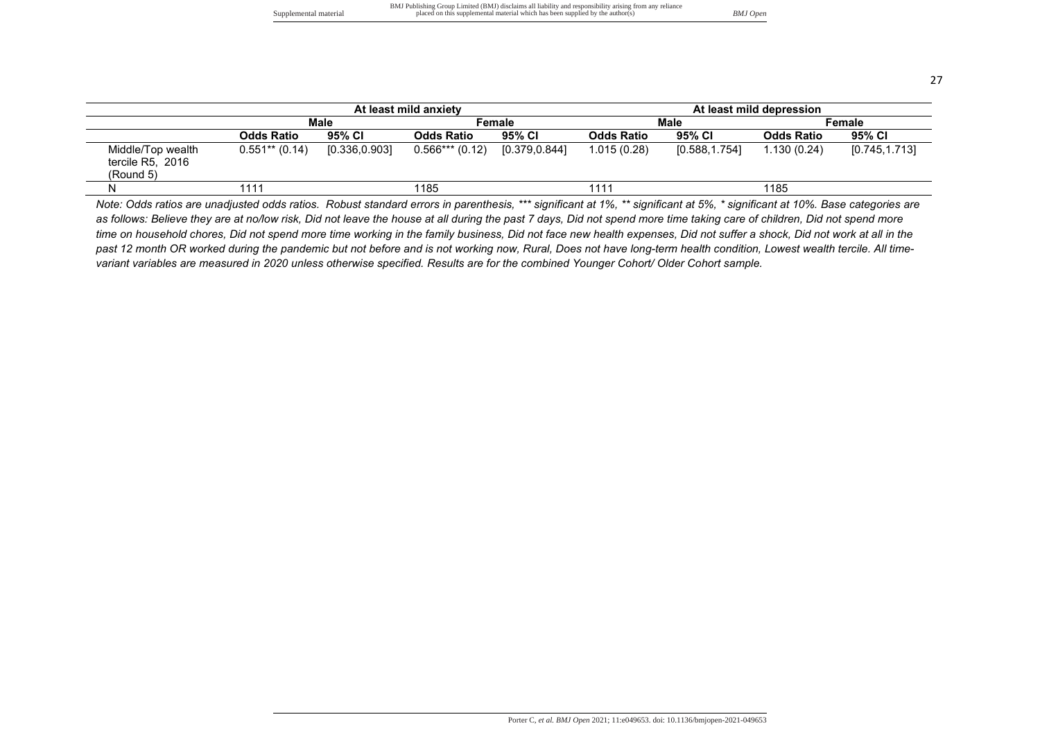BMJ Publishing Group Limited (BMJ) disclaims all liability and responsibility arising from any reliance Supplemental material material placed on this supplemental material which has been supplied by the author(s) **BMJ Open** 

27

|                                                    |                   |                | At least mild anxiety |               | At least mild depression |                |                   |                |  |  |
|----------------------------------------------------|-------------------|----------------|-----------------------|---------------|--------------------------|----------------|-------------------|----------------|--|--|
|                                                    |                   | <b>Male</b>    |                       | Female        |                          | Male           | Female            |                |  |  |
|                                                    | <b>Odds Ratio</b> | 95% CI         | <b>Odds Ratio</b>     | 95% CI        | <b>Odds Ratio</b>        | 95% CI         | <b>Odds Ratio</b> | 95% CI         |  |  |
| Middle/Top wealth<br>tercile R5, 2016<br>(Round 5) | $0.551**$ (0.14)  | [0.336, 0.903] | $0.566***(0.12)$      | [0.379,0.844] | 1.015(0.28)              | [0.588, 1.754] | 1.130(0.24)       | [0.745, 1.713] |  |  |
| N                                                  | 1111              |                | 1185                  |               | 1111                     |                | 1185              |                |  |  |

*Note: Odds ratios are unadjusted odds ratios. Robust standard errors in parenthesis, \*\*\* significant at 1%, \*\* significant at 5%, \* significant at 10%. Base categories are*  as follows: Believe they are at no/low risk, Did not leave the house at all during the past 7 days, Did not spend more time taking care of children, Did not spend more *time on household chores, Did not spend more time working in the family business, Did not face new health expenses, Did not suffer a shock, Did not work at all in the past 12 month OR worked during the pandemic but not before and is not working now, Rural, Does not have long-term health condition, Lowest wealth tercile. All timevariant variables are measured in 2020 unless otherwise specified. Results are for the combined Younger Cohort/ Older Cohort sample.*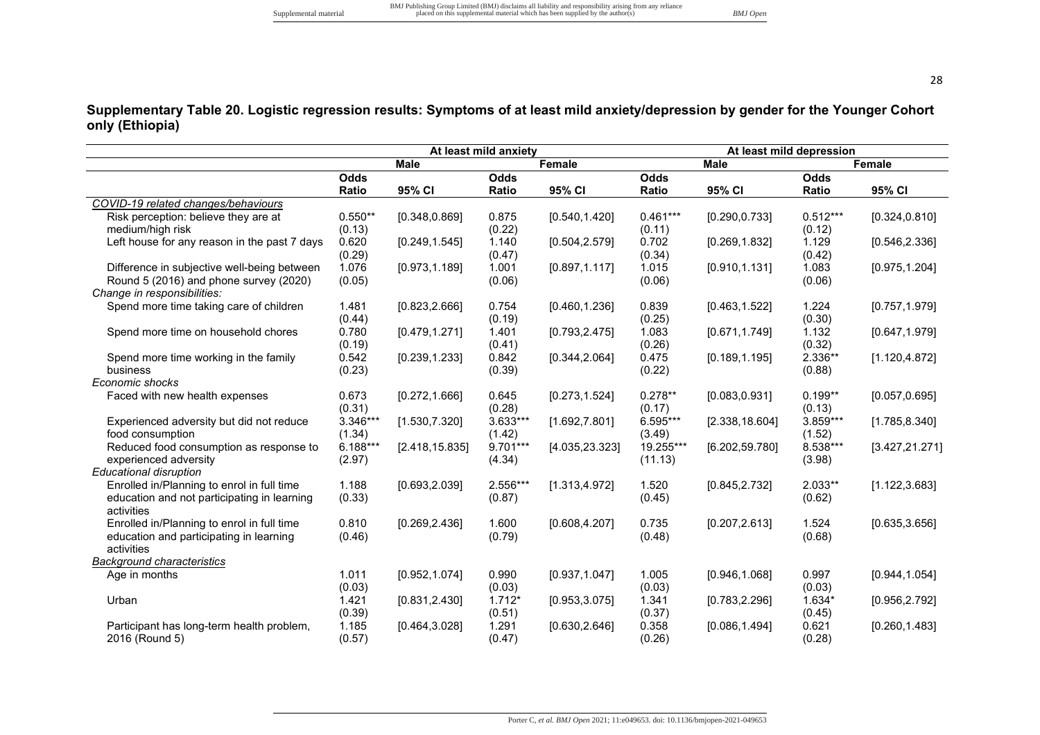**Supplementary Table 20. Logistic regression results: Symptoms of at least mild anxiety/depression by gender for the Younger Cohort only (Ethiopia)** 

|                                              |            |                 | At least mild anxiety |                 | At least mild depression |                 |             |                 |  |
|----------------------------------------------|------------|-----------------|-----------------------|-----------------|--------------------------|-----------------|-------------|-----------------|--|
|                                              |            | Male            |                       | Female          |                          | <b>Male</b>     |             | Female          |  |
|                                              | Odds       |                 | <b>Odds</b>           |                 | Odds                     |                 | <b>Odds</b> |                 |  |
|                                              | Ratio      | 95% CI          | Ratio                 | 95% CI          | Ratio                    | 95% CI          | Ratio       | 95% CI          |  |
| COVID-19 related changes/behaviours          |            |                 |                       |                 |                          |                 |             |                 |  |
| Risk perception: believe they are at         | $0.550**$  | [0.348, 0.869]  | 0.875                 | [0.540, 1.420]  | $0.461***$               | [0.290, 0.733]  | $0.512***$  | [0.324, 0.810]  |  |
| medium/high risk                             | (0.13)     |                 | (0.22)                |                 | (0.11)                   |                 | (0.12)      |                 |  |
| Left house for any reason in the past 7 days | 0.620      | [0.249, 1.545]  | 1.140                 | [0.504, 2.579]  | 0.702                    | [0.269, 1.832]  | 1.129       | [0.546, 2.336]  |  |
|                                              | (0.29)     |                 | (0.47)                |                 | (0.34)                   |                 | (0.42)      |                 |  |
| Difference in subjective well-being between  | 1.076      | [0.973, 1.189]  | 1.001                 | [0.897, 1.117]  | 1.015                    | [0.910, 1.131]  | 1.083       | [0.975, 1.204]  |  |
| Round 5 (2016) and phone survey (2020)       | (0.05)     |                 | (0.06)                |                 | (0.06)                   |                 | (0.06)      |                 |  |
| Change in responsibilities:                  |            |                 |                       |                 |                          |                 |             |                 |  |
| Spend more time taking care of children      | 1.481      | [0.823, 2.666]  | 0.754                 | [0.460, 1.236]  | 0.839                    | [0.463, 1.522]  | 1.224       | [0.757, 1.979]  |  |
|                                              | (0.44)     |                 | (0.19)                |                 | (0.25)                   |                 | (0.30)      |                 |  |
| Spend more time on household chores          | 0.780      | [0.479, 1.271]  | 1.401                 | [0.793, 2.475]  | 1.083                    | [0.671, 1.749]  | 1.132       | [0.647, 1.979]  |  |
|                                              | (0.19)     |                 | (0.41)                |                 | (0.26)                   |                 | (0.32)      |                 |  |
| Spend more time working in the family        | 0.542      | [0.239, 1.233]  | 0.842                 | [0.344, 2.064]  | 0.475                    | [0.189, 1.195]  | 2.336**     | [1.120, 4.872]  |  |
| business                                     | (0.23)     |                 | (0.39)                |                 | (0.22)                   |                 | (0.88)      |                 |  |
| Economic shocks                              |            |                 |                       |                 |                          |                 |             |                 |  |
| Faced with new health expenses               | 0.673      | [0.272, 1.666]  | 0.645                 | [0.273, 1.524]  | $0.278**$                | [0.083, 0.931]  | $0.199**$   | [0.057, 0.695]  |  |
|                                              | (0.31)     |                 | (0.28)                |                 | (0.17)                   |                 | (0.13)      |                 |  |
| Experienced adversity but did not reduce     | 3.346***   | [1.530, 7.320]  | 3.633***              | [1.692, 7.801]  | 6.595***                 | [2.338, 18.604] | 3.859***    | [1.785, 8.340]  |  |
| food consumption                             | (1.34)     |                 | (1.42)                |                 | (3.49)                   |                 | (1.52)      |                 |  |
| Reduced food consumption as response to      | $6.188***$ | [2.418, 15.835] | 9.701***              | [4.035, 23.323] | 19.255***                | [6.202, 59.780] | 8.538***    | [3.427, 21.271] |  |
| experienced adversity                        | (2.97)     |                 | (4.34)                |                 | (11.13)                  |                 | (3.98)      |                 |  |
| <b>Educational disruption</b>                |            |                 |                       |                 |                          |                 |             |                 |  |
| Enrolled in/Planning to enrol in full time   | 1.188      | [0.693, 2.039]  | 2.556***              | [1.313, 4.972]  | 1.520                    | [0.845, 2.732]  | $2.033**$   | [1.122, 3.683]  |  |
| education and not participating in learning  | (0.33)     |                 | (0.87)                |                 | (0.45)                   |                 | (0.62)      |                 |  |
| activities                                   |            |                 |                       |                 |                          |                 |             |                 |  |
| Enrolled in/Planning to enrol in full time   | 0.810      | [0.269, 2.436]  | 1.600                 | [0.608, 4.207]  | 0.735                    | [0.207, 2.613]  | 1.524       | [0.635, 3.656]  |  |
| education and participating in learning      | (0.46)     |                 | (0.79)                |                 | (0.48)                   |                 | (0.68)      |                 |  |
| activities                                   |            |                 |                       |                 |                          |                 |             |                 |  |
| Background characteristics                   |            |                 |                       |                 |                          |                 |             |                 |  |
| Age in months                                | 1.011      | [0.952, 1.074]  | 0.990                 | [0.937, 1.047]  | 1.005                    | [0.946, 1.068]  | 0.997       | [0.944, 1.054]  |  |
|                                              | (0.03)     |                 | (0.03)                |                 | (0.03)                   |                 | (0.03)      |                 |  |
| Urban                                        | 1.421      | [0.831, 2.430]  | $1.712*$              | [0.953, 3.075]  | 1.341                    | [0.783, 2.296]  | $1.634*$    | [0.956, 2.792]  |  |
|                                              | (0.39)     |                 | (0.51)                |                 | (0.37)                   |                 | (0.45)      |                 |  |
| Participant has long-term health problem,    | 1.185      | [0.464, 3.028]  | 1.291                 | [0.630, 2.646]  | 0.358                    | [0.086, 1.494]  | 0.621       | [0.260, 1.483]  |  |
| 2016 (Round 5)                               | (0.57)     |                 | (0.47)                |                 | (0.26)                   |                 | (0.28)      |                 |  |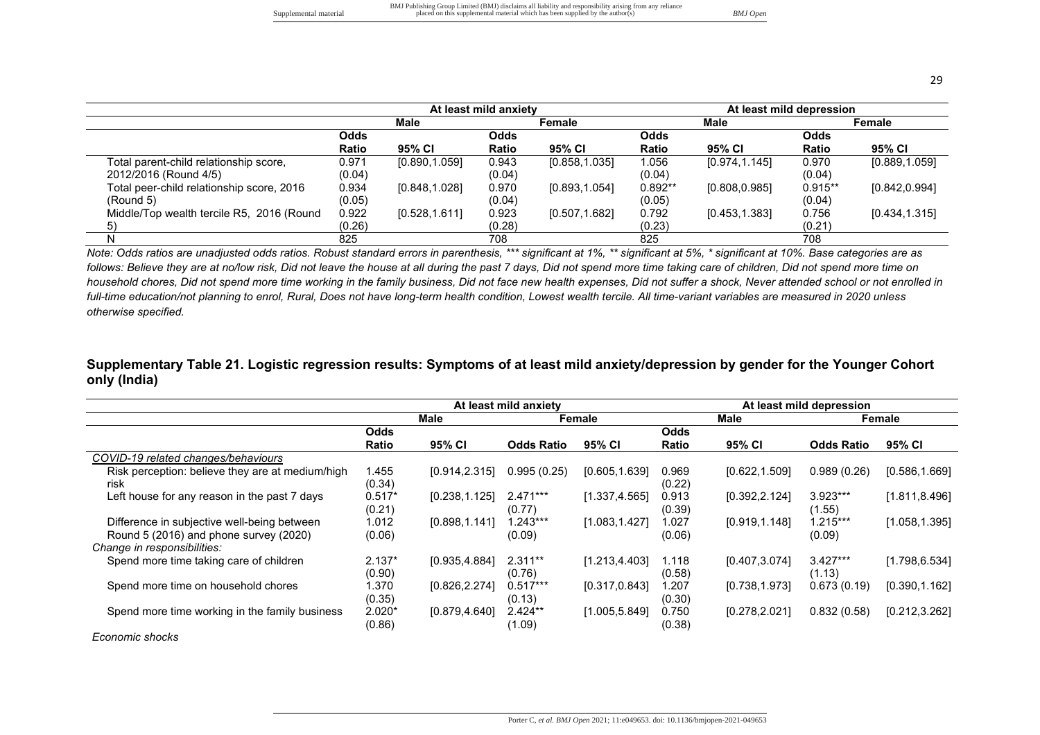|                                           |        |                | At least mild anxiety |                |             | At least mild depression |            |                |  |  |
|-------------------------------------------|--------|----------------|-----------------------|----------------|-------------|--------------------------|------------|----------------|--|--|
|                                           |        | Male           |                       | Female         |             | Male                     |            | Female         |  |  |
|                                           | Odds   |                | <b>Odds</b>           |                | <b>Odds</b> |                          | Odds       |                |  |  |
|                                           | Ratio  | 95% CI         | Ratio                 | 95% CI         | Ratio       | 95% CI                   | Ratio      | 95% CI         |  |  |
| Total parent-child relationship score,    | 0.971  | [0.890, 1.059] | 0.943                 | [0.858, 1.035] | 1.056       | [0.974, 1.145]           | 0.970      | [0.889, 1.059] |  |  |
| 2012/2016 (Round 4/5)                     | (0.04) |                | (0.04)                |                | (0.04)      |                          | (0.04)     |                |  |  |
| Total peer-child relationship score, 2016 | 0.934  | [0.848, 1.028] | 0.970                 | [0.893, 1.054] | $0.892**$   | [0.808, 0.985]           | $0.915***$ | [0.842, 0.994] |  |  |
| (Round 5)                                 | (0.05) |                | (0.04)                |                | (0.05)      |                          | (0.04)     |                |  |  |
| Middle/Top wealth tercile R5, 2016 (Round | 0.922  | [0.528, 1.611] | 0.923                 | [0.507, 1.682] | 0.792       | [0.453, 1.383]           | 0.756      | [0.434, 1.315] |  |  |
| 5)                                        | (0.26) |                | (0.28)                |                | (0.23)      |                          | (0.21)     |                |  |  |
| N                                         | 825    |                | 708                   |                | 825         |                          | 708        |                |  |  |

*Note: Odds ratios are unadjusted odds ratios. Robust standard errors in parenthesis, \*\*\* significant at 1%, \*\* significant at 5%, \* significant at 10%. Base categories are as*  follows: Believe they are at no/low risk, Did not leave the house at all during the past 7 days, Did not spend more time taking care of children, Did not spend more time on *household chores, Did not spend more time working in the family business, Did not face new health expenses, Did not suffer a shock, Never attended school or not enrolled in full-time education/not planning to enrol, Rural, Does not have long-term health condition, Lowest wealth tercile. All time-variant variables are measured in 2020 unless otherwise specified.* 

#### **Supplementary Table 21. Logistic regression results: Symptoms of at least mild anxiety/depression by gender for the Younger Cohort only (India)**

|                                                          |                    |                | At least mild anxiety |                | At least mild depression |                |                      |                |
|----------------------------------------------------------|--------------------|----------------|-----------------------|----------------|--------------------------|----------------|----------------------|----------------|
|                                                          |                    | Male           |                       | Female         |                          | Male           | Female               |                |
|                                                          | Odds               |                |                       |                | Odds                     |                |                      |                |
|                                                          | Ratio              | 95% CI         | <b>Odds Ratio</b>     | 95% CI         | Ratio                    | 95% CI         | <b>Odds Ratio</b>    | 95% CI         |
| COVID-19 related changes/behaviours                      |                    |                |                       |                |                          |                |                      |                |
| Risk perception: believe they are at medium/high<br>risk | 1.455<br>(0.34)    | [0.914, 2.315] | 0.995(0.25)           | [0.605, 1.639] | 0.969<br>(0.22)          | [0.622, 1.509] | 0.989(0.26)          | [0.586, 1.669] |
| Left house for any reason in the past 7 days             | $0.517*$<br>(0.21) | [0.238, 1.125] | $2.471***$<br>(0.77)  | [1.337, 4.565] | 0.913<br>(0.39)          | [0.392, 2.124] | 3.923***<br>(1.55)   | [1.811, 8.496] |
| Difference in subjective well-being between              | 1.012              | [0.898, 1.141] | $.243***$             | [1.083, 1.427] | .027                     | [0.919, 1.148] | $1.215***$           | [1.058, 1.395] |
| Round 5 (2016) and phone survey (2020)                   | (0.06)             |                | (0.09)                |                | (0.06)                   |                | (0.09)               |                |
| Change in responsibilities:                              |                    |                |                       |                |                          |                |                      |                |
| Spend more time taking care of children                  | $2.137*$<br>(0.90) | [0.935, 4.884] | $2.311**$<br>(0.76)   | [1.213, 4.403] | 1.118<br>(0.58)          | [0.407, 3.074] | $3.427***$<br>(1.13) | [1.798, 6.534] |
| Spend more time on household chores                      | 1.370<br>(0.35)    | [0.826, 2.274] | $0.517***$<br>(0.13)  | [0.317, 0.843] | .207<br>(0.30)           | [0.738, 1.973] | 0.673(0.19)          | [0.390, 1.162] |
| Spend more time working in the family business           | $2.020*$<br>(0.86) | [0.879, 4.640] | $2.424**$<br>(1.09)   | [1.005, 5.849] | 0.750<br>(0.38)          | [0.278, 2.021] | 0.832(0.58)          | [0.212, 3.262] |
| Economic shocks                                          |                    |                |                       |                |                          |                |                      |                |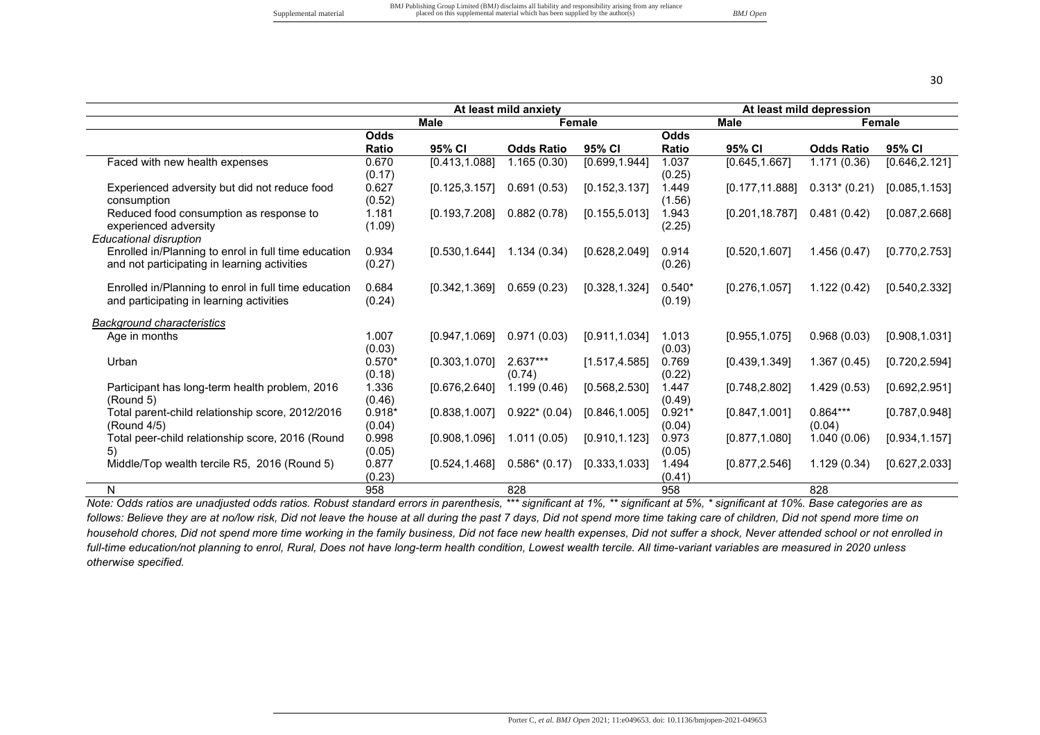| v       |                   |
|---------|-------------------|
|         |                   |
|         |                   |
| ۰.<br>× | I<br>٦<br>×<br>۰. |

|                                                                                                      |                    |                | At least mild anxiety |                | At least mild depression |                 |                      |                |
|------------------------------------------------------------------------------------------------------|--------------------|----------------|-----------------------|----------------|--------------------------|-----------------|----------------------|----------------|
|                                                                                                      |                    | <b>Male</b>    |                       | <b>Female</b>  |                          | <b>Male</b>     |                      | Female         |
|                                                                                                      | <b>Odds</b>        |                |                       |                | <b>Odds</b>              |                 |                      |                |
|                                                                                                      | <b>Ratio</b>       | 95% CI         | <b>Odds Ratio</b>     | 95% CI         | <b>Ratio</b>             | 95% CI          | <b>Odds Ratio</b>    | 95% CI         |
| Faced with new health expenses                                                                       | 0.670<br>(0.17)    | [0.413, 1.088] | 1.165(0.30)           | [0.699, 1.944] | 1.037<br>(0.25)          | [0.645, 1.667]  | 1.171(0.36)          | [0.646, 2.121] |
| Experienced adversity but did not reduce food<br>consumption                                         | 0.627<br>(0.52)    | [0.125, 3.157] | 0.691(0.53)           | [0.152, 3.137] | 1.449<br>(1.56)          | [0.177, 11.888] | $0.313*(0.21)$       | [0.085, 1.153] |
| Reduced food consumption as response to<br>experienced adversity                                     | 1.181<br>(1.09)    | [0.193, 7.208] | 0.882(0.78)           | [0.155, 5.013] | 1.943<br>(2.25)          | [0.201, 18.787] | 0.481(0.42)          | [0.087, 2.668] |
| <b>Educational disruption</b>                                                                        |                    |                |                       |                |                          |                 |                      |                |
| Enrolled in/Planning to enrol in full time education<br>and not participating in learning activities | 0.934<br>(0.27)    | [0.530, 1.644] | 1.134(0.34)           | [0.628, 2.049] | 0.914<br>(0.26)          | [0.520, 1.607]  | 1.456(0.47)          | [0.770, 2.753] |
| Enrolled in/Planning to enrol in full time education<br>and participating in learning activities     | 0.684<br>(0.24)    | [0.342, 1.369] | 0.659(0.23)           | [0.328, 1.324] | $0.540*$<br>(0.19)       | [0.276, 1.057]  | 1.122(0.42)          | [0.540, 2.332] |
| <b>Background characteristics</b>                                                                    |                    |                |                       |                |                          |                 |                      |                |
| Age in months                                                                                        | 1.007<br>(0.03)    | [0.947, 1.069] | 0.971(0.03)           | [0.911, 1.034] | 1.013<br>(0.03)          | [0.955, 1.075]  | 0.968(0.03)          | [0.908, 1.031] |
| Urban                                                                                                | $0.570*$<br>(0.18) | [0.303, 1.070] | $2.637***$<br>(0.74)  | [1.517, 4.585] | 0.769<br>(0.22)          | [0.439, 1.349]  | 1.367(0.45)          | [0.720, 2.594] |
| Participant has long-term health problem, 2016<br>(Round 5)                                          | 1.336<br>(0.46)    | [0.676, 2.640] | 1.199(0.46)           | [0.568, 2.530] | 1.447<br>(0.49)          | [0.748, 2.802]  | 1.429(0.53)          | [0.692, 2.951] |
| Total parent-child relationship score, 2012/2016<br>(Round 4/5)                                      | $0.918*$<br>(0.04) | [0.838, 1.007] | $0.922*(0.04)$        | [0.846, 1.005] | $0.921*$<br>(0.04)       | [0.847, 1.001]  | $0.864***$<br>(0.04) | [0.787, 0.948] |
| Total peer-child relationship score, 2016 (Round<br>5)                                               | 0.998<br>(0.05)    | [0.908, 1.096] | 1.011(0.05)           | [0.910, 1.123] | 0.973<br>(0.05)          | [0.877, 1.080]  | 1.040(0.06)          | [0.934, 1.157] |
| Middle/Top wealth tercile R5, 2016 (Round 5)                                                         | 0.877<br>(0.23)    | [0.524, 1.468] | $0.586* (0.17)$       | [0.333, 1.033] | 1.494<br>(0.41)          | [0.877, 2.546]  | 1.129(0.34)          | [0.627, 2.033] |
| N                                                                                                    | 958                |                | 828                   |                | 958                      |                 | 828                  |                |

*Note: Odds ratios are unadjusted odds ratios. Robust standard errors in parenthesis, \*\*\* significant at 1%, \*\* significant at 5%, \* significant at 10%. Base categories are as*  follows: Believe they are at no/low risk, Did not leave the house at all during the past 7 days, Did not spend more time taking care of children, Did not spend more time on *household chores, Did not spend more time working in the family business, Did not face new health expenses, Did not suffer a shock, Never attended school or not enrolled in full-time education/not planning to enrol, Rural, Does not have long-term health condition, Lowest wealth tercile. All time-variant variables are measured in 2020 unless otherwise specified.*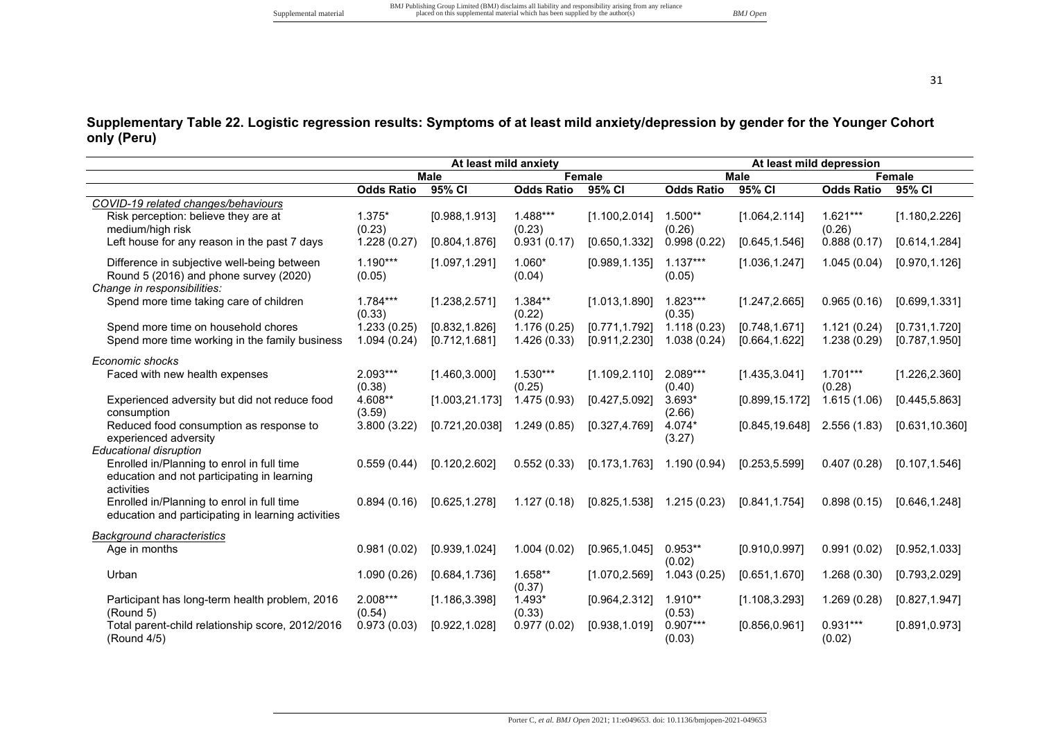## **Supplementary Table 22. Logistic regression results: Symptoms of at least mild anxiety/depression by gender for the Younger Cohort only (Peru)**

|                                                                                                                      |                            | At least mild anxiety            |                            |                                  |                            | At least mild depression         |                             |                                  |
|----------------------------------------------------------------------------------------------------------------------|----------------------------|----------------------------------|----------------------------|----------------------------------|----------------------------|----------------------------------|-----------------------------|----------------------------------|
|                                                                                                                      |                            | <b>Male</b>                      |                            | Female                           |                            | Male                             |                             | <b>Female</b>                    |
|                                                                                                                      | <b>Odds Ratio</b>          | 95% CI                           | <b>Odds Ratio</b>          | 95% CI                           | <b>Odds Ratio</b>          | 95% CI                           | <b>Odds Ratio</b>           | 95% CI                           |
| COVID-19 related changes/behaviours<br>Risk perception: believe they are at<br>medium/high risk                      | 1.375*<br>(0.23)           | [0.988, 1.913]                   | $1.488***$<br>(0.23)       | [1.100, 2.014]                   | $1.500**$<br>(0.26)        | [1.064, 2.114]                   | $1.621***$<br>(0.26)        | [1.180, 2.226]                   |
| Left house for any reason in the past 7 days                                                                         | 1.228(0.27)                | [0.804, 1.876]                   | 0.931(0.17)                | [0.650, 1.332]                   | 0.998(0.22)                | [0.645, 1.546]                   | 0.888(0.17)                 | [0.614, 1.284]                   |
| Difference in subjective well-being between<br>Round 5 (2016) and phone survey (2020)<br>Change in responsibilities: | $1.190***$<br>(0.05)       | [1.097, 1.291]                   | $1.060*$<br>(0.04)         | [0.989, 1.135]                   | $1.137***$<br>(0.05)       | [1.036, 1.247]                   | 1.045(0.04)                 | [0.970, 1.126]                   |
| Spend more time taking care of children                                                                              | $1.784***$<br>(0.33)       | [1.238, 2.571]                   | $1.384**$<br>(0.22)        | [1.013, 1.890]                   | $1.823***$<br>(0.35)       | [1.247, 2.665]                   | 0.965(0.16)                 | [0.699, 1.331]                   |
| Spend more time on household chores<br>Spend more time working in the family business                                | 1.233(0.25)<br>1.094(0.24) | [0.832, 1.826]<br>[0.712, 1.681] | 1.176(0.25)<br>1.426(0.33) | [0.771, 1.792]<br>[0.911, 2.230] | 1.118(0.23)<br>1.038(0.24) | [0.748, 1.671]<br>[0.664, 1.622] | 1.121(0.24)<br>1.238 (0.29) | [0.731, 1.720]<br>[0.787, 1.950] |
| Economic shocks                                                                                                      |                            |                                  |                            |                                  |                            |                                  |                             |                                  |
| Faced with new health expenses                                                                                       | 2.093***<br>(0.38)         | [1.460, 3.000]                   | $1.530***$<br>(0.25)       | [1.109, 2.110]                   | 2.089***<br>(0.40)         | [1.435, 3.041]                   | $1.701***$<br>(0.28)        | [1.226, 2.360]                   |
| Experienced adversity but did not reduce food<br>consumption                                                         | 4.608**<br>(3.59)          | [1.003, 21.173]                  | 1.475 (0.93)               | [0.427, 5.092]                   | $3.693*$<br>(2.66)         | [0.899, 15.172]                  | 1.615(1.06)                 | [0.445, 5.863]                   |
| Reduced food consumption as response to<br>experienced adversity                                                     | 3.800 (3.22)               | [0.721, 20.038]                  | 1.249(0.85)                | [0.327, 4.769]                   | 4.074*<br>(3.27)           | [0.845, 19.648]                  | 2.556(1.83)                 | [0.631, 10.360]                  |
| <b>Educational disruption</b>                                                                                        |                            |                                  |                            |                                  |                            |                                  |                             |                                  |
| Enrolled in/Planning to enrol in full time<br>education and not participating in learning<br>activities              | 0.559(0.44)                | [0.120, 2.602]                   | 0.552(0.33)                | [0.173, 1.763]                   | 1.190(0.94)                | [0.253, 5.599]                   | 0.407(0.28)                 | [0.107, 1.546]                   |
| Enrolled in/Planning to enrol in full time<br>education and participating in learning activities                     | 0.894(0.16)                | [0.625, 1.278]                   | 1.127(0.18)                | [0.825, 1.538]                   | 1.215(0.23)                | [0.841, 1.754]                   | 0.898(0.15)                 | [0.646, 1.248]                   |
| <b>Background characteristics</b>                                                                                    |                            |                                  |                            |                                  |                            |                                  |                             |                                  |
| Age in months                                                                                                        | 0.981(0.02)                | [0.939, 1.024]                   | 1.004(0.02)                | [0.965, 1.045]                   | $0.953**$<br>(0.02)        | [0.910, 0.997]                   | 0.991(0.02)                 | [0.952, 1.033]                   |
| Urban                                                                                                                | 1.090(0.26)                | [0.684, 1.736]                   | 1.658**<br>(0.37)          | [1.070, 2.569]                   | 1.043(0.25)                | [0.651, 1.670]                   | 1.268(0.30)                 | [0.793, 2.029]                   |
| Participant has long-term health problem, 2016<br>(Round 5)                                                          | 2.008***<br>(0.54)         | [1.186, 3.398]                   | $1.493*$<br>(0.33)         | [0.964, 2.312]                   | $1.910**$<br>(0.53)        | [1.108, 3.293]                   | 1.269(0.28)                 | [0.827, 1.947]                   |
| Total parent-child relationship score, 2012/2016<br>(Round 4/5)                                                      | 0.973(0.03)                | [0.922, 1.028]                   | 0.977(0.02)                | [0.938, 1.019]                   | $0.907***$<br>(0.03)       | [0.856, 0.961]                   | $0.931***$<br>(0.02)        | [0.891, 0.973]                   |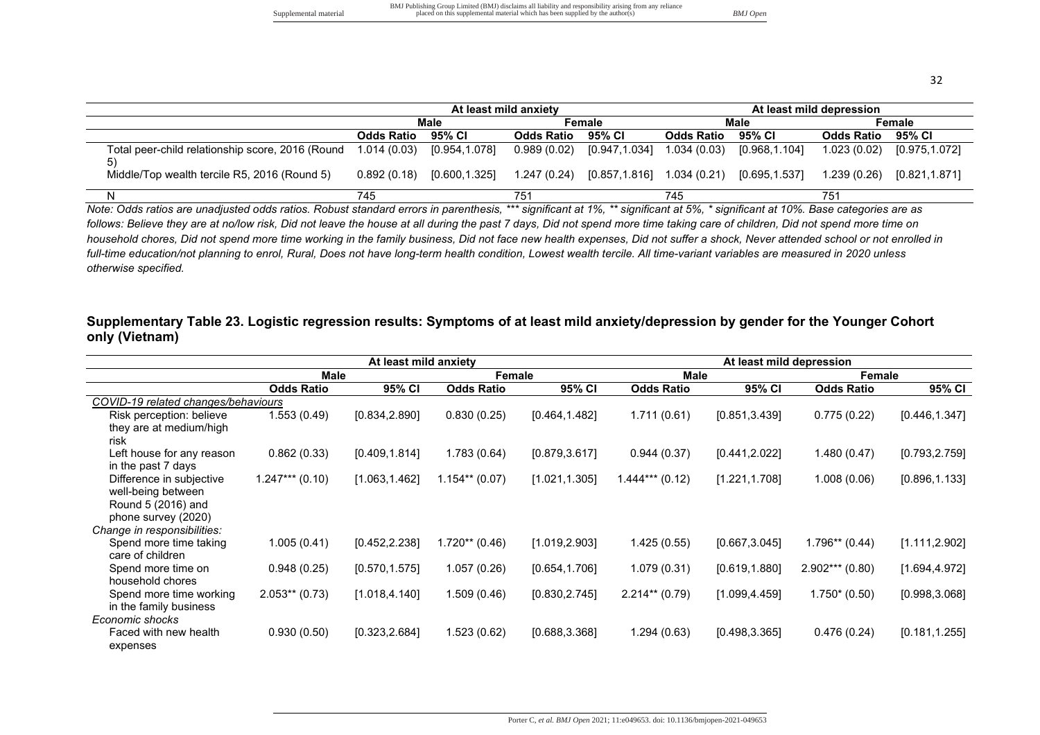| I | v |
|---|---|

|                                                        |                   |               | At least mild anxiety |                                | At least mild depression |               |                   |                |  |
|--------------------------------------------------------|-------------------|---------------|-----------------------|--------------------------------|--------------------------|---------------|-------------------|----------------|--|
|                                                        | Male              |               | Female                |                                | Male                     |               | Female            |                |  |
|                                                        | <b>Odds Ratio</b> | 95% CI        | <b>Odds Ratio</b>     | 95% CI                         | <b>Odds Ratio</b>        | 95% CI        | <b>Odds Ratio</b> | 95% CI         |  |
| Total peer-child relationship score, 2016 (Round<br>5) | 1.014 (0.03)      | [0.954,1.078] |                       | $0.989(0.02)$ $[0.947, 1.034]$ | 1.034 (0.03)             | [0.968,1.104] | 1.023 (0.02)      | [0.975,1.072]  |  |
| Middle/Top wealth tercile R5, 2016 (Round 5)           | 0.892(0.18)       | [0.600,1.325] |                       | 1.247 (0.24) [0.857,1.816]     | 1.034 (0.21)             | [0.695,1.537] | 1.239(0.26)       | [0.821, 1.871] |  |
|                                                        | 745               |               | 751                   |                                | 745                      |               | 751               |                |  |

*Note: Odds ratios are unadjusted odds ratios. Robust standard errors in parenthesis, \*\*\* significant at 1%, \*\* significant at 5%, \* significant at 10%. Base categories are as follows: Believe they are at no/low risk, Did not leave the house at all during the past 7 days, Did not spend more time taking care of children, Did not spend more time on household chores, Did not spend more time working in the family business, Did not face new health expenses, Did not suffer a shock, Never attended school or not enrolled in full-time education/not planning to enrol, Rural, Does not have long-term health condition, Lowest wealth tercile. All time-variant variables are measured in 2020 unless otherwise specified.* 

#### **Supplementary Table 23. Logistic regression results: Symptoms of at least mild anxiety/depression by gender for the Younger Cohort only (Vietnam)**

|                                     |                   | At least mild anxiety |                   |                |                   | At least mild depression |                   |                |
|-------------------------------------|-------------------|-----------------------|-------------------|----------------|-------------------|--------------------------|-------------------|----------------|
|                                     | Male              |                       | Female            |                | Male              |                          | Female            |                |
|                                     | <b>Odds Ratio</b> | 95% CI                | <b>Odds Ratio</b> | 95% CI         | <b>Odds Ratio</b> | 95% CI                   | <b>Odds Ratio</b> | 95% CI         |
| COVID-19 related changes/behaviours |                   |                       |                   |                |                   |                          |                   |                |
| Risk perception: believe            | 1.553 (0.49)      | [0.834, 2.890]        | 0.830(0.25)       | [0.464, 1.482] | 1.711(0.61)       | [0.851, 3.439]           | 0.775(0.22)       | [0.446, 1.347] |
| they are at medium/high             |                   |                       |                   |                |                   |                          |                   |                |
| risk                                |                   |                       |                   |                |                   |                          |                   |                |
| Left house for any reason           | 0.862(0.33)       | [0.409, 1.814]        | 1.783(0.64)       | [0.879, 3.617] | 0.944(0.37)       | [0.441, 2.022]           | 1.480 (0.47)      | [0.793, 2.759] |
| in the past 7 days                  |                   |                       |                   |                |                   |                          |                   |                |
| Difference in subjective            | $1.247***$ (0.10) | [1.063, 1.462]        | $1.154**$ (0.07)  | [1.021, 1.305] | $1.444***$ (0.12) | [1.221, 1.708]           | 1.008(0.06)       | [0.896, 1.133] |
| well-being between                  |                   |                       |                   |                |                   |                          |                   |                |
| Round 5 (2016) and                  |                   |                       |                   |                |                   |                          |                   |                |
| phone survey (2020)                 |                   |                       |                   |                |                   |                          |                   |                |
| Change in responsibilities:         |                   |                       |                   |                |                   |                          |                   |                |
| Spend more time taking              | 1.005(0.41)       | [0.452, 2.238]        | 1.720** (0.46)    | [1.019, 2.903] | 1.425(0.55)       | [0.667, 3.045]           | $1.796**$ (0.44)  | [1.111, 2.902] |
| care of children                    |                   |                       |                   |                |                   |                          |                   |                |
| Spend more time on                  | 0.948(0.25)       | [0.570, 1.575]        | 1.057(0.26)       | [0.654, 1.706] | 1.079(0.31)       | [0.619, 1.880]           | $2.902***$ (0.80) | [1.694, 4.972] |
| household chores                    |                   |                       |                   |                |                   |                          |                   |                |
| Spend more time working             | $2.053**$ (0.73)  | [1.018, 4.140]        | 1.509 (0.46)      | [0.830, 2.745] | $2.214**$ (0.79)  | [1.099, 4.459]           | $1.750*(0.50)$    | [0.998, 3.068] |
| in the family business              |                   |                       |                   |                |                   |                          |                   |                |
| Economic shocks                     |                   |                       |                   |                |                   |                          |                   |                |
| Faced with new health               | 0.930(0.50)       | [0.323, 2.684]        | 1.523 (0.62)      | [0.688, 3.368] | 1.294 (0.63)      | [0.498, 3.365]           | 0.476(0.24)       | [0.181, 1.255] |
| expenses                            |                   |                       |                   |                |                   |                          |                   |                |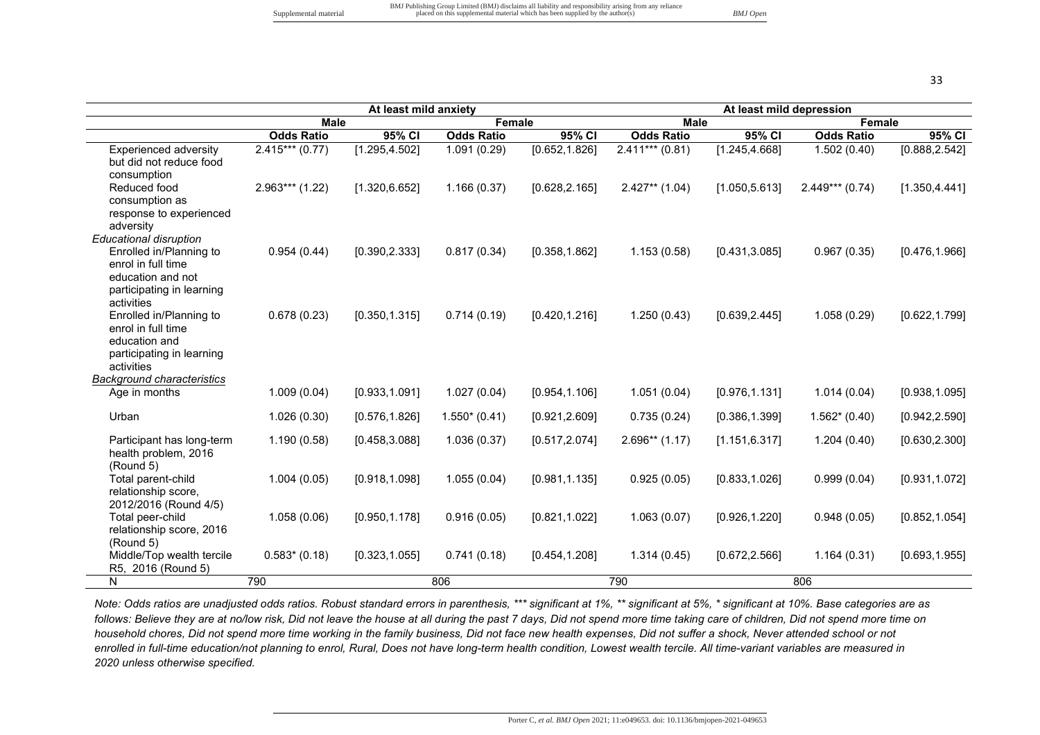|                                                                                                                                                |                               | At least mild anxiety |                   |                |                              | At least mild depression |                   |                |
|------------------------------------------------------------------------------------------------------------------------------------------------|-------------------------------|-----------------------|-------------------|----------------|------------------------------|--------------------------|-------------------|----------------|
|                                                                                                                                                | <b>Male</b>                   |                       | Female            |                | <b>Male</b>                  |                          | Female            |                |
|                                                                                                                                                | <b>Odds Ratio</b>             | 95% CI                | <b>Odds Ratio</b> | 95% CI         | <b>Odds Ratio</b>            | 95% CI                   | <b>Odds Ratio</b> | 95% CI         |
| <b>Experienced adversity</b><br>but did not reduce food<br>consumption                                                                         | $\overline{2.415}$ *** (0.77) | [1.295, 4.502]        | 1.091(0.29)       | [0.652, 1.826] | $\overline{2.411***}$ (0.81) | [1.245, 4.668]           | 1.502(0.40)       | [0.888, 2.542] |
| Reduced food<br>consumption as<br>response to experienced<br>adversity                                                                         | $2.963***$ (1.22)             | [1.320, 6.652]        | 1.166(0.37)       | [0.628, 2.165] | $2.427**$ (1.04)             | [1.050, 5.613]           | $2.449***$ (0.74) | [1.350, 4.441] |
| <b>Educational disruption</b><br>Enrolled in/Planning to<br>enrol in full time<br>education and not<br>participating in learning<br>activities | 0.954(0.44)                   | [0.390, 2.333]        | 0.817(0.34)       | [0.358, 1.862] | 1.153(0.58)                  | [0.431, 3.085]           | 0.967(0.35)       | [0.476, 1.966] |
| Enrolled in/Planning to<br>enrol in full time<br>education and<br>participating in learning<br>activities                                      | 0.678(0.23)                   | [0.350, 1.315]        | 0.714(0.19)       | [0.420, 1.216] | 1.250(0.43)                  | [0.639, 2.445]           | 1.058(0.29)       | [0.622, 1.799] |
| <b>Background characteristics</b><br>Age in months                                                                                             | 1.009(0.04)                   | [0.933, 1.091]        | 1.027(0.04)       | [0.954, 1.106] | 1.051(0.04)                  | [0.976, 1.131]           | 1.014(0.04)       | [0.938, 1.095] |
| Urban                                                                                                                                          | 1.026(0.30)                   | [0.576, 1.826]        | $1.550*(0.41)$    | [0.921, 2.609] | 0.735(0.24)                  | [0.386, 1.399]           | $1.562*(0.40)$    | [0.942, 2.590] |
| Participant has long-term<br>health problem, 2016<br>(Round 5)                                                                                 | 1.190(0.58)                   | [0.458, 3.088]        | 1.036(0.37)       | [0.517, 2.074] | $2.696**$ (1.17)             | [1.151, 6.317]           | 1.204(0.40)       | [0.630, 2.300] |
| Total parent-child<br>relationship score,<br>2012/2016 (Round 4/5)                                                                             | 1.004(0.05)                   | [0.918, 1.098]        | 1.055(0.04)       | [0.981, 1.135] | 0.925(0.05)                  | [0.833, 1.026]           | 0.999(0.04)       | [0.931, 1.072] |
| Total peer-child<br>relationship score, 2016<br>(Round 5)                                                                                      | 1.058(0.06)                   | [0.950, 1.178]        | 0.916(0.05)       | [0.821, 1.022] | 1.063(0.07)                  | [0.926, 1.220]           | 0.948(0.05)       | [0.852, 1.054] |
| Middle/Top wealth tercile<br>R5, 2016 (Round 5)                                                                                                | $0.583*$ (0.18)               | [0.323, 1.055]        | 0.741(0.18)       | [0.454, 1.208] | 1.314(0.45)                  | [0.672, 2.566]           | 1.164(0.31)       | [0.693, 1.955] |
| N                                                                                                                                              | 790                           |                       | 806               |                | 790                          |                          | 806               |                |

*Note: Odds ratios are unadjusted odds ratios. Robust standard errors in parenthesis, \*\*\* significant at 1%, \*\* significant at 5%, \* significant at 10%. Base categories are as follows: Believe they are at no/low risk, Did not leave the house at all during the past 7 days, Did not spend more time taking care of children, Did not spend more time on household chores, Did not spend more time working in the family business, Did not face new health expenses, Did not suffer a shock, Never attended school or not enrolled in full-time education/not planning to enrol, Rural, Does not have long-term health condition, Lowest wealth tercile. All time-variant variables are measured in 2020 unless otherwise specified.*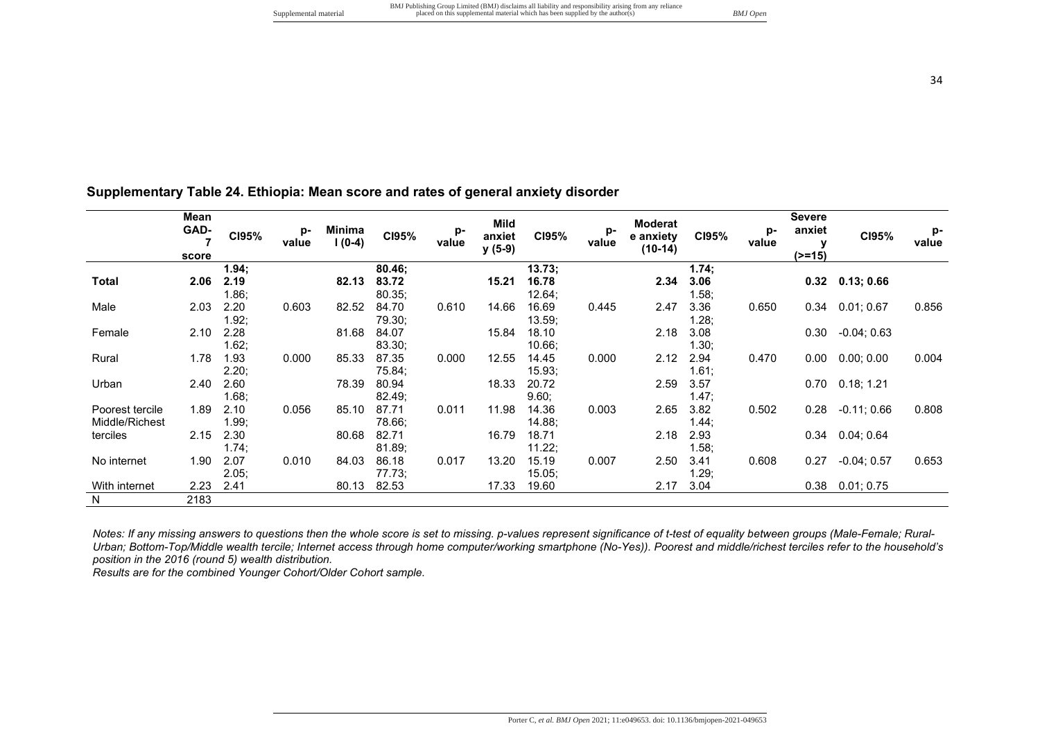## **Supplementary Table 24. Ethiopia: Mean score and rates of general anxiety disorder**

|                 | Mean<br>GAD-<br>7<br>score | CI95% | p-<br>value | <b>Minima</b><br>l (0-4) | C195%  | p-<br>value | Mild<br>anxiet<br>$y(5-9)$ | CI95%     | p-<br>value | <b>Moderat</b><br>e anxiety<br>$(10-14)$ | C195% | p-<br>value | <b>Severe</b><br>anxiet<br>$(>=15)$ | CI95%                  | p-<br>value |
|-----------------|----------------------------|-------|-------------|--------------------------|--------|-------------|----------------------------|-----------|-------------|------------------------------------------|-------|-------------|-------------------------------------|------------------------|-------------|
|                 |                            | 1.94; |             |                          | 80.46; |             |                            | 13.73;    |             |                                          | 1.74; |             |                                     |                        |             |
| Total           | 2.06                       | 2.19  |             | 82.13                    | 83.72  |             | 15.21                      | 16.78     |             | 2.34                                     | 3.06  |             |                                     | $0.32$ $0.13; 0.66$    |             |
|                 |                            | 1.86; |             |                          | 80.35; |             |                            | 12.64;    |             |                                          | 1.58; |             |                                     |                        |             |
| Male            | 2.03                       | 2.20  | 0.603       | 82.52                    | 84.70  | 0.610       | 14.66                      | 16.69     | 0.445       | 2.47                                     | 3.36  | 0.650       | 0.34                                | 0.01;0.67              | 0.856       |
|                 |                            | 1.92; |             |                          | 79.30; |             |                            | 13.59;    |             |                                          | 1.28; |             |                                     |                        |             |
| Female          | 2.10                       | 2.28  |             | 81.68                    | 84.07  |             | 15.84                      | 18.10     |             | 2.18                                     | 3.08  |             |                                     | $0.30 - 0.04; 0.63$    |             |
|                 |                            | 1.62; |             |                          | 83.30; |             |                            | 10.66     |             |                                          | 1.30; |             |                                     |                        |             |
| Rural           | 1.78                       | 1.93  | 0.000       | 85.33                    | 87.35  | 0.000       | 12.55                      | 14.45     | 0.000       | 2.12                                     | 2.94  | 0.470       | 0.00                                | 0.00; 0.00             | 0.004       |
|                 |                            | 2.20; |             |                          | 75.84; |             |                            | 15.93;    |             |                                          | 1.61; |             |                                     |                        |             |
| Urban           | 2.40                       | 2.60  |             | 78.39                    | 80.94  |             | 18.33                      | 20.72     |             | 2.59                                     | 3.57  |             |                                     | $0.70$ $0.18$ ; 1.21   |             |
|                 |                            | 1.68: |             |                          | 82.49: |             |                            | 9.60:     |             |                                          | 1.47: |             |                                     |                        |             |
| Poorest tercile | 1.89                       | 2.10  | 0.056       | 85.10                    | 87.71  | 0.011       | 11.98                      | 14.36     | 0.003       | 2.65                                     | 3.82  | 0.502       | 0.28                                | $-0.11;0.66$           | 0.808       |
| Middle/Richest  |                            | 1.99; |             |                          | 78.66; |             |                            | 14.88;    |             |                                          | 1.44; |             |                                     |                        |             |
| terciles        | 2.15                       | 2.30  |             | 80.68                    | 82.71  |             | 16.79                      | 18.71     |             | 2.18                                     | 2.93  |             |                                     | $0.34$ $0.04$ ; $0.64$ |             |
|                 |                            | 1.74; |             |                          | 81.89; |             |                            | 11.22;    |             |                                          | 1.58; |             |                                     |                        |             |
| No internet     | 1.90                       | 2.07  | 0.010       | 84.03                    | 86.18  | 0.017       | 13.20                      | 15.19     | 0.007       | 2.50                                     | 3.41  | 0.608       | 0.27                                | $-0.04; 0.57$          | 0.653       |
|                 |                            | 2.05; |             |                          | 77.73: |             |                            | $15.05$ ; |             |                                          | 1.29; |             |                                     |                        |             |
| With internet   | 2.23                       | 2.41  |             | 80.13                    | 82.53  |             | 17.33                      | 19.60     |             | 2.17                                     | 3.04  |             | 0.38                                | 0.01; 0.75             |             |
| N               | 2183                       |       |             |                          |        |             |                            |           |             |                                          |       |             |                                     |                        |             |

*Notes: If any missing answers to questions then the whole score is set to missing. p-values represent significance of t-test of equality between groups (Male-Female; Rural-Urban; Bottom-Top/Middle wealth tercile; Internet access through home computer/working smartphone (No-Yes)). Poorest and middle/richest terciles refer to the household's position in the 2016 (round 5) wealth distribution.*

*Results are for the combined Younger Cohort/Older Cohort sample.*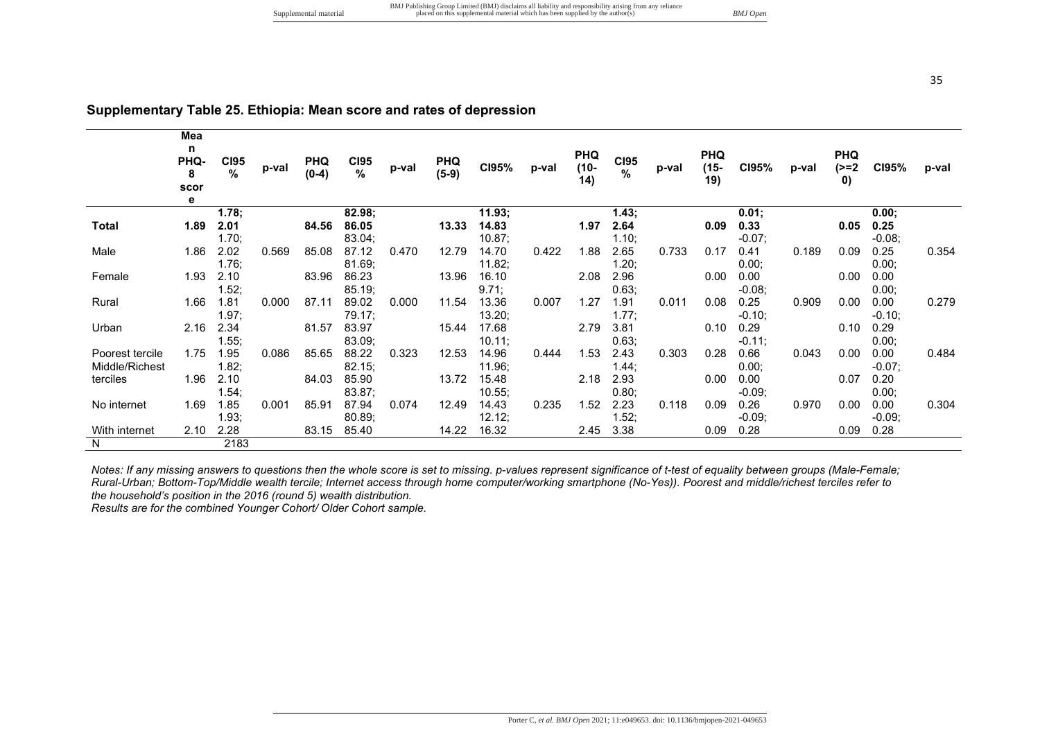|                 | Mea<br>$\mathbf n$<br><b>PHQ-</b><br>8<br>scor<br>е | <b>CI95</b><br>% | p-val | <b>PHQ</b><br>$(0-4)$ | <b>CI95</b><br>$\%$ | p-val | <b>PHQ</b><br>$(5-9)$ | CI95%  | p-val | <b>PHQ</b><br>$(10 -$<br>14) | <b>CI95</b><br>$\frac{9}{6}$ | p-val | <b>PHQ</b><br>$(15 -$<br>19) | C195%             | p-val | <b>PHQ</b><br>(>=2<br>$\mathbf{0}$ | CI95%     | p-val |
|-----------------|-----------------------------------------------------|------------------|-------|-----------------------|---------------------|-------|-----------------------|--------|-------|------------------------------|------------------------------|-------|------------------------------|-------------------|-------|------------------------------------|-----------|-------|
|                 |                                                     | 1.78:            |       |                       | 82.98;              |       |                       | 11.93; |       |                              | 1.43;                        |       |                              | 0.01;             |       |                                    | 0.00:     |       |
| Total           | 1.89                                                | 2.01             |       | 84.56                 | 86.05               |       | 13.33                 | 14.83  |       | 1.97                         | 2.64                         |       | 0.09                         | 0.33              |       | 0.05                               | 0.25      |       |
|                 |                                                     | 1.70:            |       |                       | 83.04;              |       |                       | 10.87; |       |                              | 1.10;                        |       |                              | $-0.07$ ;         |       |                                    | $-0.08$   |       |
| Male            | 1.86                                                | 2.02             | 0.569 | 85.08                 | 87.12               | 0.470 | 12.79                 | 14.70  | 0.422 | 1.88                         | 2.65                         | 0.733 | 0.17                         | 0.41              | 0.189 | 0.09                               | 0.25      | 0.354 |
|                 |                                                     | $1.76$ ;         |       |                       | 81.69;              |       |                       | 11.82; |       |                              | 1.20;                        |       |                              | 0.00;             |       |                                    | 0.00:     |       |
| Female          |                                                     | 1.93 2.10        |       | 83.96                 | 86.23               |       | 13.96                 | 16.10  |       | 2.08                         | 2.96                         |       | 0.00                         | 0.00              |       | $0.00\,$                           | 0.00      |       |
|                 |                                                     | 1.52;            |       |                       | 85.19;              |       |                       | 9.71;  |       |                              | 0.63;                        |       |                              | $-0.08;$          |       |                                    | 0.00      |       |
| Rural           |                                                     | 1.66 1.81        | 0.000 | 87.11                 | 89.02               | 0.000 | 11.54                 | 13.36  | 0.007 | 1.27                         | 1.91                         | 0.011 | 0.08                         | 0.25              | 0.909 | 0.00                               | 0.00      | 0.279 |
|                 |                                                     | 1.97:            |       |                       | 79.17:              |       |                       | 13.20; |       |                              | 1.77;                        |       |                              | $-0.10;$          |       |                                    | $-0.10$ ; |       |
| Urban           | 2.16                                                | 2.34             |       | 81.57                 | 83.97               |       | 15.44                 | 17.68  |       | 2.79                         | 3.81                         |       |                              | $0.10 \quad 0.29$ |       | 0.10                               | 0.29      |       |
|                 |                                                     | 1.55;            |       |                       | 83.09;              |       |                       | 10.11; |       |                              | 0.63;                        |       |                              | $-0.11;$          |       |                                    | 0.00;     |       |
| Poorest tercile | 1.75                                                | 1.95             | 0.086 | 85.65                 | 88.22               | 0.323 | 12.53                 | 14.96  | 0.444 | 1.53                         | 2.43                         | 0.303 | 0.28                         | 0.66              | 0.043 | $0.00\,$                           | 0.00      | 0.484 |
| Middle/Richest  |                                                     | 1.82;            |       |                       | 82.15;              |       |                       | 11.96; |       |                              | 1.44:                        |       |                              | 0.00;             |       |                                    | $-0.07$ ; |       |
| terciles        | 1.96                                                | 2.10             |       | 84.03                 | 85.90               |       | 13.72                 | 15.48  |       | 2.18                         | 2.93                         |       | 0.00                         | 0.00              |       | 0.07                               | 0.20      |       |
|                 |                                                     | 1.54;            |       |                       | 83.87;              |       |                       | 10.55; |       |                              | 0.80;                        |       |                              | $-0.09;$          |       |                                    | 0.00;     |       |
| No internet     | 1.69                                                | 1.85             | 0.001 | 85.91                 | 87.94               | 0.074 | 12.49                 | 14.43  | 0.235 | 1.52                         | 2.23                         | 0.118 | 0.09                         | 0.26              | 0.970 | $0.00\,$                           | 0.00      | 0.304 |
|                 |                                                     | 1.93;            |       |                       | 80.89;              |       |                       | 12.12; |       |                              | 1.52;                        |       |                              | $-0.09;$          |       |                                    | $-0.09;$  |       |
| With internet   | 2.10                                                | 2.28             |       | 83.15                 | 85.40               |       | 14.22                 | 16.32  |       | 2.45                         | 3.38                         |       | 0.09                         | 0.28              |       | 0.09                               | 0.28      |       |
| N               |                                                     | 2183             |       |                       |                     |       |                       |        |       |                              |                              |       |                              |                   |       |                                    |           |       |

### **Supplementary Table 25. Ethiopia: Mean score and rates of depression**

*Notes: If any missing answers to questions then the whole score is set to missing. p-values represent significance of t-test of equality between groups (Male-Female; Rural-Urban; Bottom-Top/Middle wealth tercile; Internet access through home computer/working smartphone (No-Yes)). Poorest and middle/richest terciles refer to the household's position in the 2016 (round 5) wealth distribution.* 

*Results are for the combined Younger Cohort/ Older Cohort sample.*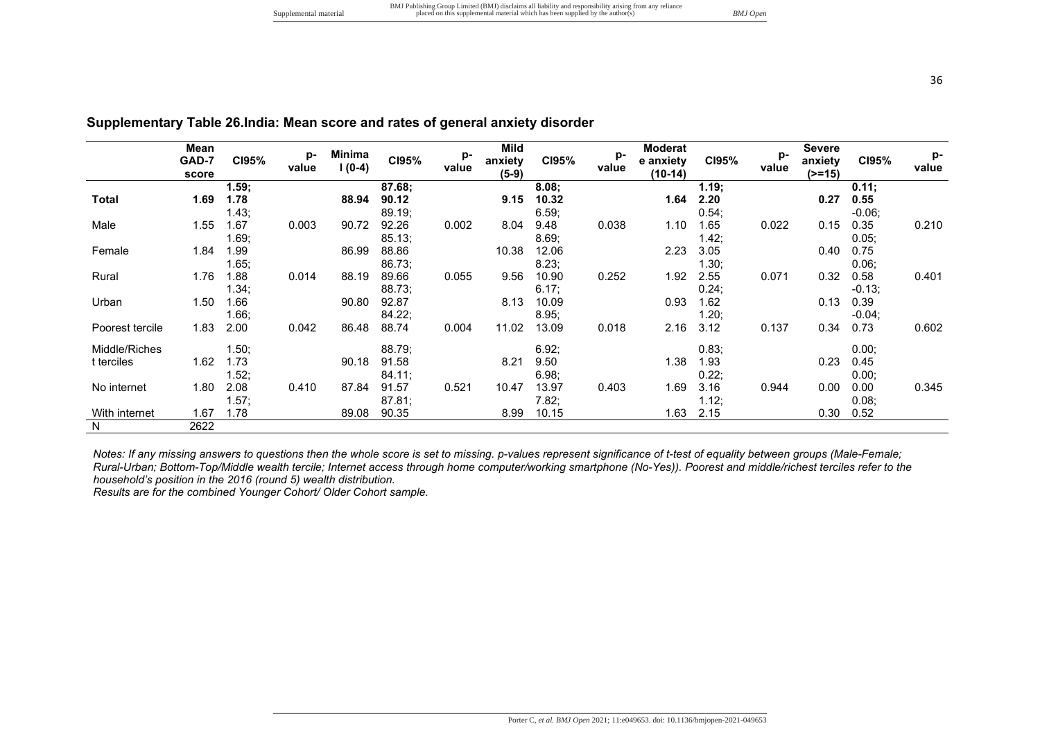|  |  | Supplemental material |
|--|--|-----------------------|
|--|--|-----------------------|

**CI95% p-**

**Minima**<br>۱/**۵**ـ۹ **l (0-4) CI95% pvalue Mild anxiety (5-9) CI95% pvalue** 

|                 | ו-טאט<br>score | <b>UIJJ</b> 70 | value | $1(0-4)$ | <b>PISS 10</b> | value | <b>ALITICIA</b><br>$(5-9)$ | <b>UIJJ</b> /0 | value | e anxiety<br>$(10-14)$ | <b>PISS 10</b> | value | αιιλισιγ<br>$(>=15)$ | <b>UIJJ</b> 70 | value |
|-----------------|----------------|----------------|-------|----------|----------------|-------|----------------------------|----------------|-------|------------------------|----------------|-------|----------------------|----------------|-------|
|                 |                | 1.59;          |       |          | 87.68;         |       |                            | 8.08:          |       |                        | 1.19:          |       |                      | $0.11$ ;       |       |
| Total           | 1.69           | 1.78           |       | 88.94    | 90.12          |       | 9.15                       | 10.32          |       | 1.64                   | 2.20           |       | 0.27                 | 0.55           |       |
|                 |                | 1.43;          |       |          | 89.19;         |       |                            | 6.59;          |       |                        | 0.54:          |       |                      | $-0.06;$       |       |
| Male            | 1.55           | 1.67           | 0.003 | 90.72    | 92.26          | 0.002 | 8.04                       | 9.48           | 0.038 | 1.10                   | 1.65           | 0.022 | 0.15                 | 0.35           | 0.210 |
|                 |                | 1.69;          |       |          | 85.13;         |       |                            | 8.69:          |       |                        | 1.42;          |       |                      | $0.05$ ;       |       |
| Female          | 1.84           | 1.99           |       | 86.99    | 88.86          |       | 10.38                      | 12.06          |       | 2.23                   | 3.05           |       | 0.40                 | 0.75           |       |
|                 |                | 1.65;          |       |          | 86.73;         |       |                            | 8.23;          |       |                        | 1.30;          |       |                      | 0.06           |       |
| Rural           | 1.76           | 1.88           | 0.014 | 88.19    | 89.66          | 0.055 | 9.56                       | 10.90          | 0.252 | 1.92                   | 2.55           | 0.071 | 0.32                 | 0.58           | 0.401 |
|                 |                | 1.34;          |       |          | 88.73;         |       |                            | 6.17;          |       |                        | 0.24;          |       |                      | $-0.13$ ;      |       |
| Urban           | 1.50           | 1.66           |       | 90.80    | 92.87          |       | 8.13                       | 10.09          |       | 0.93                   | 1.62           |       | 0.13                 | 0.39           |       |
|                 |                | 1.66;          |       |          | 84.22;         |       |                            | 8.95;          |       |                        | 1.20;          |       |                      | $-0.04$ ;      |       |
| Poorest tercile | 1.83           | 2.00           | 0.042 | 86.48    | 88.74          | 0.004 | 11.02                      | 13.09          | 0.018 | 2.16                   | 3.12           | 0.137 | 0.34                 | 0.73           | 0.602 |
| Middle/Riches   |                | 1.50;          |       |          | 88.79;         |       |                            | 6.92;          |       |                        | 0.83;          |       |                      | $0.00$ ;       |       |
| t terciles      | 1.62           | 1.73           |       | 90.18    | 91.58          |       | 8.21                       | 9.50           |       | 1.38                   | 1.93           |       | 0.23                 | 0.45           |       |
|                 |                | 1.52;          |       |          | 84.11;         |       |                            | 6.98;          |       |                        | 0.22;          |       |                      | 0.00;          |       |
| No internet     | 1.80           | 2.08           | 0.410 | 87.84    | 91.57          | 0.521 | 10.47                      | 13.97          | 0.403 | 1.69                   | 3.16           | 0.944 | 0.00                 | 0.00           | 0.345 |
|                 |                | 1.57;          |       |          | 87.81;         |       |                            | 7.82;          |       |                        | 1.12;          |       |                      | 0.08           |       |
| With internet   | 1.67           | 1.78           |       | 89.08    | 90.35          |       | 8.99                       | 10.15          |       | 1.63                   | 2.15           |       | 0.30                 | 0.52           |       |
| N               | 2622           |                |       |          |                |       |                            |                |       |                        |                |       |                      |                |       |
|                 |                |                |       |          |                |       |                            |                |       |                        |                |       |                      |                |       |

**Supplementary Table 26.India: Mean score and rates of general anxiety disorder** 

*Notes: If any missing answers to questions then the whole score is set to missing. p-values represent significance of t-test of equality between groups (Male-Female; Rural-Urban; Bottom-Top/Middle wealth tercile; Internet access through home computer/working smartphone (No-Yes)). Poorest and middle/richest terciles refer to the household's position in the 2016 (round 5) wealth distribution.* 

*Results are for the combined Younger Cohort/ Older Cohort sample.*

**Mean GAD-7** 

**CI95% p-**

**Moderat e anxiety** 

**CI95% p-**

**Severe anxiety**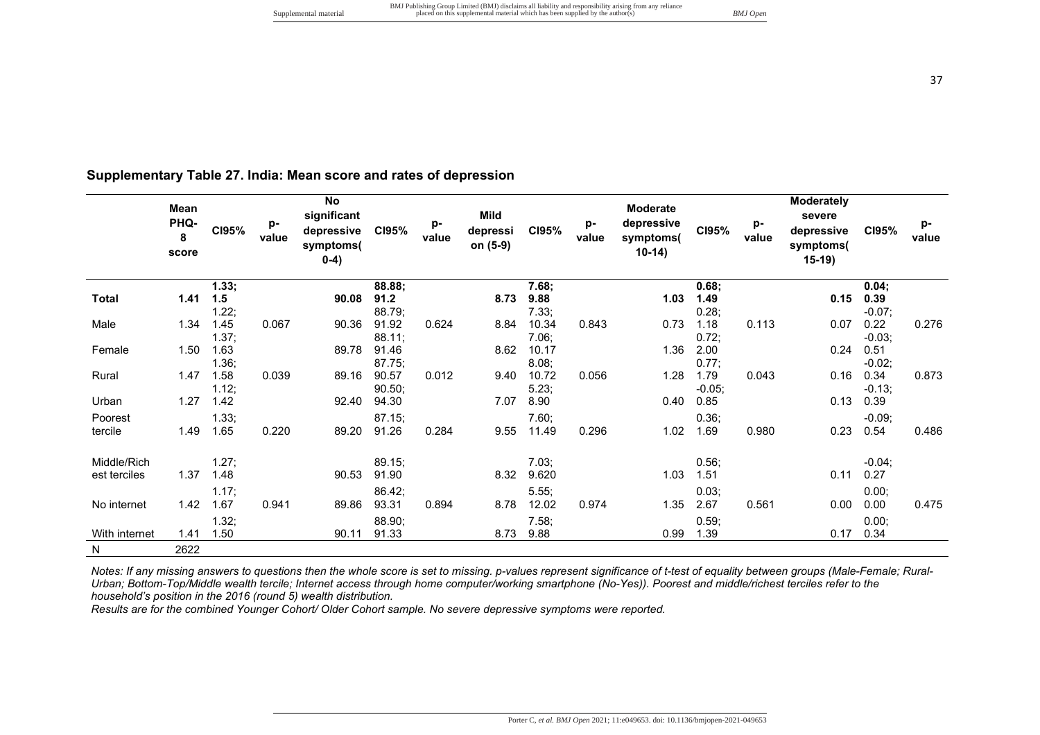# **Supplementary Table 27. India: Mean score and rates of depression**

|               | Mean<br>PHQ-<br>8<br>score | CI95%         | p-<br>value | <b>No</b><br>significant<br>depressive<br>symptoms(<br>$0-4)$ | C195%           | p-<br>value | Mild<br>depressi<br>on (5-9) | CI95%          | p-<br>value | <b>Moderate</b><br>depressive<br>symptoms(<br>$10-14)$ | CI95%            | p-<br>value | Moderately<br>severe<br>depressive<br>symptoms(<br>$15-19$ | CI95%            | p-<br>value |
|---------------|----------------------------|---------------|-------------|---------------------------------------------------------------|-----------------|-------------|------------------------------|----------------|-------------|--------------------------------------------------------|------------------|-------------|------------------------------------------------------------|------------------|-------------|
|               |                            | 1.33;         |             |                                                               | 88.88;          |             |                              | 7.68;          |             |                                                        | 0.68;            |             |                                                            | 0.04;            |             |
| <b>Total</b>  | 1.41                       | 1.5           |             | 90.08                                                         | 91.2            |             | 8.73                         | 9.88           |             | 1.03                                                   | 1.49             |             | 0.15                                                       | 0.39             |             |
|               |                            | 1.22;         |             |                                                               | 88.79;          |             |                              | 7.33;          |             |                                                        | 0.28;            |             |                                                            | $-0.07;$         |             |
| Male          | 1.34                       | 1.45<br>1.37; | 0.067       | 90.36                                                         | 91.92<br>88.11; | 0.624       | 8.84                         | 10.34<br>7.06; | 0.843       | 0.73                                                   | 1.18<br>0.72;    | 0.113       | 0.07                                                       | 0.22<br>$-0.03;$ | 0.276       |
| Female        | 1.50                       | 1.63          |             | 89.78                                                         | 91.46           |             | 8.62                         | 10.17          |             | 1.36                                                   | 2.00             |             | 0.24                                                       | 0.51             |             |
|               |                            | 1.36;         |             |                                                               | 87.75;          |             |                              | 8.08;          |             |                                                        | 0.77;            |             |                                                            | $-0.02;$         |             |
| Rural         | 1.47                       | 1.58<br>1.12; | 0.039       | 89.16                                                         | 90.57<br>90.50; | 0.012       | 9.40                         | 10.72<br>5.23; | 0.056       | 1.28                                                   | 1.79<br>$-0.05;$ | 0.043       | 0.16                                                       | 0.34<br>$-0.13;$ | 0.873       |
| Urban         | 1.27                       | 1.42          |             | 92.40                                                         | 94.30           |             | 7.07                         | 8.90           |             | 0.40                                                   | 0.85             |             | 0.13                                                       | 0.39             |             |
| Poorest       |                            | 1.33;         |             |                                                               | 87.15;          |             |                              | 7.60;          |             |                                                        | 0.36;            |             |                                                            | $-0.09;$         |             |
| tercile       | 1.49                       | 1.65          | 0.220       | 89.20                                                         | 91.26           | 0.284       | 9.55                         | 11.49          | 0.296       | 1.02                                                   | 1.69             | 0.980       | 0.23                                                       | 0.54             | 0.486       |
| Middle/Rich   |                            | 1.27;         |             |                                                               | 89.15;          |             |                              | 7.03;          |             |                                                        | 0.56;            |             |                                                            | $-0.04;$         |             |
| est terciles  | 1.37                       | 1.48          |             | 90.53                                                         | 91.90           |             | 8.32                         | 9.620          |             | 1.03                                                   | 1.51             |             | 0.11                                                       | 0.27             |             |
|               |                            | 1.17;         |             |                                                               | 86.42;          |             |                              | 5.55;          |             |                                                        | 0.03;            |             |                                                            | 0.00;            |             |
| No internet   | 1.42                       | 1.67          | 0.941       | 89.86                                                         | 93.31           | 0.894       | 8.78                         | 12.02          | 0.974       | 1.35                                                   | 2.67             | 0.561       | 0.00                                                       | 0.00             | 0.475       |
|               |                            | 1.32;         |             |                                                               | 88.90;          |             |                              | 7.58;          |             |                                                        | 0.59;            |             |                                                            | 0.00;            |             |
| With internet | 1.41                       | 1.50          |             | 90.11                                                         | 91.33           |             | 8.73                         | 9.88           |             | 0.99                                                   | 1.39             |             | 0.17                                                       | 0.34             |             |
| N             | 2622                       |               |             |                                                               |                 |             |                              |                |             |                                                        |                  |             |                                                            |                  |             |

*Notes: If any missing answers to questions then the whole score is set to missing. p-values represent significance of t-test of equality between groups (Male-Female; Rural-Urban; Bottom-Top/Middle wealth tercile; Internet access through home computer/working smartphone (No-Yes)). Poorest and middle/richest terciles refer to the household's position in the 2016 (round 5) wealth distribution.* 

*Results are for the combined Younger Cohort/ Older Cohort sample. No severe depressive symptoms were reported.*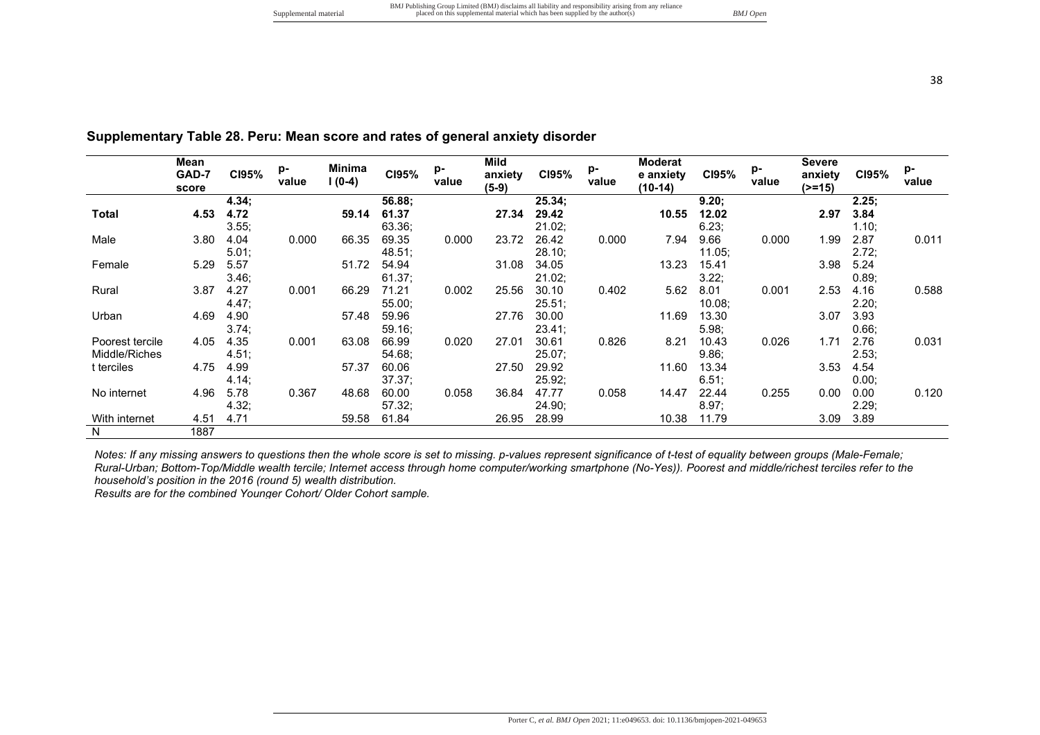**Mild anxiety (5-9)**

**CI95% p-**

**25.34;** 

21.02;

28.10;

21.02;

**value** 

**29.42 10.55**

34.05 13.23

**Moderat e anxiety (10-14)**

0.000 7.94 9.66

0.402 5.62 8.01

59.96 27.76 30.00 11.69 25.51;

54.94 31.08

0.002 25.56 30.10

Poorest tercile 4.05 4.35 0.001 63.08 5.98; 10.43 0.026 1.71 Middle/Riches  $t$  terciles  $4.75$   $4.99$ 4.51; 57.37 60.06 54.68; 60.06 27.50 29.92 11.60 9.86; 11.60 13.34 3.53 4.54 No internet 4.96 4.14; 5.78 0.367 48.68 37.37; 60.00 0.058 36.84 25.92; 0.058 14.47 22.44 6.51;  $0.255$   $0.00$ With internet 4.51 4.32;<br>4.71 59.58 57.32; 61.84 26.95 28.99 10.38 24.90; 8.97; 10.38 11.79 3.09 N 1887

*Notes: If any missing answers to questions then the whole score is set to missing. p-values represent significance of t-test of equality between groups (Male-Female; Rural-Urban; Bottom-Top/Middle wealth tercile; Internet access through home computer/working smartphone (No-Yes)). Poorest and middle/richest terciles refer to the household's position in the 2016 (round 5) wealth distribution.* 

*Results are for the combined Younger Cohort/ Older Cohort sample.*

**CI95% p-**

**4.34;** 

3.55;

5.01;

3.46;

4.47;

3.74;

**value** 

**4.72 59.14**

**Mean GAD-7 score**

**Total 4.53**

Female 5.29

Male 3.80 4.04

Rural 3.87 4.27

Urban 4.69 4.90

**value** 

**12.02 2.97**

15.41 3.98

**Severe anxiety (>=15)**

9.66 0.000 1.99

8.01 0.001 2.53

**CI95% p-**

2.87 0.011

0.00 0.120

**2.25; 3.84**

1.10;

2.72; 5.24

0.89;<br>4.16

2.20; 3.93

 $0.66;$ <br> $2.76$ 

2.53;

0.00;

2.29; 3.89

**value** 

0.588

0.031

**CI95% p-**

**9.20;** 

6.23;

11.05;

3.22;

10.08;

11.69 13.30

| Supplementary Table 28. Peru: Mean score and rates of general anxiety disorder |  |
|--------------------------------------------------------------------------------|--|
|--------------------------------------------------------------------------------|--|

**Minima**<br>**1**(0-4)

0.001 66.29 71.21

57.48

0.000 66.35

5.57 51.72 54.94

**l (0-4) CI95% p-**

**56.88;** 

63.36;

48.51;

61.37;

55.00;

**value** 

**61.37 27.34**

69.35 0.000 23.72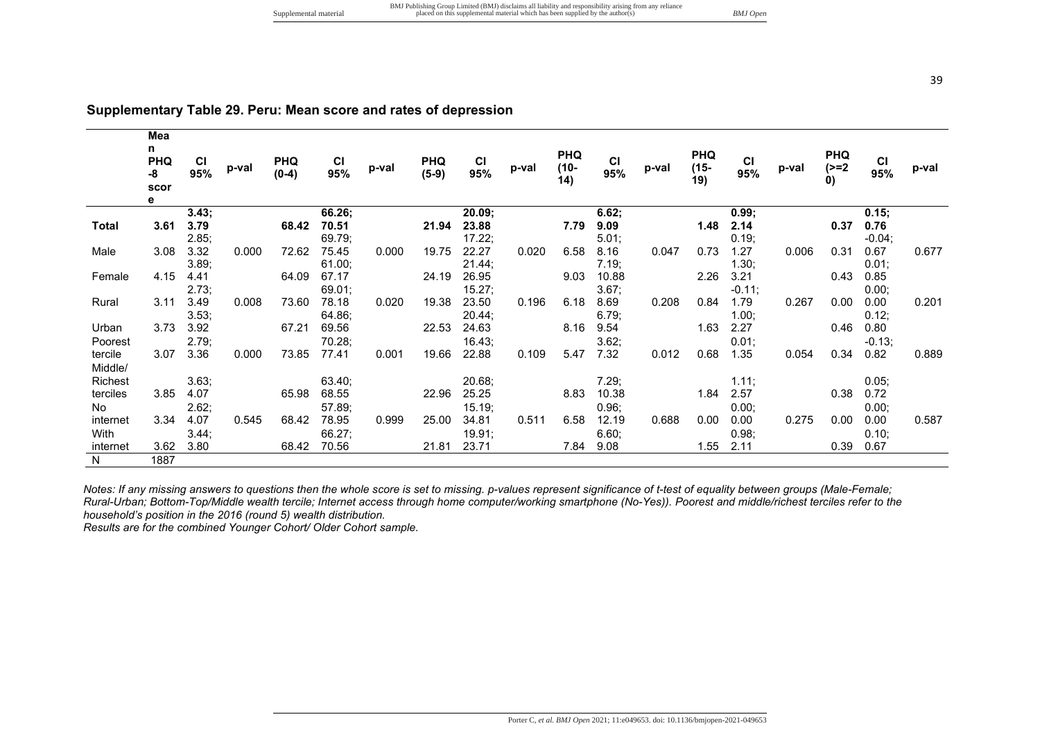|                | Mea<br>n.<br><b>PHQ</b><br>-8<br>scor<br>e | <b>CI</b><br>95% | p-val | <b>PHQ</b><br>$(0-4)$ | <b>CI</b><br>95% | p-val | <b>PHQ</b><br>$(5-9)$ | CI<br>95% | p-val | <b>PHQ</b><br>$(10 -$<br>(14) | <b>CI</b><br>95% | p-val | <b>PHQ</b><br>$(15 -$<br>19) | <b>CI</b><br>95% | p-val | <b>PHQ</b><br>$(>=2)$<br>0) | <b>CI</b><br>95% | p-val |
|----------------|--------------------------------------------|------------------|-------|-----------------------|------------------|-------|-----------------------|-----------|-------|-------------------------------|------------------|-------|------------------------------|------------------|-------|-----------------------------|------------------|-------|
|                |                                            | 3.43;            |       |                       | 66.26;           |       |                       | 20.09;    |       |                               | 6.62;            |       |                              | 0.99;            |       |                             | 0.15;            |       |
| Total          | 3.61                                       | 3.79             |       | 68.42                 | 70.51            |       | 21.94                 | 23.88     |       | 7.79                          | 9.09             |       | 1.48                         | 2.14             |       | 0.37                        | 0.76             |       |
|                |                                            | 2.85;            |       |                       | 69.79;           |       |                       | 17.22;    |       |                               | 5.01;            |       |                              | 0.19;            |       |                             | $-0.04;$         |       |
| Male           | 3.08                                       | 3.32             | 0.000 | 72.62                 | 75.45            | 0.000 | 19.75                 | 22.27     | 0.020 | 6.58                          | 8.16             | 0.047 | 0.73                         | 1.27             | 0.006 | 0.31                        | 0.67             | 0.677 |
|                |                                            | 3.89:            |       |                       | 61.00;           |       |                       | 21.44;    |       |                               | 7.19:            |       |                              | 1.30;            |       |                             | 0.01;            |       |
| Female         | 4.15                                       | 4.41             |       | 64.09                 | 67.17            |       | 24.19                 | 26.95     |       | 9.03                          | 10.88            |       | 2.26                         | 3.21             |       | 0.43                        | 0.85             |       |
|                |                                            | 2.73;            |       |                       | 69.01;           |       |                       | 15.27;    |       |                               | 3.67;            |       |                              | $-0.11;$         |       |                             | 0.00;            |       |
| Rural          | 3.11                                       | 3.49             | 0.008 | 73.60                 | 78.18            | 0.020 | 19.38                 | 23.50     | 0.196 | 6.18                          | 8.69             | 0.208 | 0.84                         | 1.79             | 0.267 | 0.00                        | 0.00             | 0.201 |
|                |                                            | 3.53;            |       |                       | 64.86;           |       |                       | 20.44:    |       |                               | 6.79;            |       |                              | 1.00;            |       |                             | 0.12;            |       |
| Urban          | 3.73                                       | 3.92             |       | 67.21                 | 69.56            |       | 22.53                 | 24.63     |       | 8.16                          | 9.54             |       | 1.63                         | 2.27             |       | 0.46                        | 0.80             |       |
| Poorest        |                                            | 2.79:            |       |                       | 70.28;           |       |                       | 16.43:    |       |                               | 3.62;            |       |                              | 0.01;            |       |                             | $-0.13;$         |       |
| tercile        | 3.07                                       | 3.36             | 0.000 | 73.85                 | 77.41            | 0.001 | 19.66                 | 22.88     | 0.109 | 5.47                          | 7.32             | 0.012 | 0.68                         | 1.35             | 0.054 | 0.34                        | 0.82             | 0.889 |
| Middle/        |                                            |                  |       |                       |                  |       |                       |           |       |                               |                  |       |                              |                  |       |                             |                  |       |
| <b>Richest</b> |                                            | 3.63;            |       |                       | 63.40;           |       |                       | 20.68;    |       |                               | 7.29;            |       |                              | 1.11;            |       |                             | 0.05;            |       |
| terciles       | 3.85                                       | 4.07             |       | 65.98                 | 68.55            |       | 22.96                 | 25.25     |       | 8.83                          | 10.38            |       | 1.84                         | 2.57             |       | 0.38                        | 0.72             |       |
| No             |                                            | 2.62;            |       |                       | 57.89;           |       |                       | 15.19;    |       |                               | 0.96;            |       |                              | 0.00;            |       |                             | 0.00;            |       |
| internet       | 3.34                                       | 4.07             | 0.545 | 68.42                 | 78.95            | 0.999 | 25.00                 | 34.81     | 0.511 | 6.58                          | 12.19            | 0.688 | 0.00                         | 0.00             | 0.275 | 0.00                        | 0.00             | 0.587 |
| With           |                                            | 3.44;            |       |                       | 66.27;           |       |                       | 19.91;    |       |                               | 6.60;            |       |                              | 0.98;            |       |                             | 0.10;            |       |
| internet       | 3.62                                       | 3.80             |       | 68.42                 | 70.56            |       | 21.81                 | 23.71     |       | 7.84                          | 9.08             |       | 1.55                         | 2.11             |       | 0.39                        | 0.67             |       |
| $\overline{N}$ | 1887                                       |                  |       |                       |                  |       |                       |           |       |                               |                  |       |                              |                  |       |                             |                  |       |

### **Supplementary Table 29. Peru: Mean score and rates of depression**

*Notes: If any missing answers to questions then the whole score is set to missing. p-values represent significance of t-test of equality between groups (Male-Female; Rural-Urban; Bottom-Top/Middle wealth tercile; Internet access through home computer/working smartphone (No-Yes)). Poorest and middle/richest terciles refer to the household's position in the 2016 (round 5) wealth distribution.* 

*Results are for the combined Younger Cohort/ Older Cohort sample.*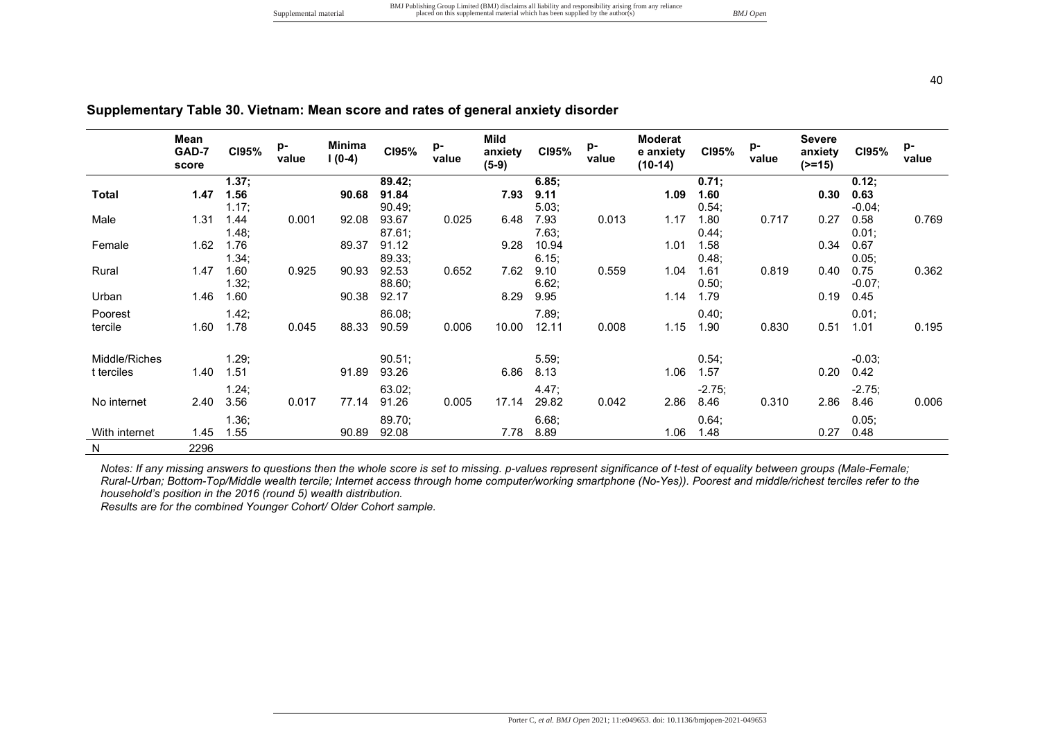|               | Mean<br>GAD-7<br>score | CI95% | p-<br>value | Minima<br>$1(0-4)$ | C195%  | p-<br>value | Mild<br>anxiety<br>$(5-9)$ | C195% | p-<br>value | <b>Moderat</b><br>e anxiety<br>$(10-14)$ | CI95%    | p-<br>value | <b>Severe</b><br>anxiety<br>$(>=15)$ | C195%    | p-<br>value |
|---------------|------------------------|-------|-------------|--------------------|--------|-------------|----------------------------|-------|-------------|------------------------------------------|----------|-------------|--------------------------------------|----------|-------------|
|               |                        | 1.37; |             |                    | 89.42; |             |                            | 6.85; |             |                                          | 0.71;    |             |                                      | 0.12;    |             |
| <b>Total</b>  | 1.47                   | 1.56  |             | 90.68              | 91.84  |             | 7.93                       | 9.11  |             | 1.09                                     | 1.60     |             | 0.30                                 | 0.63     |             |
|               |                        | 1.17; |             |                    | 90.49; |             |                            | 5.03; |             |                                          | 0.54;    |             |                                      | $-0.04;$ |             |
| Male          | 1.31                   | 1.44  | 0.001       | 92.08              | 93.67  | 0.025       | 6.48                       | 7.93  | 0.013       | 1.17                                     | 1.80     | 0.717       | 0.27                                 | 0.58     | 0.769       |
|               |                        | 1.48; |             |                    | 87.61; |             |                            | 7.63; |             |                                          | 0.44;    |             |                                      | 0.01;    |             |
| Female        | 1.62                   | 1.76  |             | 89.37              | 91.12  |             | 9.28                       | 10.94 |             | 1.01                                     | 1.58     |             | 0.34                                 | 0.67     |             |
|               |                        | 1.34; |             |                    | 89.33; |             |                            | 6.15; |             |                                          | 0.48;    |             |                                      | 0.05;    |             |
| Rural         | 1.47                   | 1.60  | 0.925       | 90.93              | 92.53  | 0.652       | 7.62                       | 9.10  | 0.559       | 1.04                                     | 1.61     | 0.819       | 0.40                                 | 0.75     | 0.362       |
|               | 1.46                   | 1.32; |             |                    | 88.60; |             |                            | 6.62; |             | 1.14                                     | 0.50;    |             | 0.19                                 | $-0.07;$ |             |
| Urban         |                        | 1.60  |             | 90.38              | 92.17  |             | 8.29                       | 9.95  |             |                                          | 1.79     |             |                                      | 0.45     |             |
| Poorest       |                        | 1.42; |             |                    | 86.08; |             |                            | 7.89; |             |                                          | 0.40;    |             |                                      | 0.01;    |             |
| tercile       | 1.60                   | 1.78  | 0.045       | 88.33              | 90.59  | 0.006       | 10.00                      | 12.11 | 0.008       | 1.15                                     | 1.90     | 0.830       | 0.51                                 | 1.01     | 0.195       |
|               |                        |       |             |                    |        |             |                            |       |             |                                          |          |             |                                      |          |             |
| Middle/Riches |                        | 1.29; |             |                    | 90.51; |             |                            | 5.59; |             |                                          | 0.54;    |             |                                      | $-0.03;$ |             |
| t terciles    | 1.40                   | 1.51  |             | 91.89              | 93.26  |             | 6.86                       | 8.13  |             | 1.06                                     | 1.57     |             | 0.20                                 | 0.42     |             |
|               |                        | 1.24; |             |                    | 63.02; |             |                            | 4.47; |             |                                          | $-2.75;$ |             |                                      | $-2.75;$ |             |
| No internet   | 2.40                   | 3.56  | 0.017       | 77.14              | 91.26  | 0.005       | 17.14                      | 29.82 | 0.042       | 2.86                                     | 8.46     | 0.310       | 2.86                                 | 8.46     | 0.006       |
|               |                        | 1.36; |             |                    | 89.70; |             |                            | 6.68; |             |                                          | 0.64;    |             |                                      | 0.05;    |             |
| With internet | 1.45                   | 1.55  |             | 90.89              | 92.08  |             | 7.78                       | 8.89  |             | 1.06                                     | 1.48     |             | 0.27                                 | 0.48     |             |
|               |                        |       |             |                    |        |             |                            |       |             |                                          |          |             |                                      |          |             |
| N             | 2296                   |       |             |                    |        |             |                            |       |             |                                          |          |             |                                      |          |             |

# **Supplementary Table 30. Vietnam: Mean score and rates of general anxiety disorder**

*Notes: If any missing answers to questions then the whole score is set to missing. p-values represent significance of t-test of equality between groups (Male-Female; Rural-Urban; Bottom-Top/Middle wealth tercile; Internet access through home computer/working smartphone (No-Yes)). Poorest and middle/richest terciles refer to the household's position in the 2016 (round 5) wealth distribution.* 

*Results are for the combined Younger Cohort/ Older Cohort sample.*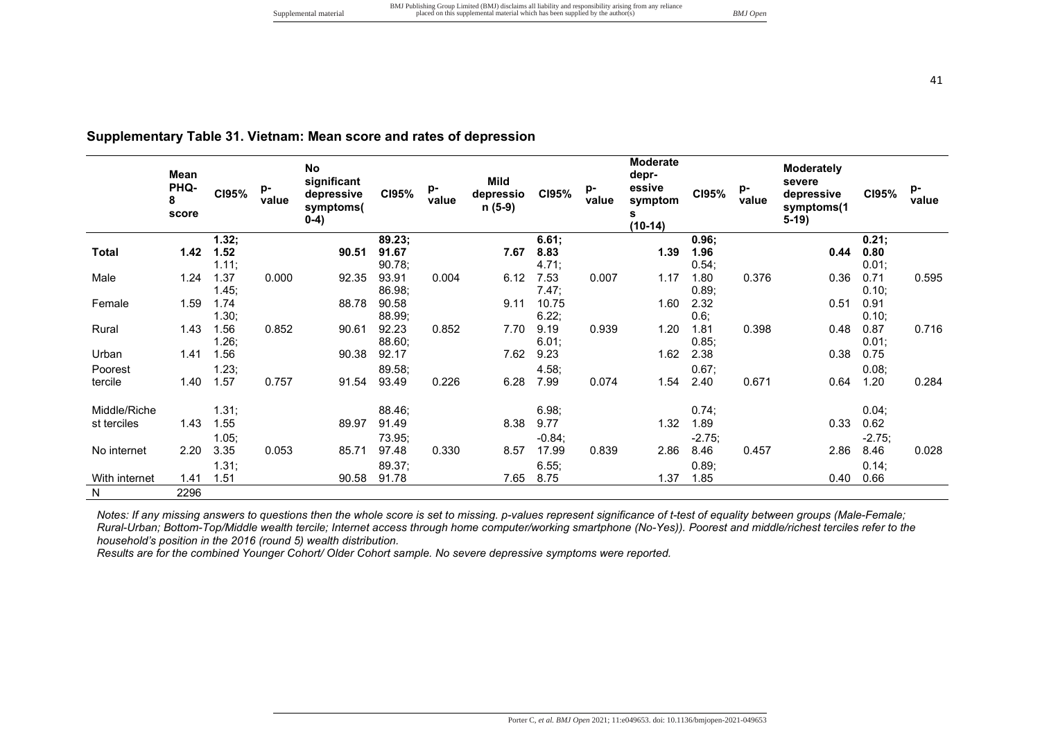|  |  |  |  |  |  |  | Supplementary Table 31. Vietnam: Mean score and rates of depression |
|--|--|--|--|--|--|--|---------------------------------------------------------------------|
|--|--|--|--|--|--|--|---------------------------------------------------------------------|

|               | Mean<br><b>PHQ-</b><br>8<br>score | CI95% | p-<br>value | <b>No</b><br>significant<br>depressive<br>symptoms(<br>$0-4)$ | C195%  | p-<br>value | Mild<br>depressio<br>n (5-9) | CI95%    | p-<br>value | Moderate<br>depr-<br>essive<br>symptom<br>s<br>$(10-14)$ | CI95%    | p-<br>value | <b>Moderately</b><br>severe<br>depressive<br>symptoms(1<br>$5-19$ | CI95%    | p-<br>value |
|---------------|-----------------------------------|-------|-------------|---------------------------------------------------------------|--------|-------------|------------------------------|----------|-------------|----------------------------------------------------------|----------|-------------|-------------------------------------------------------------------|----------|-------------|
|               |                                   | 1.32; |             |                                                               | 89.23; |             |                              | 6.61;    |             |                                                          | 0.96;    |             |                                                                   | 0.21;    |             |
| Total         | 1.42                              | 1.52  |             | 90.51                                                         | 91.67  |             | 7.67                         | 8.83     |             | 1.39                                                     | 1.96     |             | 0.44                                                              | 0.80     |             |
|               |                                   | 1.11; |             |                                                               | 90.78; |             |                              | 4.71;    |             |                                                          | 0.54;    |             |                                                                   | 0.01;    |             |
| Male          | 1.24                              | 1.37  | 0.000       | 92.35                                                         | 93.91  | 0.004       | 6.12                         | 7.53     | 0.007       | 1.17                                                     | 1.80     | 0.376       | 0.36                                                              | 0.71     | 0.595       |
|               |                                   | 1.45; |             |                                                               | 86.98; |             |                              | 7.47;    |             |                                                          | 0.89;    |             |                                                                   | 0.10;    |             |
| Female        | 1.59                              | 1.74  |             | 88.78                                                         | 90.58  |             | 9.11                         | 10.75    |             | 1.60                                                     | 2.32     |             | 0.51                                                              | 0.91     |             |
|               |                                   | 1.30; |             |                                                               | 88.99; |             |                              | 6.22;    |             |                                                          | 0.6;     |             |                                                                   | 0.10;    |             |
| Rural         | 1.43                              | 1.56  | 0.852       | 90.61                                                         | 92.23  | 0.852       | 7.70                         | 9.19     | 0.939       | 1.20                                                     | 1.81     | 0.398       | 0.48                                                              | 0.87     | 0.716       |
|               |                                   | 1.26; |             |                                                               | 88.60; |             |                              | 6.01;    |             |                                                          | 0.85;    |             |                                                                   | 0.01;    |             |
| Urban         | 1.41                              | 1.56  |             | 90.38                                                         | 92.17  |             | 7.62                         | 9.23     |             | 1.62                                                     | 2.38     |             | 0.38                                                              | 0.75     |             |
| Poorest       |                                   | 1.23; |             |                                                               | 89.58; |             |                              | 4.58;    |             |                                                          | 0.67;    |             |                                                                   | 0.08;    |             |
| tercile       | 1.40                              | 1.57  | 0.757       | 91.54                                                         | 93.49  | 0.226       | 6.28                         | 7.99     | 0.074       | 1.54                                                     | 2.40     | 0.671       | 0.64                                                              | 1.20     | 0.284       |
| Middle/Riche  |                                   | 1.31; |             |                                                               | 88.46; |             |                              | 6.98;    |             |                                                          | 0.74;    |             |                                                                   | 0.04;    |             |
| st terciles   | 1.43                              | 1.55  |             | 89.97                                                         | 91.49  |             | 8.38                         | 9.77     |             | 1.32                                                     | 1.89     |             | 0.33                                                              | 0.62     |             |
|               |                                   | 1.05; |             |                                                               | 73.95; |             |                              | $-0.84;$ |             |                                                          | $-2.75;$ |             |                                                                   | $-2.75;$ |             |
| No internet   | 2.20                              | 3.35  | 0.053       | 85.71                                                         | 97.48  | 0.330       | 8.57                         | 17.99    | 0.839       | 2.86                                                     | 8.46     | 0.457       | 2.86                                                              | 8.46     | 0.028       |
|               |                                   | 1.31; |             |                                                               | 89.37; |             |                              | 6.55;    |             |                                                          | 0.89;    |             |                                                                   | 0.14;    |             |
| With internet | 1.41                              | 1.51  |             | 90.58                                                         | 91.78  |             | 7.65                         | 8.75     |             | 1.37                                                     | 1.85     |             | 0.40                                                              | 0.66     |             |
| N             | 2296                              |       |             |                                                               |        |             |                              |          |             |                                                          |          |             |                                                                   |          |             |

*Notes: If any missing answers to questions then the whole score is set to missing. p-values represent significance of t-test of equality between groups (Male-Female; Rural-Urban; Bottom-Top/Middle wealth tercile; Internet access through home computer/working smartphone (No-Yes)). Poorest and middle/richest terciles refer to the household's position in the 2016 (round 5) wealth distribution.* 

*Results are for the combined Younger Cohort/ Older Cohort sample. No severe depressive symptoms were reported.*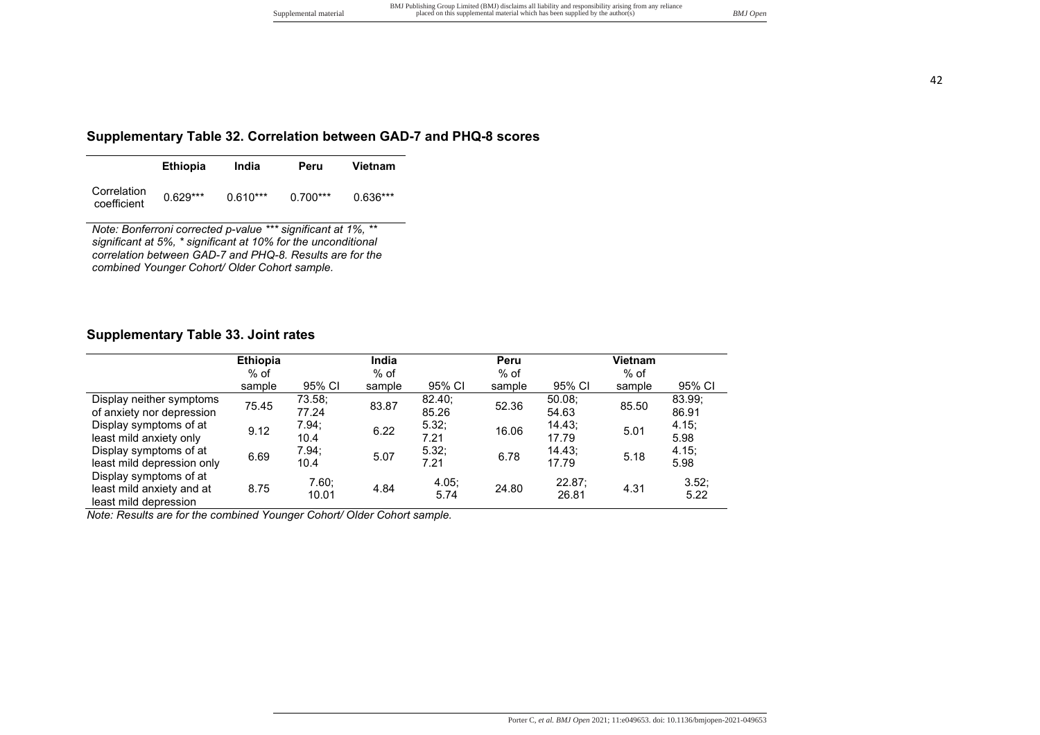#### **Supplementary Table 32. Correlation between GAD-7 and PHQ-8 scores**

|                            | <b>Ethiopia</b> | India      | Peru       | Vietnam    |
|----------------------------|-----------------|------------|------------|------------|
| Correlation<br>coefficient | $0.629***$      | $0.610***$ | $0.700***$ | $0.636***$ |

*Note: Bonferroni corrected p-value \*\*\* significant at 1%, \*\* significant at 5%, \* significant at 10% for the unconditional correlation between GAD-7 and PHQ-8. Results are for the combined Younger Cohort/ Older Cohort sample.*

### **Supplementary Table 33. Joint rates**

|                            | <b>Ethiopia</b> |        | India  |               | Peru   |        | <b>Vietnam</b> |        |
|----------------------------|-----------------|--------|--------|---------------|--------|--------|----------------|--------|
|                            | $%$ of          |        | $%$ of |               | $%$ of |        | $%$ of         |        |
|                            | sample          | 95% CI | sample | 95% CI        | sample | 95% CI | sample         | 95% CI |
| Display neither symptoms   | 75.45           | 73.58; | 83.87  | 82.40:        | 52.36  | 50.08  | 85.50          | 83.99; |
| of anxiety nor depression  |                 | 77.24  |        | 85.26         |        | 54.63  |                | 86.91  |
| Display symptoms of at     | 9.12            | 7.94;  | 6.22   | 5.32:         | 16.06  | 14.43; | 5.01           | 4.15;  |
| least mild anxiety only    |                 | 10.4   |        | 7.21          |        | 17.79  |                | 5.98   |
| Display symptoms of at     | 6.69            | 7.94:  | 5.07   | 5.32:         | 6.78   | 14.43: | 5.18           | 4.15:  |
| least mild depression only |                 | 10.4   |        | 7.21          |        | 17.79  |                | 5.98   |
| Display symptoms of at     |                 | 7.60;  |        |               |        | 22.87; |                | 3.52;  |
| least mild anxiety and at  | 8.75            | 10.01  | 4.84   | 4.05;<br>5.74 | 24.80  | 26.81  | 4.31           | 5.22   |
| least mild depression      |                 |        |        |               |        |        |                |        |

*Note: Results are for the combined Younger Cohort/ Older Cohort sample.*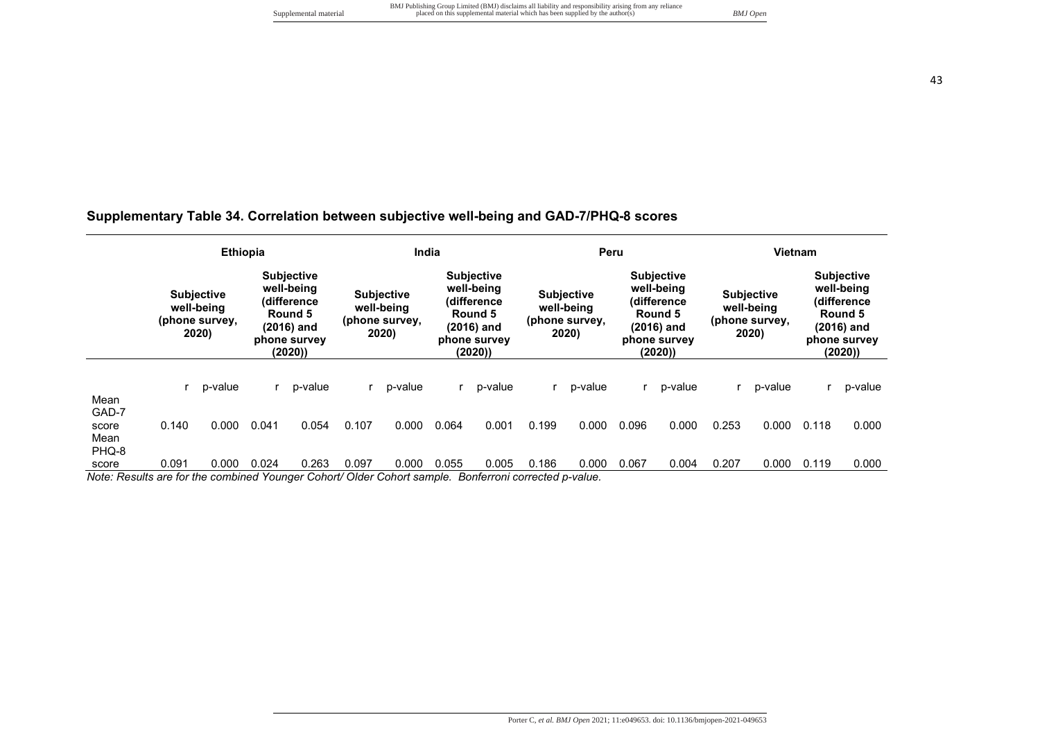# **Supplementary Table 34. Correlation between subjective well-being and GAD-7/PHQ-8 scores**

|               |       | <b>Ethiopia</b>                                                                                                                                                 |       |                                                            | India |                                                                                                   |       |                                                            | Peru  |                                                                                                     |       |                                                            | <b>Vietnam</b> |                                                                                                     |       |         |
|---------------|-------|-----------------------------------------------------------------------------------------------------------------------------------------------------------------|-------|------------------------------------------------------------|-------|---------------------------------------------------------------------------------------------------|-------|------------------------------------------------------------|-------|-----------------------------------------------------------------------------------------------------|-------|------------------------------------------------------------|----------------|-----------------------------------------------------------------------------------------------------|-------|---------|
|               |       | <b>Subjective</b><br>well-being<br><b>Subjective</b><br>(difference<br>well-being<br>Round 5<br>(phone survey,<br>(2016) and<br>2020)<br>phone survey<br>(2020) |       | <b>Subjective</b><br>well-being<br>(phone survey,<br>2020) |       | <b>Subjective</b><br>well-being<br>(difference<br>Round 5<br>(2016) and<br>phone survey<br>(2020) |       | <b>Subjective</b><br>well-being<br>(phone survey,<br>2020) |       | <b>Subjective</b><br>well-being<br>(difference<br>Round 5<br>$(2016)$ and<br>phone survey<br>(2020) |       | <b>Subjective</b><br>well-being<br>(phone survey,<br>2020) |                | <b>Subjective</b><br>well-being<br>(difference<br>Round 5<br>$(2016)$ and<br>phone survey<br>(2020) |       |         |
| Mean          |       | p-value                                                                                                                                                         |       | p-value                                                    |       | p-value                                                                                           |       | p-value                                                    |       | p-value                                                                                             |       | p-value                                                    |                | p-value                                                                                             |       | p-value |
| GAD-7         |       |                                                                                                                                                                 |       |                                                            |       |                                                                                                   |       |                                                            |       |                                                                                                     |       |                                                            |                |                                                                                                     |       |         |
| score         | 0.140 | 0.000                                                                                                                                                           | 0.041 | 0.054                                                      | 0.107 | 0.000                                                                                             | 0.064 | 0.001                                                      | 0.199 | 0.000                                                                                               | 0.096 | 0.000                                                      | 0.253          | 0.000                                                                                               | 0.118 | 0.000   |
| Mean<br>PHQ-8 |       |                                                                                                                                                                 |       |                                                            |       |                                                                                                   |       |                                                            |       |                                                                                                     |       |                                                            |                |                                                                                                     |       |         |
| score         | 0.091 | 0.000                                                                                                                                                           | 0.024 | 0.263                                                      | 0.097 | 0.000                                                                                             | 0.055 | 0.005                                                      | 0.186 | 0.000                                                                                               | 0.067 | 0.004                                                      | 0.207          | 0.000                                                                                               | 0.119 | 0.000   |

*Note: Results are for the combined Younger Cohort/ Older Cohort sample. Bonferroni corrected p-value.*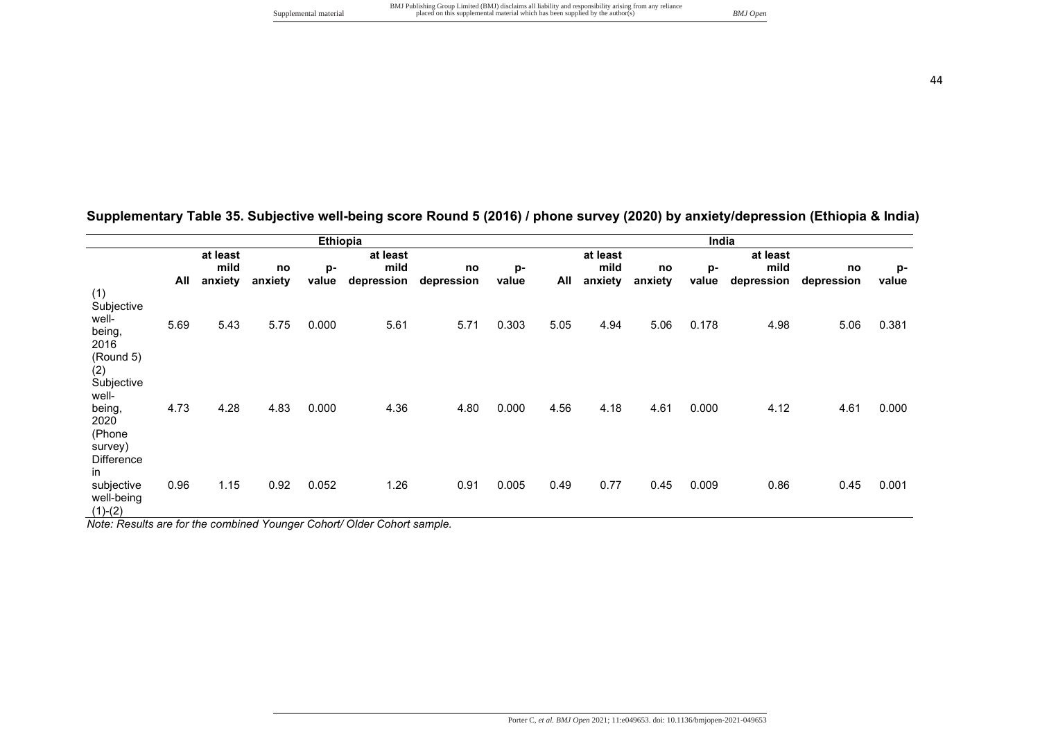|                                                                   |      |                      |         | Ethiopia |            |            |       | India |                      |         |       |            |            |       |  |
|-------------------------------------------------------------------|------|----------------------|---------|----------|------------|------------|-------|-------|----------------------|---------|-------|------------|------------|-------|--|
|                                                                   |      | at least<br>at least |         |          |            |            |       |       | at least<br>at least |         |       |            |            |       |  |
|                                                                   |      | mild                 | no      | p-       | mild       | no         | p-    |       | mild                 | no      | p-    | mild       | no         | p-    |  |
|                                                                   | All  | anxiety              | anxiety | value    | depression | depression | value | All   | anxiety              | anxiety | value | depression | depression | value |  |
| (1)<br>Subjective<br>well-<br>being,<br>2016<br>(Round 5)         | 5.69 | 5.43                 | 5.75    | 0.000    | 5.61       | 5.71       | 0.303 | 5.05  | 4.94                 | 5.06    | 0.178 | 4.98       | 5.06       | 0.381 |  |
| (2)<br>Subjective<br>well-<br>being,<br>2020<br>(Phone<br>survey) | 4.73 | 4.28                 | 4.83    | 0.000    | 4.36       | 4.80       | 0.000 | 4.56  | 4.18                 | 4.61    | 0.000 | 4.12       | 4.61       | 0.000 |  |
| <b>Difference</b><br>in.<br>subjective<br>well-being<br>$(1)-(2)$ | 0.96 | 1.15                 | 0.92    | 0.052    | 1.26       | 0.91       | 0.005 | 0.49  | 0.77                 | 0.45    | 0.009 | 0.86       | 0.45       | 0.001 |  |

**Supplementary Table 35. Subjective well-being score Round 5 (2016) / phone survey (2020) by anxiety/depression (Ethiopia & India)** 

*Note: Results are for the combined Younger Cohort/ Older Cohort sample.*